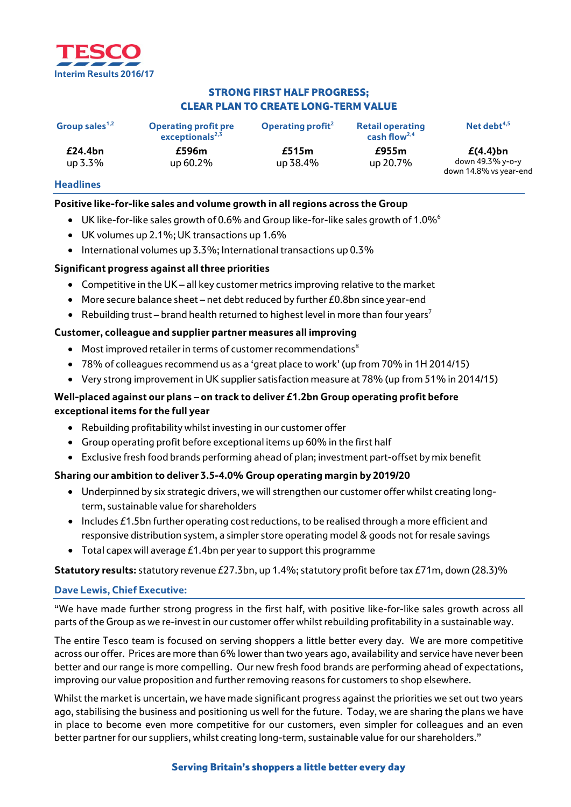

# STRONG FIRST HALF PROGRESS; CLEAR PLAN TO CREATE LONG-TERM VALUE

| Group sales <sup>1,2</sup> | <b>Operating profit pre</b><br>exceptionals $^{2,3}$ | Operating profit <sup>2</sup> | <b>Retail operating</b><br>cash flow <sup>2,4</sup> | Net debt $4,5$                                            |
|----------------------------|------------------------------------------------------|-------------------------------|-----------------------------------------------------|-----------------------------------------------------------|
| £24.4bn<br>up 3.3%         | £596m<br>up 60.2%                                    | £515m<br>up 38.4%             | £955m<br>up 20.7%                                   | $E(4.4)$ bn<br>down 49.3% v-o-v<br>down 14.8% vs year-end |

## **Headlines**

## **Positive like-for-like sales and volume growth in all regions across the Group**

- UK like-for-like sales growth of 0.6% and Group like-for-like sales growth of 1.0% $^6$
- UK volumes up 2.1%; UK transactions up 1.6%
- International volumes up 3.3%; International transactions up 0.3%

# **Significant progress against all three priorities**

- Competitive in the UK all key customer metrics improving relative to the market
- More secure balance sheet net debt reduced by further  $E0.8$ bn since year-end
- Rebuilding trust brand health returned to highest level in more than four years<sup>7</sup>

## **Customer, colleague and supplier partner measures all improving**

- Most improved retailer in terms of customer recommendations<sup>8</sup>
- 78% of colleagues recommend us as a 'great place to work' (up from 70% in 1H 2014/15)
- Very strong improvement in UK supplier satisfaction measure at 78% (up from 51% in 2014/15)

# **Well-placed against our plans – on track to deliver £1.2bn Group operating profit before exceptional items for the full year**

- Rebuilding profitability whilst investing in our customer offer
- Group operating profit before exceptional items up 60% in the first half
- Exclusive fresh food brands performing ahead of plan; investment part-offset by mix benefit

## **Sharing our ambition to deliver 3.5-4.0% Group operating margin by 2019/20**

- Underpinned by six strategic drivers, we will strengthen our customer offer whilst creating longterm, sustainable value for shareholders
- Includes £1.5bn further operating cost reductions, to be realised through a more efficient and responsive distribution system, a simpler store operating model & goods not for resale savings
- Total capex will average  $E1.4$ bn per year to support this programme

## **Statutory results:** statutory revenue £27.3bn, up 1.4%; statutory profit before tax £71m, down (28.3)%

## **Dave Lewis, Chief Executive:**

"We have made further strong progress in the first half, with positive like-for-like sales growth across all parts of the Group as we re-invest in our customer offer whilst rebuilding profitability in a sustainable way.

The entire Tesco team is focused on serving shoppers a little better every day. We are more competitive across our offer. Prices are more than 6% lower than two years ago, availability and service have never been better and our range is more compelling. Our new fresh food brands are performing ahead of expectations, improving our value proposition and further removing reasons for customers to shop elsewhere.

Whilst the market is uncertain, we have made significant progress against the priorities we set out two years ago, stabilising the business and positioning us well for the future. Today, we are sharing the plans we have in place to become even more competitive for our customers, even simpler for colleagues and an even better partner for our suppliers, whilst creating long-term, sustainable value for our shareholders."

## Serving Britain's shoppers a little better every day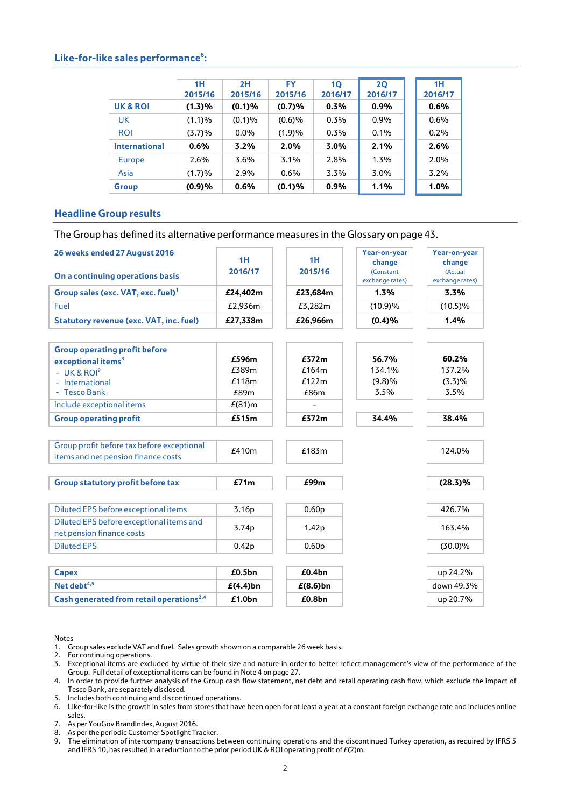## Like-for-like sales performance<sup>6</sup>:

|                      | 1H      | 2H      | <b>FY</b> | 10      | 20      | 1H      |
|----------------------|---------|---------|-----------|---------|---------|---------|
|                      | 2015/16 | 2015/16 | 2015/16   | 2016/17 | 2016/17 | 2016/17 |
| UK & ROI             | (1.3)%  | (0.1)%  | (0.7)%    | 0.3%    | 0.9%    | 0.6%    |
| <b>UK</b>            | (1.1)%  | (0.1)%  | (0.6)%    | 0.3%    | 0.9%    | 0.6%    |
| <b>ROI</b>           | (3.7)%  | $0.0\%$ | (1.9)%    | 0.3%    | 0.1%    | 0.2%    |
| <b>International</b> | 0.6%    | 3.2%    | 2.0%      | 3.0%    | 2.1%    | 2.6%    |
| <b>Europe</b>        | 2.6%    | 3.6%    | 3.1%      | 2.8%    | 1.3%    | 2.0%    |
| Asia                 | (1.7)%  | 2.9%    | 0.6%      | 3.3%    | 3.0%    | 3.2%    |
| Group                | (0.9)%  | 0.6%    | (0.1)%    | 0.9%    | 1.1%    | 1.0%    |

## **Headline Group results**

The Group has defined its alternative performance measures in the Glossary on page 43.

| 26 weeks ended 27 August 2016                        |                    |                    | Year-on-year                 | Year-on-year               |
|------------------------------------------------------|--------------------|--------------------|------------------------------|----------------------------|
|                                                      | 1H                 | 1H                 | change                       | change                     |
| On a continuing operations basis                     | 2016/17            | 2015/16            | (Constant<br>exchange rates) | (Actual<br>exchange rates) |
| Group sales (exc. VAT, exc. fuel) <sup>1</sup>       | £24,402m           | £23,684m           | 1.3%                         | 3.3%                       |
| Fuel                                                 | £2,936m            | £3,282m            | (10.9)%                      | $(10.5)\%$                 |
| <b>Statutory revenue (exc. VAT, inc. fuel)</b>       | £27,338m           | £26,966m           | (0.4)%                       | 1.4%                       |
|                                                      |                    |                    |                              |                            |
| <b>Group operating profit before</b>                 |                    |                    |                              |                            |
| exceptional items <sup>3</sup>                       | £596m              | £372m              | 56.7%                        | 60.2%                      |
| - UK & ROI <sup>9</sup>                              | £389m              | £164m              | 134.1%                       | 137.2%                     |
| - International                                      | £118m              | £122m              | (9.8)%                       | (3.3)%                     |
| - Tesco Bank                                         | £89m               | £86m               | 3.5%                         | 3.5%                       |
| Include exceptional items                            | $E(81)$ m          |                    |                              |                            |
| <b>Group operating profit</b>                        | £515m              | £372m              | 34.4%                        | 38.4%                      |
|                                                      |                    |                    |                              |                            |
| Group profit before tax before exceptional           | £410m              | £183m              |                              |                            |
| items and net pension finance costs                  |                    |                    |                              | 124.0%                     |
|                                                      |                    |                    |                              |                            |
| <b>Group statutory profit before tax</b>             | £71m               | £99m               |                              | $(28.3)\%$                 |
|                                                      |                    |                    |                              |                            |
| Diluted EPS before exceptional items                 | 3.16 <sub>p</sub>  | 0.60 <sub>p</sub>  |                              | 426.7%                     |
| Diluted EPS before exceptional items and             | 3.74p              | 1.42p              |                              | 163.4%                     |
| net pension finance costs                            |                    |                    |                              |                            |
| <b>Diluted EPS</b>                                   | 0.42 <sub>p</sub>  | 0.60 <sub>p</sub>  |                              | $(30.0)\%$                 |
|                                                      |                    |                    |                              |                            |
| <b>Capex</b>                                         | £0.5 <sub>bn</sub> | £0.4bn             |                              | up 24.2%                   |
| Net debt <sup>4,5</sup>                              | $E(4.4)$ bn        | $E(8.6)$ bn        |                              | down 49.3%                 |
| Cash generated from retail operations <sup>2,4</sup> | £1.0 <sub>bn</sub> | £0.8 <sub>bn</sub> |                              | up 20.7%                   |

**Notes** 

1. Group sales exclude VAT and fuel. Sales growth shown on a comparable 26 week basis.

2. For continuing operations.

3. Exceptional items are excluded by virtue of their size and nature in order to better reflect management's view of the performance of the Group. Full detail of exceptional items can be found in Note 4 on page 27.

4. In order to provide further analysis of the Group cash flow statement, net debt and retail operating cash flow, which exclude the impact of Tesco Bank, are separately disclosed.

5. Includes both continuing and discontinued operations.

6. Like-for-like is the growth in sales from stores that have been open for at least a year at a constant foreign exchange rate and includes online sales.

7. As per YouGov BrandIndex, August 2016.

8. As per the periodic Customer Spotlight Tracker.

9. The elimination of intercompany transactions between continuing operations and the discontinued Turkey operation, as required by IFRS 5 and IFRS 10, has resulted in a reduction to the prior period UK & ROI operating profit of £(2)m.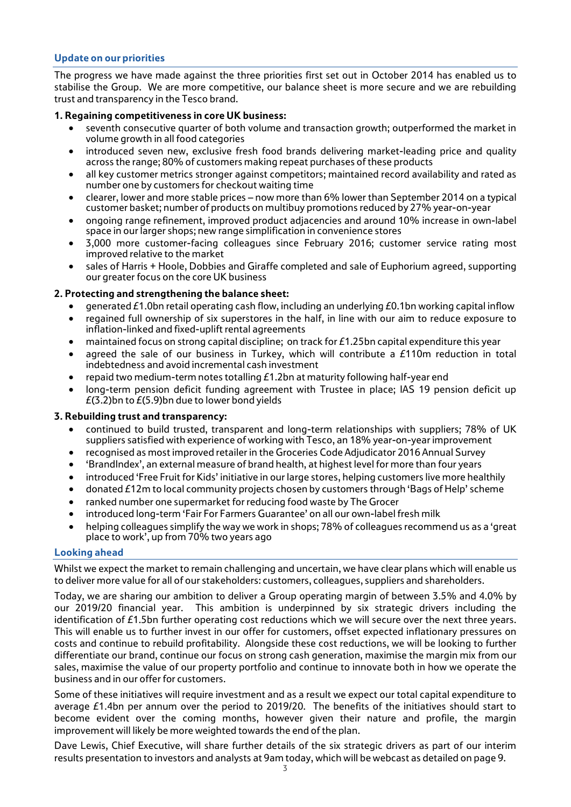# **Update on our priorities**

The progress we have made against the three priorities first set out in October 2014 has enabled us to stabilise the Group. We are more competitive, our balance sheet is more secure and we are rebuilding trust and transparency in the Tesco brand.

# **1. Regaining competitiveness in core UK business:**

- seventh consecutive quarter of both volume and transaction growth; outperformed the market in volume growth in all food categories
- introduced seven new, exclusive fresh food brands delivering market-leading price and quality across the range; 80% of customers making repeat purchases of these products
- all key customer metrics stronger against competitors; maintained record availability and rated as number one by customers for checkout waiting time
- clearer, lower and more stable prices now more than 6% lower than September 2014 on a typical customer basket; number of products on multibuy promotions reduced by 27% year-on-year
- ongoing range refinement, improved product adjacencies and around 10% increase in own-label space in our larger shops; new range simplification in convenience stores
- 3,000 more customer-facing colleagues since February 2016; customer service rating most improved relative to the market
- sales of Harris + Hoole, Dobbies and Giraffe completed and sale of Euphorium agreed, supporting our greater focus on the core UK business

# **2. Protecting and strengthening the balance sheet:**

- generated £1.0bn retail operating cash flow, including an underlying £0.1bn working capital inflow
- regained full ownership of six superstores in the half, in line with our aim to reduce exposure to inflation-linked and fixed-uplift rental agreements
- maintained focus on strong capital discipline; on track for £1.25bn capital expenditure this year
- agreed the sale of our business in Turkey, which will contribute a £110m reduction in total indebtedness and avoid incremental cash investment
- repaid two medium-term notes totalling  $E1.2$ bn at maturity following half-year end
- long-term pension deficit funding agreement with Trustee in place; IAS 19 pension deficit up  $E(3.2)$ bn to  $E(5.9)$ bn due to lower bond yields

## **3. Rebuilding trust and transparency:**

- continued to build trusted, transparent and long-term relationships with suppliers; 78% of UK suppliers satisfied with experience of working with Tesco, an 18% year-on-year improvement
- recognised as most improved retailer in the Groceries Code Adjudicator 2016 Annual Survey
- 'BrandIndex', an external measure of brand health, at highest level for more than four years
- introduced 'Free Fruit for Kids' initiative in our large stores, helping customers live more healthily
- donated £12m to local community projects chosen by customers through 'Bags of Help' scheme
- ranked number one supermarket for reducing food waste by The Grocer
- introduced long-term 'Fair For Farmers Guarantee' on all our own-label fresh milk
- helping colleagues simplify the way we work in shops; 78% of colleagues recommend us as a 'great place to work', up from 70% two years ago

## **Looking ahead**

Whilst we expect the market to remain challenging and uncertain, we have clear plans which will enable us to deliver more value for all of our stakeholders: customers, colleagues, suppliers and shareholders.

Today, we are sharing our ambition to deliver a Group operating margin of between 3.5% and 4.0% by our 2019/20 financial year. This ambition is underpinned by six strategic drivers including the identification of  $£1.5$ bn further operating cost reductions which we will secure over the next three years. This will enable us to further invest in our offer for customers, offset expected inflationary pressures on costs and continue to rebuild profitability. Alongside these cost reductions, we will be looking to further differentiate our brand, continue our focus on strong cash generation, maximise the margin mix from our sales, maximise the value of our property portfolio and continue to innovate both in how we operate the business and in our offer for customers.

Some of these initiatives will require investment and as a result we expect our total capital expenditure to average £1.4bn per annum over the period to 2019/20. The benefits of the initiatives should start to become evident over the coming months, however given their nature and profile, the margin improvement will likely be more weighted towards the end of the plan.

Dave Lewis, Chief Executive, will share further details of the six strategic drivers as part of our interim results presentation to investors and analysts at 9am today, which will be webcast as detailed on page 9.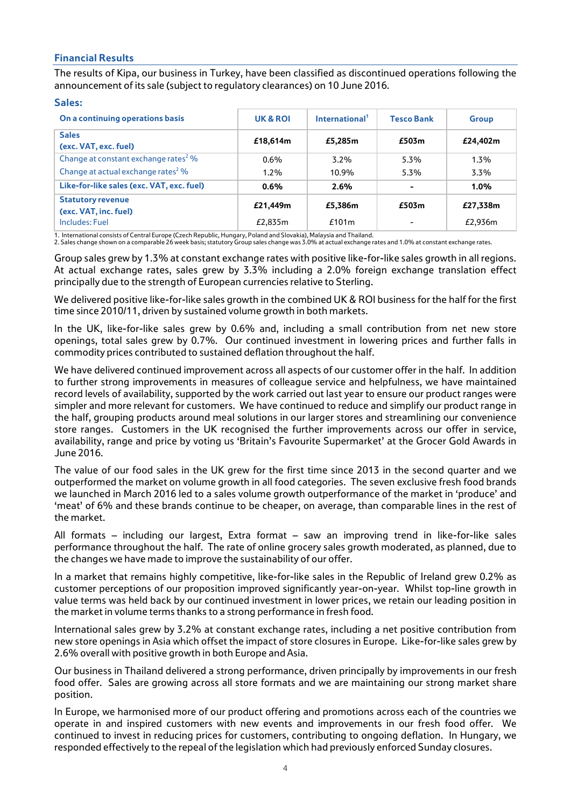# **Financial Results**

The results of Kipa, our business in Turkey, have been classified as discontinued operations following the announcement of its sale (subject to regulatory clearances) on 10 June 2016.

## **Sales:**

| On a continuing operations basis                  | UK & ROI | International <sup>1</sup> | <b>Tesco Bank</b> | <b>Group</b> |
|---------------------------------------------------|----------|----------------------------|-------------------|--------------|
| <b>Sales</b><br>(exc. VAT, exc. fuel)             | £18,614m | £5,285m                    | £503m             | £24,402m     |
| Change at constant exchange rates <sup>2</sup> %  | $0.6\%$  | $3.2\%$                    | 5.3%              | $1.3\%$      |
| Change at actual exchange rates <sup>2</sup> %    | $1.2\%$  | 10.9%                      | 5.3%              | $3.3\%$      |
| Like-for-like sales (exc. VAT, exc. fuel)         | $0.6\%$  | 2.6%                       |                   | $1.0\%$      |
| <b>Statutory revenue</b><br>(exc. VAT, inc. fuel) | £21,449m | £5,386m                    | £503m             | £27,338m     |
| Includes: Fuel                                    | £2,835m  | £101m                      |                   | £2.936m      |

1. International consists of Central Europe (Czech Republic, Hungary, Poland and Slovakia), Malaysia and Thailand.

2. Sales change shown on a comparable 26 week basis; statutory Group sales change was 3.0% at actual exchange rates and 1.0% at constant exchange rates.

Group sales grew by 1.3% at constant exchange rates with positive like-for-like sales growth in all regions. At actual exchange rates, sales grew by 3.3% including a 2.0% foreign exchange translation effect principally due to the strength of European currencies relative to Sterling.

We delivered positive like-for-like sales growth in the combined UK & ROI business for the half for the first time since 2010/11, driven by sustained volume growth in both markets.

In the UK, like-for-like sales grew by 0.6% and, including a small contribution from net new store openings, total sales grew by 0.7%. Our continued investment in lowering prices and further falls in commodity prices contributed to sustained deflation throughout the half.

We have delivered continued improvement across all aspects of our customer offer in the half. In addition to further strong improvements in measures of colleague service and helpfulness, we have maintained record levels of availability, supported by the work carried out last year to ensure our product ranges were simpler and more relevant for customers. We have continued to reduce and simplify our product range in the half, grouping products around meal solutions in our larger stores and streamlining our convenience store ranges. Customers in the UK recognised the further improvements across our offer in service, availability, range and price by voting us 'Britain's Favourite Supermarket' at the Grocer Gold Awards in June 2016.

The value of our food sales in the UK grew for the first time since 2013 in the second quarter and we outperformed the market on volume growth in all food categories. The seven exclusive fresh food brands we launched in March 2016 led to a sales volume growth outperformance of the market in 'produce' and 'meat' of 6% and these brands continue to be cheaper, on average, than comparable lines in the rest of the market.

All formats – including our largest, Extra format – saw an improving trend in like-for-like sales performance throughout the half. The rate of online grocery sales growth moderated, as planned, due to the changes we have made to improve the sustainability of our offer.

In a market that remains highly competitive, like-for-like sales in the Republic of Ireland grew 0.2% as customer perceptions of our proposition improved significantly year-on-year. Whilst top-line growth in value terms was held back by our continued investment in lower prices, we retain our leading position in the market in volume terms thanks to a strong performance in fresh food.

International sales grew by 3.2% at constant exchange rates, including a net positive contribution from new store openings in Asia which offset the impact of store closures in Europe. Like-for-like sales grew by 2.6% overall with positive growth in both Europe and Asia.

Our business in Thailand delivered a strong performance, driven principally by improvements in our fresh food offer. Sales are growing across all store formats and we are maintaining our strong market share position.

In Europe, we harmonised more of our product offering and promotions across each of the countries we operate in and inspired customers with new events and improvements in our fresh food offer. We continued to invest in reducing prices for customers, contributing to ongoing deflation. In Hungary, we responded effectively to the repeal of the legislation which had previously enforced Sunday closures.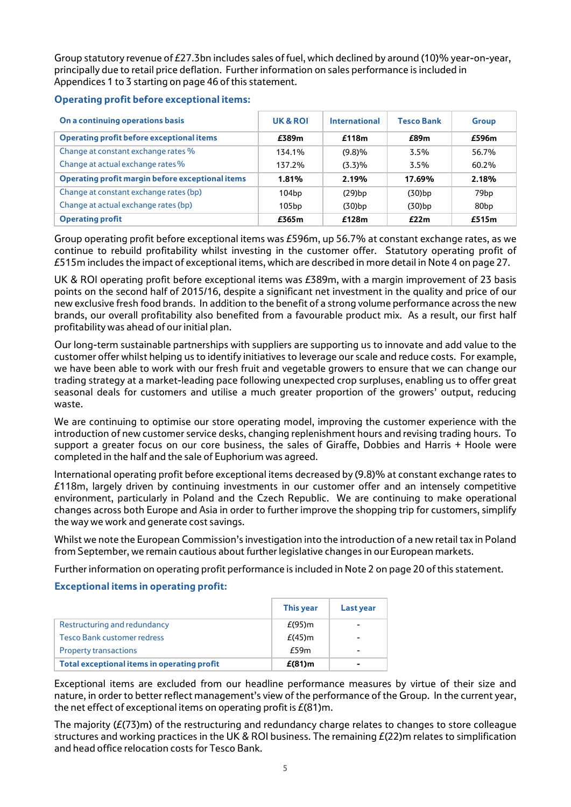Group statutory revenue of £27.3bn includes sales of fuel, which declined by around (10)% year-on-year, principally due to retail price deflation. Further information on sales performance is included in Appendices 1 to 3 starting on page 46 of this statement.

# **Operating profit before exceptional items:**

| On a continuing operations basis                 | UK & ROI | International | <b>Tesco Bank</b> | <b>Group</b>     |
|--------------------------------------------------|----------|---------------|-------------------|------------------|
| <b>Operating profit before exceptional items</b> | £389m    | £118m         | £89m              | £596m            |
| Change at constant exchange rates %              | 134.1%   | (9.8)%        | $3.5\%$           | 56.7%            |
| Change at actual exchange rates %                | 137.2%   | (3.3)%        | 3.5%              | 60.2%            |
| Operating profit margin before exceptional items | 1.81%    | 2.19%         | 17.69%            | 2.18%            |
| Change at constant exchange rates (bp)           | 104bp    | (29)bp        | $(30)$ bp         | 79bp             |
| Change at actual exchange rates (bp)             | 105bp    | (30)bp        | (30)bp            | 80 <sub>bp</sub> |
| <b>Operating profit</b>                          | £365m    | £128m         | E22m              | £515m            |

Group operating profit before exceptional items was £596m, up 56.7% at constant exchange rates, as we continue to rebuild profitability whilst investing in the customer offer. Statutory operating profit of £515m includes the impact of exceptional items, which are described in more detail in Note 4 on page 27.

UK & ROI operating profit before exceptional items was £389m, with a margin improvement of 23 basis points on the second half of 2015/16, despite a significant net investment in the quality and price of our new exclusive fresh food brands. In addition to the benefit of a strong volume performance across the new brands, our overall profitability also benefited from a favourable product mix. As a result, our first half profitability was ahead of our initial plan.

Our long-term sustainable partnerships with suppliers are supporting us to innovate and add value to the customer offer whilst helping us to identify initiatives to leverage our scale and reduce costs. For example, we have been able to work with our fresh fruit and vegetable growers to ensure that we can change our trading strategy at a market-leading pace following unexpected crop surpluses, enabling us to offer great seasonal deals for customers and utilise a much greater proportion of the growers' output, reducing waste.

We are continuing to optimise our store operating model, improving the customer experience with the introduction of new customer service desks, changing replenishment hours and revising trading hours. To support a greater focus on our core business, the sales of Giraffe, Dobbies and Harris + Hoole were completed in the half and the sale of Euphorium was agreed.

International operating profit before exceptional items decreased by (9.8)% at constant exchange rates to £118m, largely driven by continuing investments in our customer offer and an intensely competitive environment, particularly in Poland and the Czech Republic. We are continuing to make operational changes across both Europe and Asia in order to further improve the shopping trip for customers, simplify the way we work and generate cost savings.

Whilst we note the European Commission's investigation into the introduction of a new retail tax in Poland from September, we remain cautious about further legislative changes in our European markets.

Further information on operating profit performance is included in Note 2 on page 20 of this statement.

# **Exceptional items in operating profit:**

|                                             | This year | Last year |
|---------------------------------------------|-----------|-----------|
| Restructuring and redundancy                | $E(95)$ m |           |
| Tesco Bank customer redress                 | $E(45)$ m |           |
| <b>Property transactions</b>                | E59m      | -         |
| Total exceptional items in operating profit | $E(81)$ m |           |

Exceptional items are excluded from our headline performance measures by virtue of their size and nature, in order to better reflect management's view of the performance of the Group. In the current year, the net effect of exceptional items on operating profit is  $E(81)$ m.

The majority  $(E(73)m)$  of the restructuring and redundancy charge relates to changes to store colleague structures and working practices in the UK & ROI business. The remaining  $E(22)$ m relates to simplification and head office relocation costs for Tesco Bank.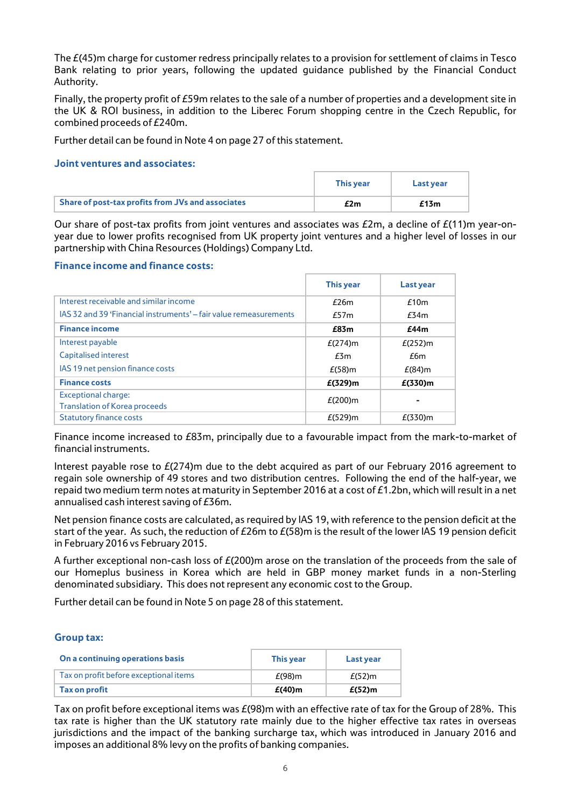The £(45)m charge for customer redress principally relates to a provision for settlement of claims in Tesco Bank relating to prior years, following the updated guidance published by the Financial Conduct Authority.

Finally, the property profit of £59m relates to the sale of a number of properties and a development site in the UK & ROI business, in addition to the Liberec Forum shopping centre in the Czech Republic, for combined proceeds of £240m.

Further detail can be found in Note 4 on page 27 of this statement.

## **Joint ventures and associates:**

|                                                   | <b>This year</b> | Last vear |
|---------------------------------------------------|------------------|-----------|
| Share of post-tax profits from JVs and associates | £2m              | £13m      |

Our share of post-tax profits from joint ventures and associates was  $E2m$ , a decline of  $E(11)m$  year-onyear due to lower profits recognised from UK property joint ventures and a higher level of losses in our partnership with China Resources (Holdings) Company Ltd.

## **Finance income and finance costs:**

|                                                                   | <b>This year</b> | Last year  |
|-------------------------------------------------------------------|------------------|------------|
| Interest receivable and similar income                            | E26m             | £10m       |
| IAS 32 and 39 'Financial instruments' – fair value remeasurements | E57m             | E34m       |
| <b>Finance income</b>                                             | £83m             | £44m       |
| Interest payable                                                  | $E(274)$ m       | $E(252)$ m |
| Capitalised interest                                              | E3m              | £6m        |
| IAS 19 net pension finance costs                                  | $E(58)$ m        | $E(84)$ m  |
| <b>Finance costs</b>                                              | $E(329)$ m       | $E(330)$ m |
| <b>Exceptional charge:</b>                                        | $E(200)$ m       |            |
| <b>Translation of Korea proceeds</b>                              |                  |            |
| <b>Statutory finance costs</b>                                    | $E(529)$ m       | $E(330)$ m |

Finance income increased to £83m, principally due to a favourable impact from the mark-to-market of financial instruments.

Interest payable rose to £(274)m due to the debt acquired as part of our February 2016 agreement to regain sole ownership of 49 stores and two distribution centres. Following the end of the half-year, we repaid two medium term notes at maturity in September 2016 at a cost of £1.2bn, which will result in a net annualised cash interest saving of £36m.

Net pension finance costs are calculated, as required by IAS 19, with reference to the pension deficit at the start of the year. As such, the reduction of £26m to £(58)m is the result of the lower IAS 19 pension deficit in February 2016 vs February 2015.

A further exceptional non-cash loss of £(200)m arose on the translation of the proceeds from the sale of our Homeplus business in Korea which are held in GBP money market funds in a non-Sterling denominated subsidiary.This does not represent any economic costto the Group.

Further detail can be found in Note 5 on page 28 of this statement.

## **Group tax:**

| On a continuing operations basis       | <b>This year</b> | Last year |
|----------------------------------------|------------------|-----------|
| Tax on profit before exceptional items | $E(98)$ m        | $E(52)$ m |
| Tax on profit                          | $E(40)$ m        | $E(52)$ m |

Tax on profit before exceptional items was  $E(98)$ m with an effective rate of tax for the Group of 28%. This tax rate is higher than the UK statutory rate mainly due to the higher effective tax rates in overseas jurisdictions and the impact of the banking surcharge tax, which was introduced in January 2016 and imposes an additional 8% levy on the profits of banking companies.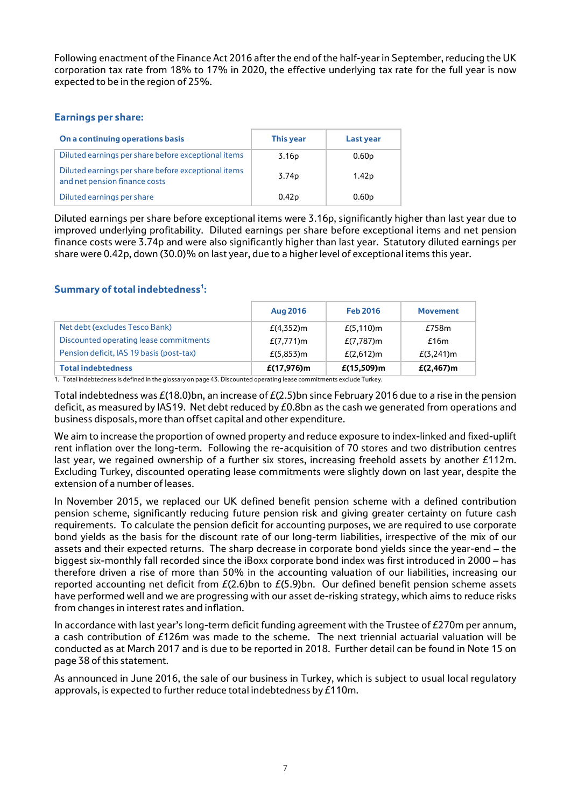Following enactment of the Finance Act 2016 after the end of the half-year in September, reducing the UK corporation tax rate from 18% to 17% in 2020, the effective underlying tax rate for the full year is now expected to be in the region of 25%.

# **Earnings per share:**

| On a continuing operations basis                                                     | This year         | Last year         |
|--------------------------------------------------------------------------------------|-------------------|-------------------|
| Diluted earnings per share before exceptional items                                  | 3.16 <sub>p</sub> | 0.60 <sub>p</sub> |
| Diluted earnings per share before exceptional items<br>and net pension finance costs | 3.74 <sub>p</sub> | 1.42 <sub>p</sub> |
| Diluted earnings per share                                                           | 0.42 <sub>D</sub> | 0.60 <sub>p</sub> |

Diluted earnings per share before exceptional items were 3.16p, significantly higher than last year due to improved underlying profitability. Diluted earnings per share before exceptional items and net pension finance costs were 3.74p and were also significantly higher than last year. Statutory diluted earnings per share were 0.42p, down (30.0)% on last year, due to a higher level of exceptional items this year.

# Summary of total indebtedness<sup>1</sup>:

|                                          | Aug 2016      | <b>Feb 2016</b> | <b>Movement</b> |
|------------------------------------------|---------------|-----------------|-----------------|
| Net debt (excludes Tesco Bank)           | $E(4,352)$ m  | $E(5, 110)$ m   | £758m           |
| Discounted operating lease commitments   | $E(7,771)$ m  | $E(7,787)$ m    | £16m            |
| Pension deficit, IAS 19 basis (post-tax) | $E(5,853)$ m  | $E(2,612)$ m    | $E(3,241)$ m    |
| <b>Total indebtedness</b>                | $E(17,976)$ m | $E(15,509)$ m   | $E(2,467)$ m    |

1. Total indebtedness is defined in the glossary on page 43.Discounted operating lease commitments exclude Turkey.

Total indebtedness was  $E(18.0)$ bn, an increase of  $E(2.5)$ bn since February 2016 due to a rise in the pension deficit, as measured by IAS19. Net debt reduced by  $E0.8$ bn as the cash we generated from operations and business disposals, more than offset capital and other expenditure.

We aim to increase the proportion of owned property and reduce exposure to index-linked and fixed-uplift rent inflation over the long-term. Following the re-acquisition of 70 stores and two distribution centres last year, we regained ownership of a further six stores, increasing freehold assets by another £112m. Excluding Turkey, discounted operating lease commitments were slightly down on last year, despite the extension of a number of leases.

In November 2015, we replaced our UK defined benefit pension scheme with a defined contribution pension scheme, significantly reducing future pension risk and giving greater certainty on future cash requirements. To calculate the pension deficit for accounting purposes, we are required to use corporate bond yields as the basis for the discount rate of our long-term liabilities, irrespective of the mix of our assets and their expected returns. The sharp decrease in corporate bond yields since the year-end – the biggest six-monthly fall recorded since the iBoxx corporate bond index was first introduced in 2000 – has therefore driven a rise of more than 50% in the accounting valuation of our liabilities, increasing our reported accounting net deficit from  $E(2.6)$ bn to  $E(5.9)$ bn. Our defined benefit pension scheme assets have performed well and we are progressing with our asset de-risking strategy, which aims to reduce risks from changes in interest rates and inflation.

In accordance with last year's long-term deficit funding agreement with the Trustee of £270m per annum, a cash contribution of £126m was made to the scheme. The next triennial actuarial valuation will be conducted as at March 2017 and is due to be reported in 2018. Further detail can be found in Note 15 on page 38 of this statement.

As announced in June 2016, the sale of our business in Turkey, which is subject to usual local regulatory approvals, is expected to further reduce total indebtedness by £110m.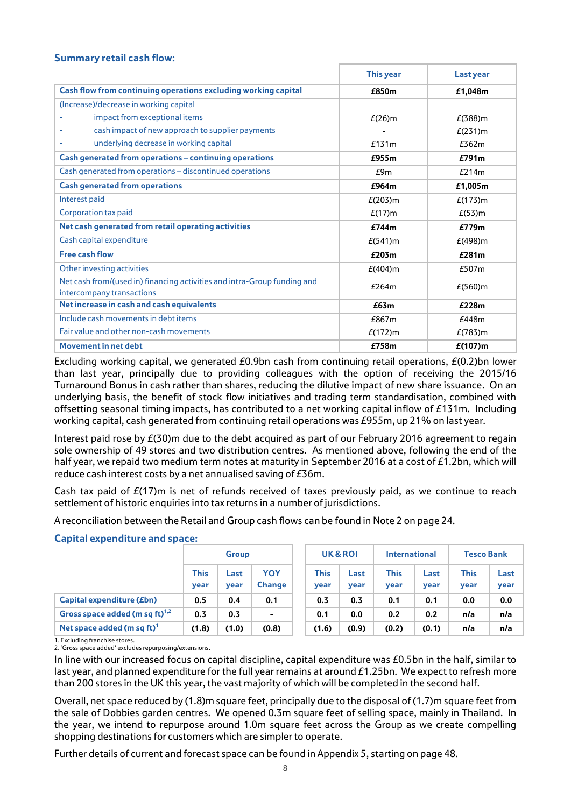# **Summary retail cash flow:**

|                                                                                                       | <b>This year</b> | Last year  |
|-------------------------------------------------------------------------------------------------------|------------------|------------|
| Cash flow from continuing operations excluding working capital                                        | £850m            | £1,048m    |
| (Increase)/decrease in working capital                                                                |                  |            |
| impact from exceptional items                                                                         | $E(26)$ m        | $E(388)$ m |
| cash impact of new approach to supplier payments                                                      |                  | $E(231)$ m |
| underlying decrease in working capital                                                                | £131m            | £362m      |
| Cash generated from operations – continuing operations                                                | £955m            | £791m      |
| Cash generated from operations - discontinued operations                                              | E9m              | £214m      |
| <b>Cash generated from operations</b>                                                                 | £964m            | £1,005m    |
| Interest paid                                                                                         | $E(203)$ m       | $E(173)$ m |
| Corporation tax paid                                                                                  | $E(17)$ m        | $E(53)$ m  |
| Net cash generated from retail operating activities                                                   | £744m            | £779m      |
| Cash capital expenditure                                                                              | $E(541)$ m       | $E(498)$ m |
| <b>Free cash flow</b>                                                                                 | £203m            | £281m      |
| Other investing activities                                                                            | $E(404)$ m       | £507m      |
| Net cash from/(used in) financing activities and intra-Group funding and<br>intercompany transactions | £264m            | $E(560)$ m |
| Net increase in cash and cash equivalents                                                             | £63m             | £228m      |
| Include cash movements in debt items                                                                  | £867m            | £448m      |
| Fair value and other non-cash movements                                                               | $E(172)$ m       | $E(783)$ m |
| <b>Movement in net debt</b>                                                                           | £758m            | $E(107)$ m |

Excluding working capital, we generated  $E0.9$ bn cash from continuing retail operations,  $E(0.2)$ bn lower than last year, principally due to providing colleagues with the option of receiving the 2015/16 Turnaround Bonus in cash rather than shares, reducing the dilutive impact of new share issuance. On an underlying basis, the benefit of stock flow initiatives and trading term standardisation, combined with offsetting seasonal timing impacts, has contributed to a net working capital inflow of £131m. Including working capital, cash generated from continuing retail operations was £955m, up 21% on last year.

Interest paid rose by  $E(30)$ m due to the debt acquired as part of our February 2016 agreement to regain sole ownership of 49 stores and two distribution centres. As mentioned above, following the end of the half year, we repaid two medium term notes at maturity in September 2016 at a cost of £1.2bn, which will reduce cash interest costs by a net annualised saving of £36m.

Cash tax paid of  $E(17)$ m is net of refunds received of taxes previously paid, as we continue to reach settlement of historic enquiries into tax returns in a number of jurisdictions.

A reconciliation between the Retail and Group cash flows can be found in Note 2 on page 24.

|                                        | <b>Group</b>        |              | UK & ROI             |                     | International |                     | <b>Tesco Bank</b> |                     |              |
|----------------------------------------|---------------------|--------------|----------------------|---------------------|---------------|---------------------|-------------------|---------------------|--------------|
|                                        | <b>This</b><br>year | Last<br>year | YOY<br><b>Change</b> | <b>This</b><br>year | Last<br>year  | <b>This</b><br>year | Last<br>year      | <b>This</b><br>year | Last<br>year |
| Capital expenditure ( <i>Ebn</i> )     | 0.5                 | 0.4          | 0.1                  | 0.3                 | 0.3           | 0.1                 | 0.1               | 0.0                 | 0.0          |
| Gross space added (m sq ft) $^{1,2}$   | 0.3                 | 0.3          | $\sim$               | 0.1                 | 0.0           | 0.2                 | 0.2               | n/a                 | n/a          |
| Net space added (m sq ft) <sup>1</sup> | (1.8)               | (1.0)        | (0.8)                | (1.6)               | (0.9)         | (0.2)               | (0.1)             | n/a                 | n/a          |

# **Capital expenditure and space:**

1. Excluding franchise stores.

2. 'Gross space added' excludes repurposing/extensions.

In line with our increased focus on capital discipline, capital expenditure was £0.5bn in the half, similar to last year, and planned expenditure for the full year remains at around £1.25bn. We expect to refresh more than 200 stores in the UK this year, the vast majority of which will be completed in the second half.

Overall, net space reduced by (1.8)m square feet, principally due to the disposal of (1.7)m square feet from the sale of Dobbies garden centres. We opened 0.3m square feet of selling space, mainly in Thailand. In the year, we intend to repurpose around 1.0m square feet across the Group as we create compelling shopping destinations for customers which are simpler to operate.

Further details of current and forecast space can be found in Appendix 5, starting on page 48.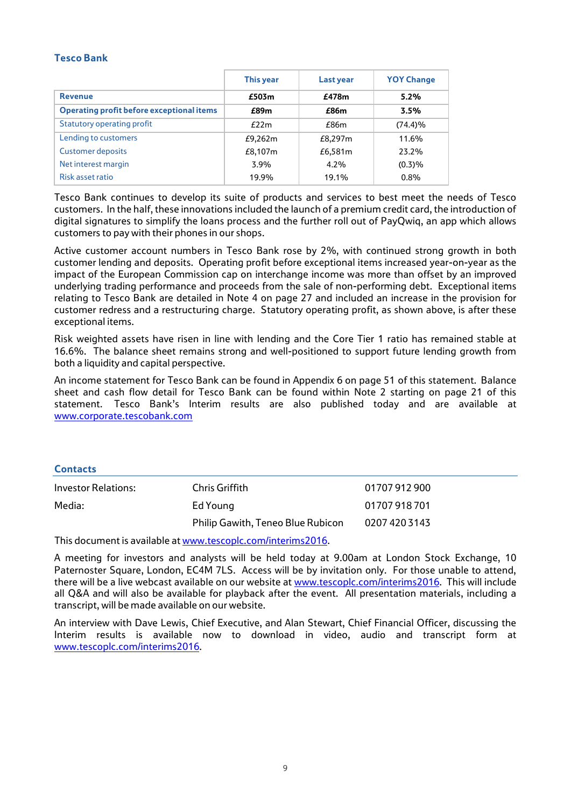# **Tesco Bank**

|                                                  | This year | Last year | <b>YOY Change</b> |
|--------------------------------------------------|-----------|-----------|-------------------|
| <b>Revenue</b>                                   | £503m     | £478m     | 5.2%              |
| <b>Operating profit before exceptional items</b> | £89m      | £86m      | 3.5%              |
| <b>Statutory operating profit</b>                | f22m      | f86m      | $(74.4)\%$        |
| Lending to customers                             | £9,262m   | £8,297m   | 11.6%             |
| <b>Customer deposits</b>                         | £8,107m   | £6,581m   | 23.2%             |
| Net interest margin                              | 3.9%      | $4.2\%$   | (0.3)%            |
| Risk asset ratio                                 | 19.9%     | 19.1%     | $0.8\%$           |

Tesco Bank continues to develop its suite of products and services to best meet the needs of Tesco customers. In the half, these innovations included the launch of a premium credit card, the introduction of digital signatures to simplify the loans process and the further roll out of PayQwiq, an app which allows customers to pay with their phones in our shops.

Active customer account numbers in Tesco Bank rose by 2%, with continued strong growth in both customer lending and deposits. Operating profit before exceptional items increased year-on-year as the impact of the European Commission cap on interchange income was more than offset by an improved underlying trading performance and proceeds from the sale of non-performing debt. Exceptional items relating to Tesco Bank are detailed in Note 4 on page 27 and included an increase in the provision for customer redress and a restructuring charge. Statutory operating profit, as shown above, is after these exceptional items.

Risk weighted assets have risen in line with lending and the Core Tier 1 ratio has remained stable at 16.6%. The balance sheet remains strong and well-positioned to support future lending growth from both a liquidity and capital perspective.

An income statement for Tesco Bank can be found in Appendix 6 on page 51 of this statement. Balance sheet and cash flow detail for Tesco Bank can be found within Note 2 starting on page 21 of this statement. Tesco Bank's Interim results are also published today and are available at [www.corporate.tescobank.com](http://www.corporate.tescobank.com/)

## **Contacts**

| Investor Relations: | Chris Griffith                    | 01707912900   |
|---------------------|-----------------------------------|---------------|
| Media:              | Ed Young                          | 01707918701   |
|                     | Philip Gawith, Teneo Blue Rubicon | 0207 420 3143 |

This document is available a[t www.tescoplc.com/interims2016.](http://www.tescoplc.com/interims2016)

A meeting for investors and analysts will be held today at 9.00am at London Stock Exchange, 10 Paternoster Square, London, EC4M 7LS. Access will be by invitation only. For those unable to attend, there will be a live webcast available on our website at [www.tescoplc.com/interims2016.](http://www.tescoplc.com/interims2016) This will include all Q&A and will also be available for playback after the event. All presentation materials, including a transcript, will be made available on our website.

An interview with Dave Lewis, Chief Executive, and Alan Stewart, Chief Financial Officer, discussing the Interim results is available now to download in video, audio and transcript form at [www.tescoplc.com/interims2016.](http://www.tescoplc.com/interims2016)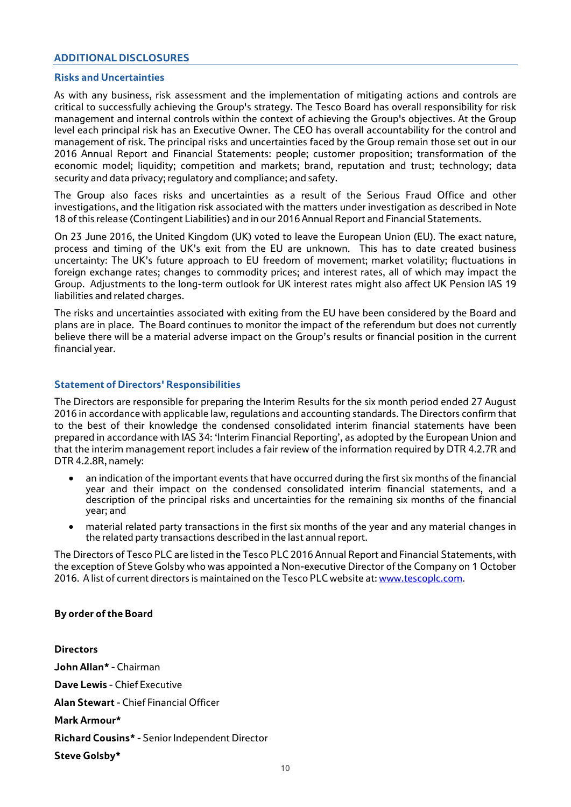# **ADDITIONAL DISCLOSURES**

## **Risks and Uncertainties**

As with any business, risk assessment and the implementation of mitigating actions and controls are critical to successfully achieving the Group's strategy. The Tesco Board has overall responsibility for risk management and internal controls within the context of achieving the Group's objectives. At the Group level each principal risk has an Executive Owner. The CEO has overall accountability for the control and management of risk. The principal risks and uncertainties faced by the Group remain those set out in our 2016 Annual Report and Financial Statements: people; customer proposition; transformation of the economic model; liquidity; competition and markets; brand, reputation and trust; technology; data security and data privacy; regulatory and compliance; and safety.

The Group also faces risks and uncertainties as a result of the Serious Fraud Office and other investigations, and the litigation risk associated with the matters under investigation as described in Note 18 of this release (Contingent Liabilities) and in our 2016 Annual Report and Financial Statements.

On 23 June 2016, the United Kingdom (UK) voted to leave the European Union (EU). The exact nature, process and timing of the UK's exit from the EU are unknown. This has to date created business uncertainty: The UK's future approach to EU freedom of movement; market volatility; fluctuations in foreign exchange rates; changes to commodity prices; and interest rates, all of which may impact the Group. Adjustments to the long-term outlook for UK interest rates might also affect UK Pension IAS 19 liabilities and related charges.

The risks and uncertainties associated with exiting from the EU have been considered by the Board and plans are in place. The Board continues to monitor the impact of the referendum but does not currently believe there will be a material adverse impact on the Group's results or financial position in the current financial year.

## **Statement of Directors' Responsibilities**

The Directors are responsible for preparing the Interim Results for the six month period ended 27 August 2016 in accordance with applicable law, regulations and accounting standards. The Directors confirm that to the best of their knowledge the condensed consolidated interim financial statements have been prepared in accordance with IAS 34: 'Interim Financial Reporting', as adopted by the European Union and that the interim management report includes a fair review of the information required by DTR 4.2.7R and DTR 4.2.8R, namely:

- an indication of the important events that have occurred during the first six months of the financial year and their impact on the condensed consolidated interim financial statements, and a description of the principal risks and uncertainties for the remaining six months of the financial year; and
- material related party transactions in the first six months of the year and any material changes in the related party transactions described in the last annual report.

The Directors of Tesco PLC are listed in the Tesco PLC 2016 Annual Report and Financial Statements, with the exception of Steve Golsby who was appointed a Non-executive Director of the Company on 1 October 2016. A list of current directors is maintained on the Tesco PLC website at[: www.tescoplc.com.](http://www.tescoplc.com/)

## **By order of the Board**

**Directors John Allan\*** - Chairman **Dave Lewis** - Chief Executive **Alan Stewart** - Chief Financial Officer **Mark Armour\* Richard Cousins\*** - Senior Independent Director **Steve Golsby\***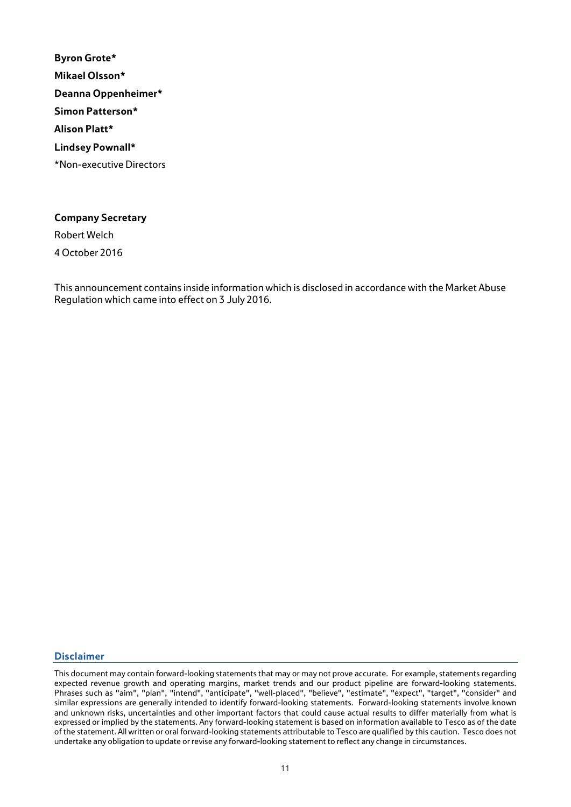**Byron Grote\* Mikael Olsson\* Deanna Oppenheimer\* Simon Patterson\* Alison Platt\* Lindsey Pownall\*** \*Non-executive Directors

# **Company Secretary**

Robert Welch

4 October 2016

This announcement contains inside information which is disclosed in accordance with the Market Abuse Regulation which came into effect on 3 July 2016.

## **Disclaimer**

This document may contain forward-looking statements that may or may not prove accurate. For example, statements regarding expected revenue growth and operating margins, market trends and our product pipeline are forward-looking statements. Phrases such as "aim", "plan", "intend", "anticipate", "well-placed", "believe", "estimate", "expect", "target", "consider" and similar expressions are generally intended to identify forward-looking statements. Forward-looking statements involve known and unknown risks, uncertainties and other important factors that could cause actual results to differ materially from what is expressed or implied by the statements. Any forward-looking statement is based on information available to Tesco as of the date of the statement. All written or oral forward-looking statements attributable to Tesco are qualified by this caution. Tesco does not undertake any obligation to update or revise any forward-looking statement to reflect any change in circumstances.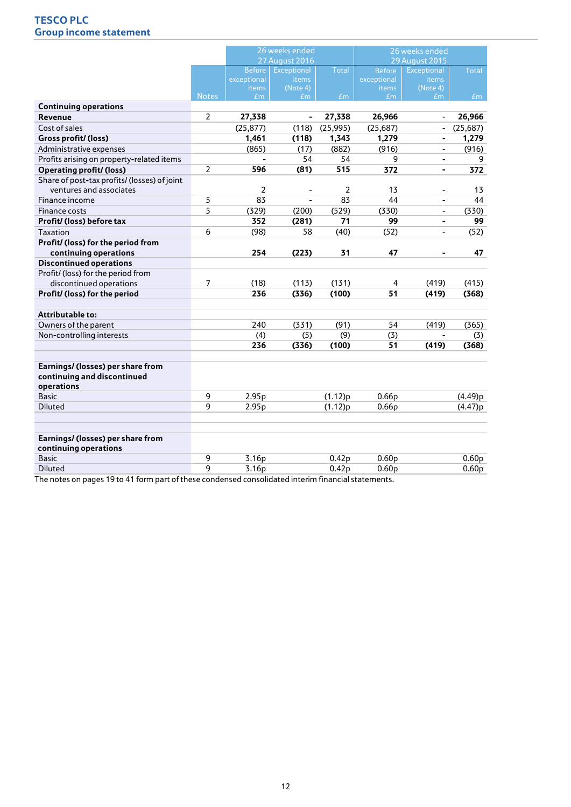# **TESCO PLC Group income statement**

|                                                                         |                |               | 26 weeks ended     |                   | 26 weeks ended    |                              |                   |
|-------------------------------------------------------------------------|----------------|---------------|--------------------|-------------------|-------------------|------------------------------|-------------------|
|                                                                         |                |               | 27 August 2016     |                   |                   | <b>29 August 2015</b>        |                   |
|                                                                         |                | <b>Before</b> | <b>Exceptional</b> | <b>Total</b>      | <b>Before</b>     | <b>Exceptional</b>           | <b>Total</b>      |
|                                                                         |                | exceptional   | items              |                   | exceptional       | items                        |                   |
|                                                                         | <b>Notes</b>   | items         | (Note 4)           |                   | items             | (Note 4)                     |                   |
|                                                                         |                | Em            | Em                 | Em                | Em                | Em                           | Em                |
| <b>Continuing operations</b><br>Revenue                                 | $\overline{2}$ | 27,338        | ä,                 | 27,338            | 26,966            | $\overline{\phantom{a}}$     | 26,966            |
| Cost of sales                                                           |                |               |                    |                   |                   |                              |                   |
|                                                                         |                | (25, 877)     | (118)              | (25, 995)         | (25,687)          | $\overline{\phantom{a}}$     | (25,687)          |
| Gross profit/ (loss)                                                    |                | 1,461         | (118)              | 1,343             | 1,279             | $\overline{\phantom{a}}$     | 1,279             |
| Administrative expenses                                                 |                | (865)         | (17)               | (882)             | (916)             | $\overline{\phantom{a}}$     | (916)             |
| Profits arising on property-related items                               |                |               | 54                 | 54                | 9                 |                              | 9                 |
| <b>Operating profit/ (loss)</b>                                         | $\overline{2}$ | 596           | (81)               | 515               | 372               | ä,                           | 372               |
| Share of post-tax profits/ (losses) of joint<br>ventures and associates |                | 2             |                    | $\overline{2}$    | 13                |                              |                   |
|                                                                         |                |               |                    |                   |                   | $\qquad \qquad \blacksquare$ | 13                |
| Finance income                                                          | 5              | 83            | $\blacksquare$     | 83                | 44                | $\blacksquare$               | 44                |
| Finance costs                                                           | 5              | (329)         | (200)              | (529)             | (330)             | $\overline{\phantom{a}}$     | (330)             |
| Profit/ (loss) before tax                                               |                | 352           | (281)              | 71                | 99                | ä,                           | 99                |
| Taxation                                                                | 6              | (98)          | 58                 | (40)              | (52)              | $\overline{\phantom{a}}$     | (52)              |
| Profit/ (loss) for the period from                                      |                |               |                    |                   |                   |                              |                   |
| continuing operations                                                   |                | 254           | (223)              | 31                | 47                | ä,                           | 47                |
| <b>Discontinued operations</b>                                          |                |               |                    |                   |                   |                              |                   |
| Profit/ (loss) for the period from                                      |                |               |                    |                   |                   |                              |                   |
| discontinued operations                                                 | 7              | (18)          | (113)              | (131)             | 4                 | (419)                        | (415)             |
| Profit/ (loss) for the period                                           |                | 236           | (336)              | (100)             | 51                | (419)                        | (368)             |
|                                                                         |                |               |                    |                   |                   |                              |                   |
| <b>Attributable to:</b>                                                 |                |               |                    |                   |                   |                              |                   |
| Owners of the parent                                                    |                | 240           | (331)              | (91)              | 54                | (419)                        | (365)             |
| Non-controlling interests                                               |                | (4)           | (5)                | (9)               | (3)               | $\overline{\phantom{a}}$     | (3)               |
|                                                                         |                | 236           | (336)              | (100)             | 51                | (419)                        | (368)             |
|                                                                         |                |               |                    |                   |                   |                              |                   |
| Earnings/ (losses) per share from                                       |                |               |                    |                   |                   |                              |                   |
| continuing and discontinued                                             |                |               |                    |                   |                   |                              |                   |
| operations                                                              |                |               |                    |                   |                   |                              |                   |
| <b>Basic</b>                                                            | 9              | 2.95p         |                    | (1.12)p           | 0.66p             |                              | (4.49)p           |
| <b>Diluted</b>                                                          | 9              | 2.95p         |                    | (1.12)p           | 0.66p             |                              | (4.47)p           |
|                                                                         |                |               |                    |                   |                   |                              |                   |
|                                                                         |                |               |                    |                   |                   |                              |                   |
| Earnings/ (losses) per share from                                       |                |               |                    |                   |                   |                              |                   |
| continuing operations                                                   |                |               |                    |                   |                   |                              |                   |
| <b>Basic</b>                                                            | 9              | 3.16p         |                    | 0.42 <sub>p</sub> | 0.60 <sub>p</sub> |                              | 0.60 <sub>p</sub> |
| <b>Diluted</b>                                                          | 9              | 3.16p         |                    | 0.42 <sub>p</sub> | 0.60 <sub>p</sub> |                              | 0.60 <sub>p</sub> |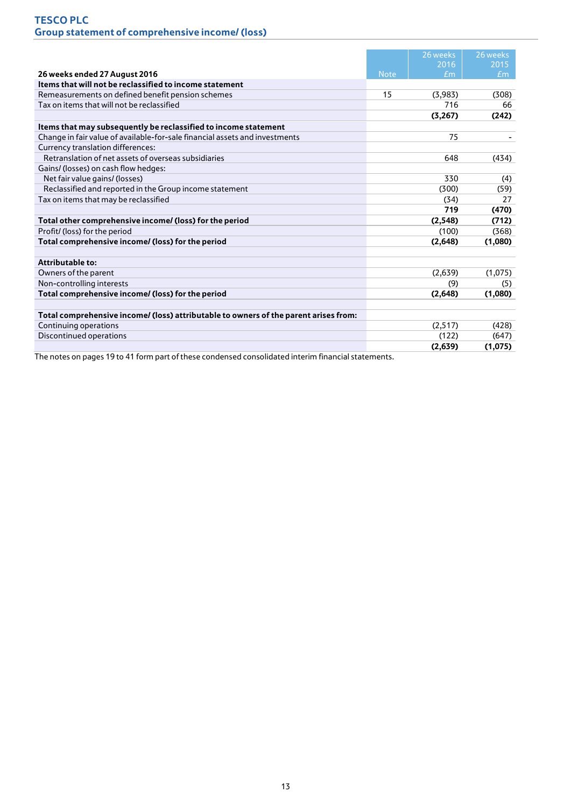|                                                                                      |             | 26 weeks    | 26 weeks |
|--------------------------------------------------------------------------------------|-------------|-------------|----------|
|                                                                                      |             | 2016        | 2015     |
| 26 weeks ended 27 August 2016                                                        | <b>Note</b> | $\pounds$ m | Em       |
| Items that will not be reclassified to income statement                              |             |             |          |
| Remeasurements on defined benefit pension schemes                                    | 15          | (3,983)     | (308)    |
| Tax on items that will not be reclassified                                           |             | 716         | 66       |
|                                                                                      |             | (3,267)     | (242)    |
| Items that may subsequently be reclassified to income statement                      |             |             |          |
| Change in fair value of available-for-sale financial assets and investments          |             | 75          |          |
| Currency translation differences:                                                    |             |             |          |
| Retranslation of net assets of overseas subsidiaries                                 |             | 648         | (434)    |
| Gains/ (losses) on cash flow hedges:                                                 |             |             |          |
| Net fair value gains/ (losses)                                                       |             | 330         | (4)      |
| Reclassified and reported in the Group income statement                              |             | (300)       | (59)     |
| Tax on items that may be reclassified                                                |             | (34)        | 27       |
|                                                                                      |             | 719         | (470)    |
| Total other comprehensive income/ (loss) for the period                              |             | (2,548)     | (712)    |
| Profit/ (loss) for the period                                                        |             | (100)       | (368)    |
| Total comprehensive income/ (loss) for the period                                    |             | (2,648)     | (1,080)  |
|                                                                                      |             |             |          |
| <b>Attributable to:</b>                                                              |             |             |          |
| Owners of the parent                                                                 |             | (2,639)     | (1,075)  |
| Non-controlling interests                                                            |             | (9)         | (5)      |
| Total comprehensive income/ (loss) for the period                                    |             | (2,648)     | (1,080)  |
| Total comprehensive income/ (loss) attributable to owners of the parent arises from: |             |             |          |
| Continuing operations                                                                |             | (2,517)     | (428)    |
| Discontinued operations                                                              |             | (122)       | (647)    |
|                                                                                      |             | (2,639)     | (1,075)  |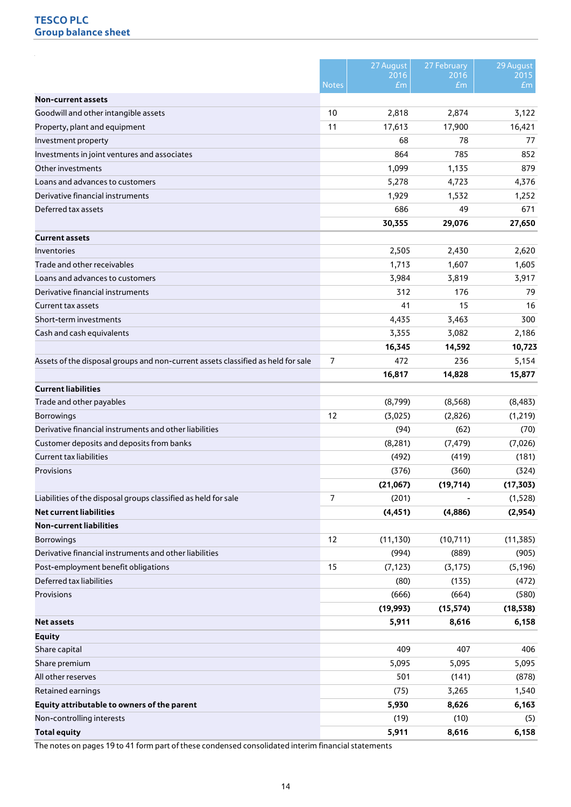|                                                                                  |                   | 27 August<br>2016 | 27 February<br>2016 | 29 August<br>2015 |
|----------------------------------------------------------------------------------|-------------------|-------------------|---------------------|-------------------|
|                                                                                  | <b>Notes</b>      | E <sub>m</sub>    | E <sub>m</sub>      | Em                |
| <b>Non-current assets</b><br>Goodwill and other intangible assets                | 10                |                   |                     |                   |
|                                                                                  | 11                | 2,818             | 2,874               | 3,122<br>16,421   |
| Property, plant and equipment                                                    |                   | 17,613            | 17,900              |                   |
| Investment property                                                              |                   | 68                | 78                  | 77                |
| Investments in joint ventures and associates                                     |                   | 864               | 785                 | 852               |
| Other investments                                                                |                   | 1,099             | 1,135               | 879               |
| Loans and advances to customers                                                  |                   | 5,278             | 4,723               | 4,376             |
| Derivative financial instruments                                                 |                   | 1,929             | 1,532               | 1,252             |
| Deferred tax assets                                                              |                   | 686               | 49                  | 671               |
|                                                                                  |                   | 30,355            | 29,076              | 27,650            |
| <b>Current assets</b>                                                            |                   |                   |                     |                   |
| Inventories                                                                      |                   | 2,505             | 2,430               | 2,620             |
| Trade and other receivables                                                      |                   | 1,713             | 1,607               | 1,605             |
| Loans and advances to customers                                                  |                   | 3,984             | 3,819               | 3,917             |
| Derivative financial instruments                                                 |                   | 312               | 176                 | 79                |
| <b>Current tax assets</b>                                                        |                   | 41                | 15                  | 16                |
| Short-term investments                                                           |                   | 4,435             | 3,463               | 300               |
| Cash and cash equivalents                                                        |                   | 3,355             | 3,082               | 2,186             |
|                                                                                  |                   | 16,345            | 14,592              | 10,723            |
| Assets of the disposal groups and non-current assets classified as held for sale | 7                 | 472               | 236                 | 5,154             |
|                                                                                  |                   | 16,817            | 14,828              | 15,877            |
| <b>Current liabilities</b>                                                       |                   |                   |                     |                   |
| Trade and other payables                                                         |                   | (8,799)           | (8,568)             | (8, 483)          |
| <b>Borrowings</b>                                                                | $12 \overline{ }$ | (3,025)           | (2,826)             | (1, 219)          |
| Derivative financial instruments and other liabilities                           |                   | (94)              | (62)                | (70)              |
|                                                                                  |                   |                   |                     |                   |
| Customer deposits and deposits from banks                                        |                   | (8, 281)          | (7, 479)            | (7,026)           |
| <b>Current tax liabilities</b>                                                   |                   | (492)             | (419)               | (181)             |
| Provisions                                                                       |                   | (376)             | (360)               | (324)             |
|                                                                                  |                   | (21,067)          | (19, 714)           | (17, 303)         |
| Liabilities of the disposal groups classified as held for sale                   | $\overline{7}$    | (201)             |                     | (1,528)           |
| <b>Net current liabilities</b>                                                   |                   | (4, 451)          | (4,886)             | (2,954)           |
| <b>Non-current liabilities</b>                                                   |                   |                   |                     |                   |
| <b>Borrowings</b>                                                                | 12                | (11, 130)         | (10, 711)           | (11, 385)         |
| Derivative financial instruments and other liabilities                           |                   | (994)             | (889)               | (905)             |
| Post-employment benefit obligations                                              | 15                | (7, 123)          | (3, 175)            | (5, 196)          |
| Deferred tax liabilities                                                         |                   | (80)              | (135)               | (472)             |
| Provisions                                                                       |                   | (666)             | (664)               | (580)             |
|                                                                                  |                   | (19, 993)         | (15, 574)           | (18, 538)         |
| Net assets                                                                       |                   | 5,911             | 8,616               | 6,158             |
| <b>Equity</b>                                                                    |                   |                   |                     |                   |
| Share capital                                                                    |                   | 409               | 407                 | 406               |
| Share premium                                                                    |                   | 5,095             | 5,095               | 5,095             |
| All other reserves                                                               |                   | 501               | (141)               | (878)             |
| Retained earnings                                                                |                   | (75)              |                     |                   |
|                                                                                  |                   |                   | 3,265               | 1,540             |
| Equity attributable to owners of the parent<br>Non-controlling interests         |                   | 5,930<br>(19)     | 8,626<br>(10)       | 6,163<br>(5)      |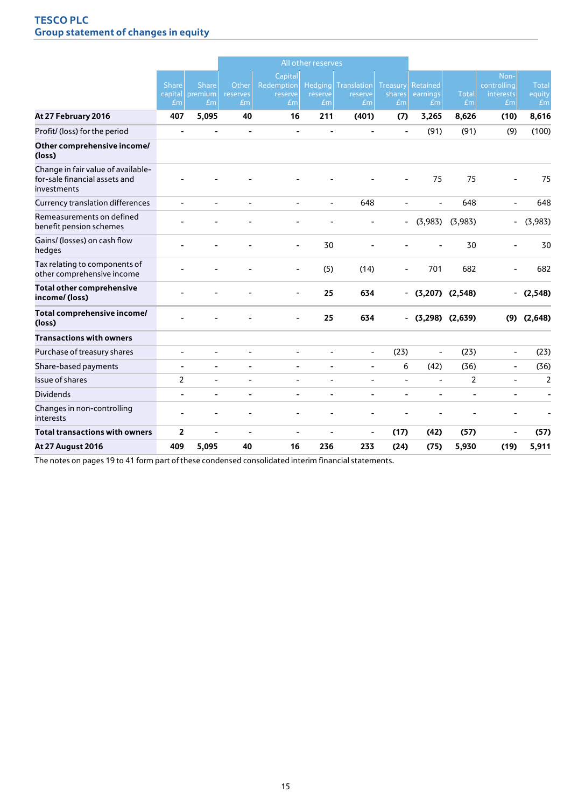# **TESCO PLC Group statement of changes in equity**

|                                                                                    |                          |                                       |                          |                                                    | All other reserves                          |                              |                                 |                                               |                     |                                                    |                              |
|------------------------------------------------------------------------------------|--------------------------|---------------------------------------|--------------------------|----------------------------------------------------|---------------------------------------------|------------------------------|---------------------------------|-----------------------------------------------|---------------------|----------------------------------------------------|------------------------------|
|                                                                                    | <b>Share</b><br>Em       | <b>Share</b><br>capital premium<br>Em | Other<br>reserves<br>Em  | Capital<br>Redemption<br>reserve<br>E <sub>m</sub> | <b>Hedging</b><br>reserve<br>E <sub>m</sub> | Translation<br>reserve<br>Em | <b>Treasury</b><br>shares<br>Em | <b>Retained</b><br>earnings<br>E <sub>m</sub> | <b>Total</b><br>Em  | Non-<br>controlling<br>interests<br>E <sub>m</sub> | <b>Total</b><br>equity<br>Em |
| At 27 February 2016                                                                | 407                      | 5,095                                 | 40                       | 16                                                 | 211                                         | (401)                        | (7)                             | 3,265                                         | 8,626               | (10)                                               | 8,616                        |
| Profit/ (loss) for the period                                                      | $\overline{\phantom{a}}$ | $\blacksquare$                        | $\overline{\phantom{a}}$ | $\overline{\phantom{a}}$                           | $\overline{\phantom{a}}$                    | $\blacksquare$               |                                 | (91)                                          | (91)                | (9)                                                | (100)                        |
| Other comprehensive income/<br>(loss)                                              |                          |                                       |                          |                                                    |                                             |                              |                                 |                                               |                     |                                                    |                              |
| Change in fair value of available-<br>for-sale financial assets and<br>investments |                          |                                       |                          |                                                    |                                             |                              |                                 | 75                                            | 75                  | ÷,                                                 | 75                           |
| <b>Currency translation differences</b>                                            | $\blacksquare$           | $\overline{a}$                        | L.                       | ÷,                                                 | $\overline{a}$                              | 648                          | $\overline{a}$                  | $\blacksquare$                                | 648                 | $\blacksquare$                                     | 648                          |
| Remeasurements on defined<br>benefit pension schemes                               |                          |                                       |                          |                                                    |                                             |                              | $\overline{\phantom{0}}$        |                                               | $(3,983)$ $(3,983)$ | $\overline{\phantom{0}}$                           | (3,983)                      |
| Gains/ (losses) on cash flow<br>hedges                                             |                          |                                       |                          | $\blacksquare$                                     | 30                                          |                              |                                 |                                               | 30                  |                                                    | 30                           |
| Tax relating to components of<br>other comprehensive income                        |                          |                                       |                          |                                                    | (5)                                         | (14)                         |                                 | 701                                           | 682                 |                                                    | 682                          |
| <b>Total other comprehensive</b><br>income/(loss)                                  |                          |                                       |                          | $\overline{\phantom{a}}$                           | 25                                          | 634                          |                                 | $-$ (3,207) (2,548)                           |                     | $\overline{\phantom{0}}$                           | (2,548)                      |
| Total comprehensive income/<br>(loss)                                              |                          |                                       |                          |                                                    | 25                                          | 634                          |                                 | $-$ (3,298) (2,639)                           |                     | (9)                                                | (2,648)                      |
| <b>Transactions with owners</b>                                                    |                          |                                       |                          |                                                    |                                             |                              |                                 |                                               |                     |                                                    |                              |
| Purchase of treasury shares                                                        | L,                       |                                       | L,                       |                                                    | $\overline{\phantom{0}}$                    | $\blacksquare$               | (23)                            | $\overline{\phantom{a}}$                      | (23)                | $\blacksquare$                                     | (23)                         |
| Share-based payments                                                               | $\overline{\phantom{a}}$ | $\overline{\phantom{a}}$              | ۰                        | $\overline{\phantom{a}}$                           | $\overline{\phantom{0}}$                    | $\overline{\phantom{a}}$     | 6                               | (42)                                          | (36)                | $\overline{\phantom{a}}$                           | (36)                         |
| Issue of shares                                                                    | $\overline{2}$           |                                       | ÷                        |                                                    |                                             |                              | $\overline{a}$                  | ÷                                             | $\overline{2}$      | $\overline{a}$                                     | $\overline{2}$               |
| <b>Dividends</b>                                                                   | $\overline{\phantom{a}}$ | $\blacksquare$                        | $\overline{\phantom{a}}$ | $\overline{\phantom{a}}$                           | $\overline{\phantom{0}}$                    | $\overline{\phantom{a}}$     | $\overline{\phantom{0}}$        | $\overline{\phantom{a}}$                      | ٠                   | $\overline{\phantom{a}}$                           | $\blacksquare$               |
| Changes in non-controlling<br>interests                                            |                          |                                       |                          |                                                    |                                             |                              |                                 |                                               |                     |                                                    |                              |
| <b>Total transactions with owners</b>                                              | $\overline{2}$           | $\blacksquare$                        | $\overline{\phantom{a}}$ | $\overline{\phantom{a}}$                           | $\overline{\phantom{0}}$                    | $\overline{\phantom{a}}$     | (17)                            | (42)                                          | (57)                | $\overline{\phantom{a}}$                           | (57)                         |
| <b>At 27 August 2016</b>                                                           | 409                      | 5,095                                 | 40                       | 16                                                 | 236                                         | 233                          | (24)                            | (75)                                          | 5,930               | (19)                                               | 5,911                        |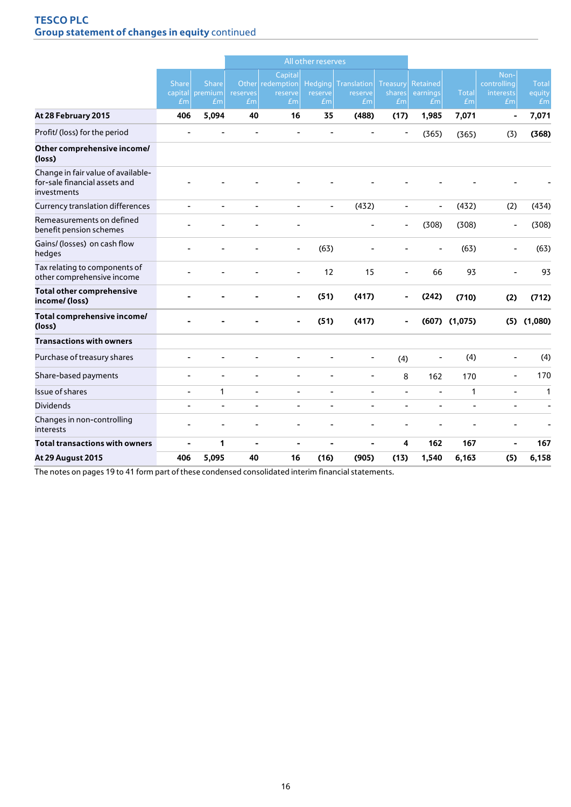# **TESCO PLC Group statement of changes in equity** continued

|                                                                                    |                                |                                       |                          |                                              | All other reserves                          |                                          |                          |                                        |                    |                                                    |                       |
|------------------------------------------------------------------------------------|--------------------------------|---------------------------------------|--------------------------|----------------------------------------------|---------------------------------------------|------------------------------------------|--------------------------|----------------------------------------|--------------------|----------------------------------------------------|-----------------------|
|                                                                                    | <b>Share</b><br>E <sub>m</sub> | <b>Share</b><br>capital premium<br>Em | reserves<br>Em           | Capital<br>Other redemption<br>reserve<br>Em | <b>Hedging</b><br>reserve<br>E <sub>m</sub> | Translation<br>reserve<br>E <sub>m</sub> | Treasury<br>shares<br>Em | Retained<br>earnings<br>E <sub>m</sub> | <b>Total</b><br>Em | Non-<br>controlling<br>interests<br>E <sub>m</sub> | Total<br>equity<br>Em |
| At 28 February 2015                                                                | 406                            | 5,094                                 | 40                       | 16                                           | 35                                          | (488)                                    | (17)                     | 1,985                                  | 7,071              | $\blacksquare$                                     | 7,071                 |
| Profit/ (loss) for the period                                                      |                                |                                       |                          |                                              |                                             |                                          |                          | (365)                                  | (365)              | (3)                                                | (368)                 |
| Other comprehensive income/<br>(loss)                                              |                                |                                       |                          |                                              |                                             |                                          |                          |                                        |                    |                                                    |                       |
| Change in fair value of available-<br>for-sale financial assets and<br>investments |                                |                                       |                          |                                              |                                             |                                          |                          |                                        |                    |                                                    |                       |
| Currency translation differences                                                   | $\blacksquare$                 |                                       | $\overline{\phantom{a}}$ | $\blacksquare$                               | $\overline{\phantom{0}}$                    | (432)                                    | $\overline{\phantom{0}}$ | $\blacksquare$                         | (432)              | (2)                                                | (434)                 |
| Remeasurements on defined<br>benefit pension schemes                               |                                |                                       |                          |                                              |                                             |                                          |                          | (308)                                  | (308)              | ÷                                                  | (308)                 |
| Gains/ (losses) on cash flow<br>hedges                                             |                                |                                       |                          | $\overline{\phantom{a}}$                     | (63)                                        |                                          |                          |                                        | (63)               |                                                    | (63)                  |
| Tax relating to components of<br>other comprehensive income                        |                                |                                       |                          | ÷,                                           | 12                                          | 15                                       | $\overline{\phantom{a}}$ | 66                                     | 93                 |                                                    | 93                    |
| <b>Total other comprehensive</b><br>income/(loss)                                  |                                |                                       |                          |                                              | (51)                                        | (417)                                    |                          | (242)                                  | (710)              | (2)                                                | (712)                 |
| Total comprehensive income/<br>(loss)                                              |                                |                                       |                          | $\blacksquare$                               | (51)                                        | (417)                                    |                          |                                        | $(607)$ $(1,075)$  | (5)                                                | (1,080)               |
| <b>Transactions with owners</b>                                                    |                                |                                       |                          |                                              |                                             |                                          |                          |                                        |                    |                                                    |                       |
| Purchase of treasury shares                                                        |                                |                                       |                          |                                              |                                             | ٠                                        | (4)                      | ۰                                      | (4)                | ٠                                                  | (4)                   |
| Share-based payments                                                               | $\blacksquare$                 | ۰                                     | ٠                        | ۰                                            |                                             | $\overline{\phantom{0}}$                 | 8                        | 162                                    | 170                | $\overline{\phantom{a}}$                           | 170                   |
| Issue of shares                                                                    | $\overline{\phantom{a}}$       | 1                                     | $\overline{\phantom{a}}$ | $\qquad \qquad \blacksquare$                 | $\blacksquare$                              | $\blacksquare$                           | $\overline{\phantom{a}}$ | $\blacksquare$                         | 1                  | $\overline{a}$                                     | 1                     |
| <b>Dividends</b>                                                                   | $\overline{a}$                 |                                       | $\overline{\phantom{a}}$ | ۳                                            |                                             |                                          |                          |                                        |                    | ÷,                                                 | L,                    |
| Changes in non-controlling<br>interests                                            |                                |                                       |                          |                                              |                                             |                                          |                          |                                        |                    |                                                    |                       |
| <b>Total transactions with owners</b>                                              | ÷                              | 1                                     | $\blacksquare$           | $\blacksquare$                               | ٠                                           | ۰                                        | 4                        | 162                                    | 167                |                                                    | 167                   |
| <b>At 29 August 2015</b>                                                           | 406                            | 5,095                                 | 40                       | 16                                           | (16)                                        | (905)                                    | (13)                     | 1,540                                  | 6,163              | (5)                                                | 6,158                 |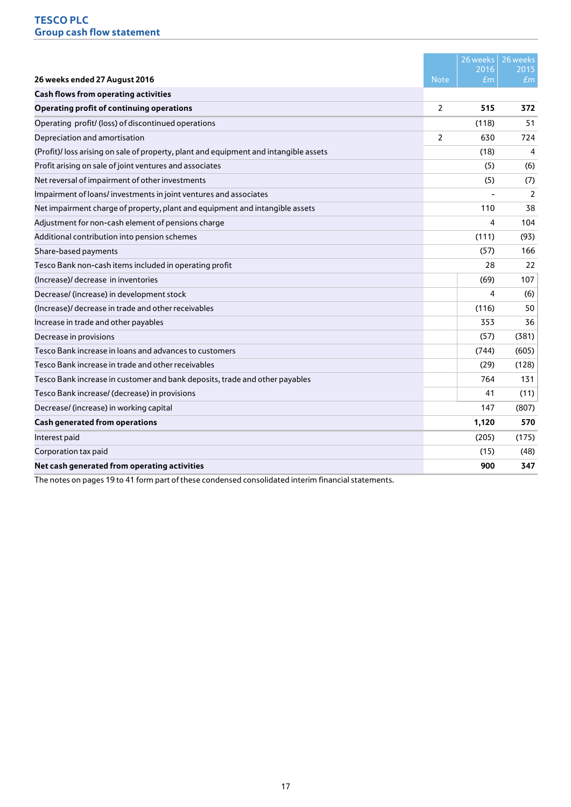|                                                                                      |             | 26 weeks<br>2016 | 26 weeks<br>2015 |
|--------------------------------------------------------------------------------------|-------------|------------------|------------------|
| 26 weeks ended 27 August 2016                                                        | <b>Note</b> | $\bar{f}$ m.     | £m               |
| <b>Cash flows from operating activities</b>                                          |             |                  |                  |
| <b>Operating profit of continuing operations</b>                                     | 2           | 515              | 372              |
| Operating profit/ (loss) of discontinued operations                                  |             | (118)            | 51               |
| Depreciation and amortisation                                                        | 2           | 630              | 724              |
| (Profit)/loss arising on sale of property, plant and equipment and intangible assets |             | (18)             | 4                |
| Profit arising on sale of joint ventures and associates                              |             | (5)              | (6)              |
| Net reversal of impairment of other investments                                      |             | (5)              | (7)              |
| Impairment of loans/investments in joint ventures and associates                     |             |                  | 2                |
| Net impairment charge of property, plant and equipment and intangible assets         |             | 110              | 38               |
| Adjustment for non-cash element of pensions charge                                   |             | 4                | 104              |
| Additional contribution into pension schemes                                         |             | (111)            | (93)             |
| Share-based payments                                                                 |             | (57)             | 166              |
| Tesco Bank non-cash items included in operating profit                               |             | 28               | 22               |
| (Increase)/ decrease in inventories                                                  |             | (69)             | 107              |
| Decrease/ (increase) in development stock                                            |             | 4                | (6)              |
| (Increase)/ decrease in trade and other receivables                                  |             | (116)            | 50               |
| Increase in trade and other payables                                                 |             | 353              | 36               |
| Decrease in provisions                                                               |             | (57)             | (381)            |
| Tesco Bank increase in loans and advances to customers                               |             | (744)            | (605)            |
| Tesco Bank increase in trade and other receivables                                   |             | (29)             | (128)            |
| Tesco Bank increase in customer and bank deposits, trade and other payables          |             | 764              | 131              |
| Tesco Bank increase/ (decrease) in provisions                                        |             | 41               | (11)             |
| Decrease/ (increase) in working capital                                              |             | 147              | (807)            |
| <b>Cash generated from operations</b>                                                |             | 1,120            | 570              |
| Interest paid                                                                        |             | (205)            | (175)            |
| Corporation tax paid                                                                 |             | (15)             | (48)             |
| Net cash generated from operating activities                                         |             | 900              | 347              |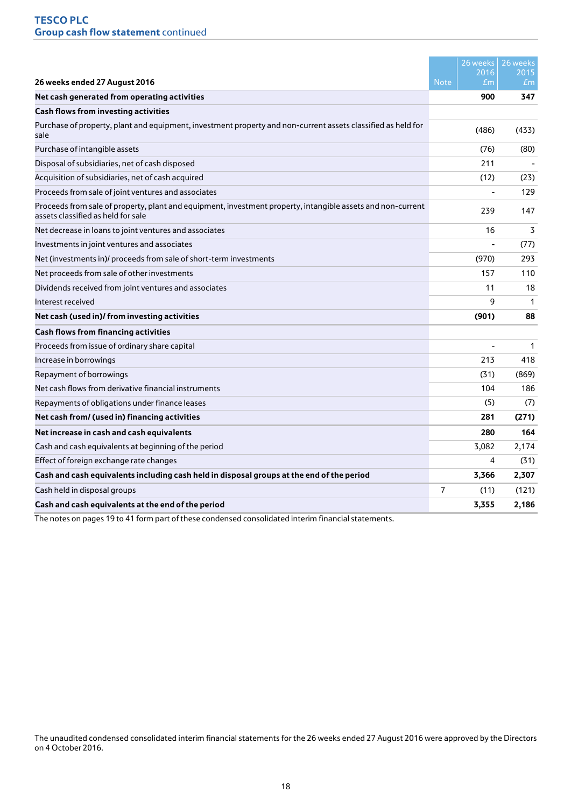|                                                                                                                                                   |                | 26 weeks    | 26 weeks       |
|---------------------------------------------------------------------------------------------------------------------------------------------------|----------------|-------------|----------------|
|                                                                                                                                                   |                | 2016        | 2015           |
| 26 weeks ended 27 August 2016                                                                                                                     | <b>Note</b>    | $\pounds$ m | E <sub>m</sub> |
| Net cash generated from operating activities                                                                                                      |                | 900         | 347            |
| <b>Cash flows from investing activities</b>                                                                                                       |                |             |                |
| Purchase of property, plant and equipment, investment property and non-current assets classified as held for<br>sale                              |                | (486)       | (433)          |
| Purchase of intangible assets                                                                                                                     |                | (76)        | (80)           |
| Disposal of subsidiaries, net of cash disposed                                                                                                    |                | 211         |                |
| Acquisition of subsidiaries, net of cash acquired                                                                                                 |                | (12)        | (23)           |
| Proceeds from sale of joint ventures and associates                                                                                               |                |             | 129            |
| Proceeds from sale of property, plant and equipment, investment property, intangible assets and non-current<br>assets classified as held for sale |                | 239         | 147            |
| Net decrease in loans to joint ventures and associates                                                                                            |                | 16          | 3              |
| Investments in joint ventures and associates                                                                                                      |                |             | (77)           |
| Net (investments in)/ proceeds from sale of short-term investments                                                                                |                | (970)       | 293            |
| Net proceeds from sale of other investments                                                                                                       |                | 157         | 110            |
| Dividends received from joint ventures and associates                                                                                             |                | 11          | 18             |
| Interest received                                                                                                                                 |                | 9           | $\mathbf{1}$   |
| Net cash (used in)/ from investing activities                                                                                                     |                | (901)       | 88             |
| <b>Cash flows from financing activities</b>                                                                                                       |                |             |                |
| Proceeds from issue of ordinary share capital                                                                                                     |                |             | $\mathbf{1}$   |
| Increase in borrowings                                                                                                                            |                | 213         | 418            |
| Repayment of borrowings                                                                                                                           |                | (31)        | (869)          |
| Net cash flows from derivative financial instruments                                                                                              |                | 104         | 186            |
| Repayments of obligations under finance leases                                                                                                    |                | (5)         | (7)            |
| Net cash from/ (used in) financing activities                                                                                                     |                | 281         | (271)          |
| Net increase in cash and cash equivalents                                                                                                         |                | 280         | 164            |
| Cash and cash equivalents at beginning of the period                                                                                              |                | 3,082       | 2,174          |
| Effect of foreign exchange rate changes                                                                                                           |                | 4           | (31)           |
| Cash and cash equivalents including cash held in disposal groups at the end of the period                                                         |                | 3,366       | 2,307          |
| Cash held in disposal groups                                                                                                                      | $\overline{7}$ | (11)        | (121)          |
| Cash and cash equivalents at the end of the period                                                                                                |                | 3,355       | 2,186          |

The notes on pages 19 to 41 form part of these condensed consolidated interim financial statements.

The unaudited condensed consolidated interim financial statements for the 26 weeks ended 27 August 2016 were approved by the Directors on 4 October 2016.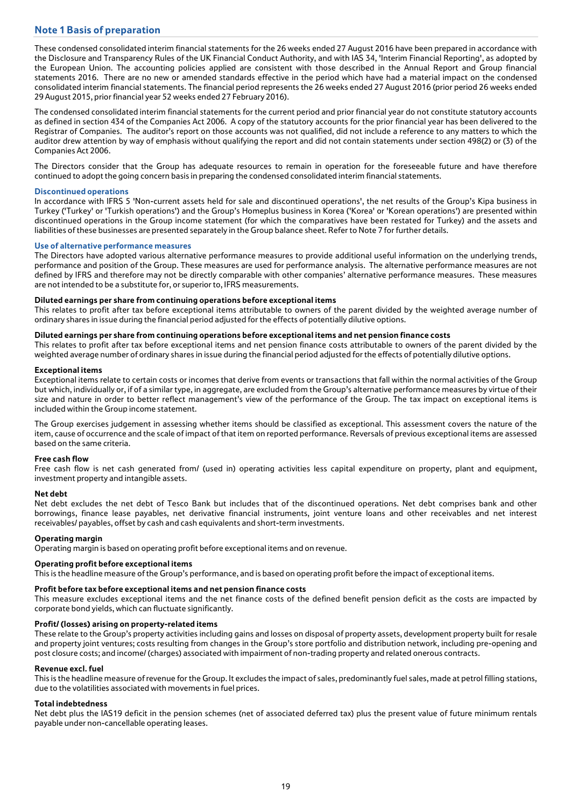# **Note 1 Basis of preparation**

These condensed consolidated interim financial statements for the 26 weeks ended 27 August 2016 have been prepared in accordance with the Disclosure and Transparency Rules of the UK Financial Conduct Authority, and with IAS 34, 'Interim Financial Reporting', as adopted by the European Union. The accounting policies applied are consistent with those described in the Annual Report and Group financial statements 2016. There are no new or amended standards effective in the period which have had a material impact on the condensed consolidated interim financial statements. The financial period represents the 26 weeks ended 27 August 2016 (prior period 26 weeks ended 29 August 2015, prior financial year 52 weeks ended 27 February 2016).

The condensed consolidated interim financial statements for the current period and prior financial year do not constitute statutory accounts as defined in section 434 of the Companies Act 2006. A copy of the statutory accounts for the prior financial year has been delivered to the Registrar of Companies. The auditor's report on those accounts was not qualified, did not include a reference to any matters to which the auditor drew attention by way of emphasis without qualifying the report and did not contain statements under section 498(2) or (3) of the Companies Act 2006.

The Directors consider that the Group has adequate resources to remain in operation for the foreseeable future and have therefore continued to adopt the going concern basis in preparing the condensed consolidated interim financial statements.

## **Discontinued operations**

In accordance with IFRS 5 'Non-current assets held for sale and discontinued operations', the net results of the Group's Kipa business in Turkey ('Turkey' or 'Turkish operations') and the Group's Homeplus business in Korea ('Korea' or 'Korean operations') are presented within discontinued operations in the Group income statement (for which the comparatives have been restated for Turkey) and the assets and liabilities of these businesses are presented separately in the Group balance sheet. Refer to Note 7 for further details.

## **Use of alternative performance measures**

The Directors have adopted various alternative performance measures to provide additional useful information on the underlying trends, performance and position of the Group. These measures are used for performance analysis. The alternative performance measures are not defined by IFRS and therefore may not be directly comparable with other companies' alternative performance measures. These measures are not intended to be a substitute for, or superior to, IFRS measurements.

## **Diluted earnings per share from continuing operations before exceptional items**

This relates to profit after tax before exceptional items attributable to owners of the parent divided by the weighted average number of ordinary shares in issue during the financial period adjusted for the effects of potentially dilutive options.

## **Diluted earnings per share from continuing operations before exceptional items and net pension finance costs**

This relates to profit after tax before exceptional items and net pension finance costs attributable to owners of the parent divided by the weighted average number of ordinary shares in issue during the financial period adjusted for the effects of potentially dilutive options.

## **Exceptional items**

Exceptional items relate to certain costs or incomes that derive from events or transactions that fall within the normal activities of the Group but which, individually or, if of a similar type, in aggregate, are excluded from the Group's alternative performance measures by virtue of their size and nature in order to better reflect management's view of the performance of the Group. The tax impact on exceptional items is included within the Group income statement.

The Group exercises judgement in assessing whether items should be classified as exceptional. This assessment covers the nature of the item, cause of occurrence and the scale of impact of that item on reported performance. Reversals of previous exceptional items are assessed based on the same criteria.

#### **Free cash flow**

Free cash flow is net cash generated from/ (used in) operating activities less capital expenditure on property, plant and equipment, investment property and intangible assets.

#### **Net debt**

Net debt excludes the net debt of Tesco Bank but includes that of the discontinued operations. Net debt comprises bank and other borrowings, finance lease payables, net derivative financial instruments, joint venture loans and other receivables and net interest receivables/ payables, offset by cash and cash equivalents and short-term investments.

## **Operating margin**

Operating margin is based on operating profit before exceptional items and on revenue.

## **Operating profit before exceptional items**

This is the headline measure of the Group's performance, and is based on operating profit before the impact of exceptional items.

#### **Profit before tax before exceptional items and net pension finance costs**

This measure excludes exceptional items and the net finance costs of the defined benefit pension deficit as the costs are impacted by corporate bond yields, which can fluctuate significantly.

## **Profit/ (losses) arising on property-related items**

These relate to the Group's property activities including gains and losses on disposal of property assets, development property built for resale and property joint ventures; costs resulting from changes in the Group's store portfolio and distribution network, including pre-opening and post closure costs; and income/ (charges) associated with impairment of non-trading property and related onerous contracts.

#### **Revenue excl. fuel**

This is the headline measure of revenue for the Group. It excludes the impact of sales, predominantly fuel sales, made at petrol filling stations, due to the volatilities associated with movements in fuel prices.

#### **Total indebtedness**

Net debt plus the IAS19 deficit in the pension schemes (net of associated deferred tax) plus the present value of future minimum rentals payable under non-cancellable operating leases.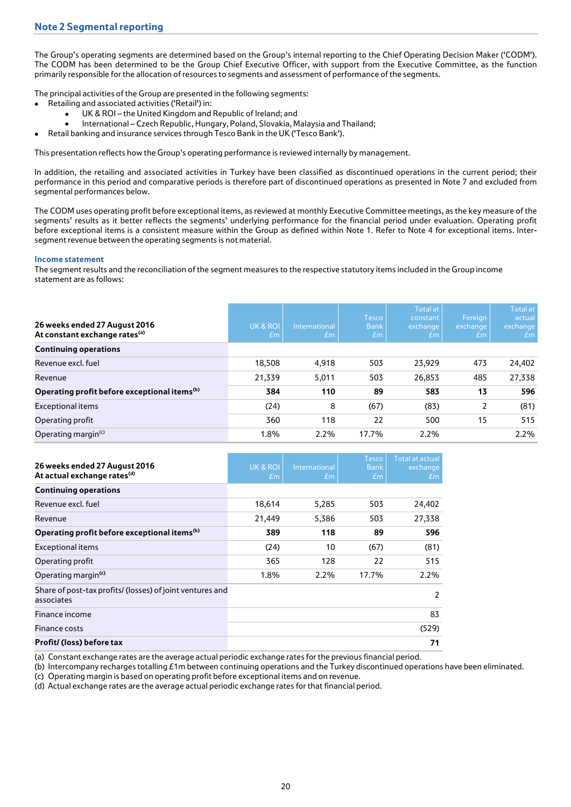The Group's operating segments are determined based on the Group's internal reporting to the Chief Operating Decision Maker ('CODM'). The CODM has been determined to be the Group Chief Executive Officer, with support from the Executive Committee, as the function primarily responsible for the allocation of resources to segments and assessment of performance of the segments.

The principal activities of the Group are presented in the following segments:

- Retailing and associated activities ('Retail') in:
	- UK & ROI the United Kingdom and Republic of Ireland; and
	- International Czech Republic, Hungary, Poland, Slovakia, Malaysia and Thailand;
- Retail banking and insurance services through Tesco Bank in the UK ('Tesco Bank').

This presentation reflects how the Group's operating performance is reviewed internally by management.

In addition, the retailing and associated activities in Turkey have been classified as discontinued operations in the current period; their performance in this period and comparative periods is therefore part of discontinued operations as presented in Note 7 and excluded from segmental performances below.

The CODM uses operating profit before exceptional items, as reviewed at monthly Executive Committee meetings, as the key measure of the segments' results as it better reflects the segments' underlying performance for the financial period under evaluation. Operating profit before exceptional items is a consistent measure within the Group as defined within Note 1. Refer to Note 4 for exceptional items. Intersegment revenue between the operating segments is not material.

## **Income statement**

The segment results and the reconciliation of the segment measures to the respective statutory items included in the Group income statement are as follows:

| 26 weeks ended 27 August 2016<br>At constant exchange rates <sup>(a)</sup> | UK & ROI<br>Em | International<br>Em | <b>Tesco</b><br><b>Bank</b><br>Em | <b>Total at</b><br>constant<br>exchange<br>Em | Foreign<br>exchange<br>Em | <b>Total at</b><br>actual<br>exchange<br>Em |
|----------------------------------------------------------------------------|----------------|---------------------|-----------------------------------|-----------------------------------------------|---------------------------|---------------------------------------------|
| <b>Continuing operations</b>                                               |                |                     |                                   |                                               |                           |                                             |
| Revenue excl. fuel                                                         | 18,508         | 4,918               | 503                               | 23,929                                        | 473                       | 24,402                                      |
| Revenue                                                                    | 21,339         | 5,011               | 503                               | 26,853                                        | 485                       | 27,338                                      |
| Operating profit before exceptional items <sup>(b)</sup>                   | 384            | 110                 | 89                                | 583                                           | 13                        | 596                                         |
| <b>Exceptional items</b>                                                   | (24)           | 8                   | (67)                              | (83)                                          | $\mathfrak{p}$            | (81)                                        |
| Operating profit                                                           | 360            | 118                 | 22                                | 500                                           | 15                        | 515                                         |
| Operating margin <sup>(c)</sup>                                            | 1.8%           | $2.2\%$             | 17.7%                             | $2.2\%$                                       |                           | $2.2\%$                                     |

| 26 weeks ended 27 August 2016<br>At actual exchange rates <sup>(d)</sup> | UK & ROI<br>£m | International<br>£m | <b>Tesco</b><br><b>Bank</b><br>E <sub>m</sub> | <b>Total at actual</b><br>exchange<br>£m |
|--------------------------------------------------------------------------|----------------|---------------------|-----------------------------------------------|------------------------------------------|
| <b>Continuing operations</b>                                             |                |                     |                                               |                                          |
| Revenue excl. fuel                                                       | 18,614         | 5,285               | 503                                           | 24,402                                   |
| Revenue                                                                  | 21,449         | 5,386               | 503                                           | 27,338                                   |
| Operating profit before exceptional items <sup>(b)</sup>                 | 389            | 118                 | 89                                            | 596                                      |
| Exceptional items                                                        | (24)           | 10                  | (67)                                          | (81)                                     |
| Operating profit                                                         | 365            | 128                 | 22                                            | 515                                      |
| Operating margin <sup>(c)</sup>                                          | 1.8%           | $2.2\%$             | 17.7%                                         | 2.2%                                     |
| Share of post-tax profits/ (losses) of joint ventures and<br>associates  |                |                     |                                               | $\mathfrak{p}$                           |
| Finance income                                                           |                |                     |                                               | 83                                       |
| Finance costs                                                            |                |                     |                                               | (529)                                    |
| Profit/ (loss) before tax                                                |                |                     |                                               | 71                                       |

(a) Constant exchange rates are the average actual periodic exchange rates for the previous financial period.

(b) Intercompany recharges totalling £1m between continuing operations and the Turkey discontinued operations have been eliminated.

(c) Operating margin is based on operating profit before exceptional items and on revenue.

(d) Actual exchange rates are the average actual periodic exchange rates for that financial period.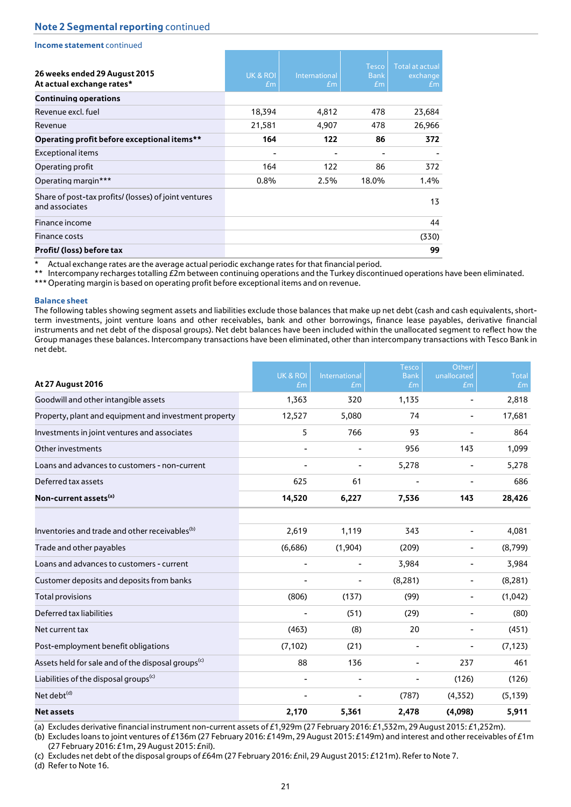| Income statement continued                                              |                |                     |                                               |                                          |
|-------------------------------------------------------------------------|----------------|---------------------|-----------------------------------------------|------------------------------------------|
| 26 weeks ended 29 August 2015<br>At actual exchange rates*              | UK & ROI<br>£m | International<br>£m | <b>Tesco</b><br><b>Bank</b><br>E <sub>m</sub> | <b>Total at actual</b><br>exchange<br>£m |
| <b>Continuing operations</b>                                            |                |                     |                                               |                                          |
| Revenue excl. fuel                                                      | 18,394         | 4,812               | 478                                           | 23,684                                   |
| Revenue                                                                 | 21,581         | 4,907               | 478                                           | 26,966                                   |
| Operating profit before exceptional items**                             | 164            | 122                 | 86                                            | 372                                      |
| <b>Exceptional items</b>                                                |                |                     |                                               |                                          |
| Operating profit                                                        | 164            | 122                 | 86                                            | 372                                      |
| Operating margin***                                                     | 0.8%           | 2.5%                | 18.0%                                         | 1.4%                                     |
| Share of post-tax profits/ (losses) of joint ventures<br>and associates |                |                     |                                               | 13                                       |
| Finance income                                                          |                |                     |                                               | 44                                       |
| <b>Finance costs</b>                                                    |                |                     |                                               | (330)                                    |
| Profit/ (loss) before tax                                               |                |                     |                                               | 99                                       |

Actual exchange rates are the average actual periodic exchange rates for that financial period.

\*\* Intercompany recharges totalling £2m between continuing operations and the Turkey discontinued operations have been eliminated.

\*\*\* Operating margin is based on operating profit before exceptional items and on revenue.

#### **Balance sheet**

The following tables showing segment assets and liabilities exclude those balances that make up net debt (cash and cash equivalents, shortterm investments, joint venture loans and other receivables, bank and other borrowings, finance lease payables, derivative financial instruments and net debt of the disposal groups). Net debt balances have been included within the unallocated segment to reflect how the Group manages these balances. Intercompany transactions have been eliminated, other than intercompany transactions with Tesco Bank in net debt.

|                                                                | <b>UK &amp; ROI</b>          | International            | <b>Tesco</b><br><b>Bank</b> | Other/<br>unallocated | <b>Total</b> |
|----------------------------------------------------------------|------------------------------|--------------------------|-----------------------------|-----------------------|--------------|
| At 27 August 2016                                              | Em                           | $E_{\rm m}$              | Em                          | Em                    | Em           |
| Goodwill and other intangible assets                           | 1,363                        | 320                      | 1,135                       |                       | 2,818        |
| Property, plant and equipment and investment property          | 12,527                       | 5,080                    | 74                          |                       | 17,681       |
| Investments in joint ventures and associates                   | 5                            | 766                      | 93                          |                       | 864          |
| Other investments                                              | $\overline{a}$               | $\overline{\phantom{m}}$ | 956                         | 143                   | 1,099        |
| Loans and advances to customers - non-current                  |                              |                          | 5,278                       |                       | 5,278        |
| Deferred tax assets                                            | 625                          | 61                       |                             |                       | 686          |
| Non-current assets <sup>(a)</sup>                              | 14,520                       | 6,227                    | 7,536                       | 143                   | 28,426       |
| Inventories and trade and other receivables <sup>(b)</sup>     | 2,619                        | 1,119                    | 343                         |                       | 4,081        |
| Trade and other payables                                       | (6,686)                      | (1,904)                  | (209)                       |                       | (8,799)      |
| Loans and advances to customers - current                      | $\qquad \qquad \blacksquare$ | ۰                        | 3,984                       | -                     | 3,984        |
| Customer deposits and deposits from banks                      |                              |                          | (8, 281)                    | -                     | (8, 281)     |
| <b>Total provisions</b>                                        | (806)                        | (137)                    | (99)                        | -                     | (1,042)      |
| Deferred tax liabilities                                       |                              | (51)                     | (29)                        |                       | (80)         |
| Net current tax                                                | (463)                        | (8)                      | 20                          |                       | (451)        |
| Post-employment benefit obligations                            | (7, 102)                     | (21)                     |                             |                       | (7, 123)     |
| Assets held for sale and of the disposal groups <sup>(c)</sup> | 88                           | 136                      |                             | 237                   | 461          |
| Liabilities of the disposal groups <sup>(c)</sup>              | $\overline{\phantom{a}}$     | $\overline{\phantom{m}}$ |                             | (126)                 | (126)        |
| Net debt <sup>(d)</sup>                                        |                              |                          | (787)                       | (4,352)               | (5, 139)     |
| <b>Net assets</b>                                              | 2,170                        | 5,361                    | 2,478                       | (4,098)               | 5,911        |

(a) Excludes derivative financial instrument non-current assets of £1,929m (27 February 2016: £1,532m, 29 August 2015: £1,252m).

(b) Excludes loans to joint ventures of £136m (27 February 2016: £149m, 29 August 2015: £149m) and interest and other receivables of £1m (27 February 2016: £1m, 29 August 2015: £nil).

(c) Excludes net debt of the disposal groups of £64m (27 February 2016: £nil, 29 August 2015: £121m). Refer to Note 7.

(d) Refer to Note 16.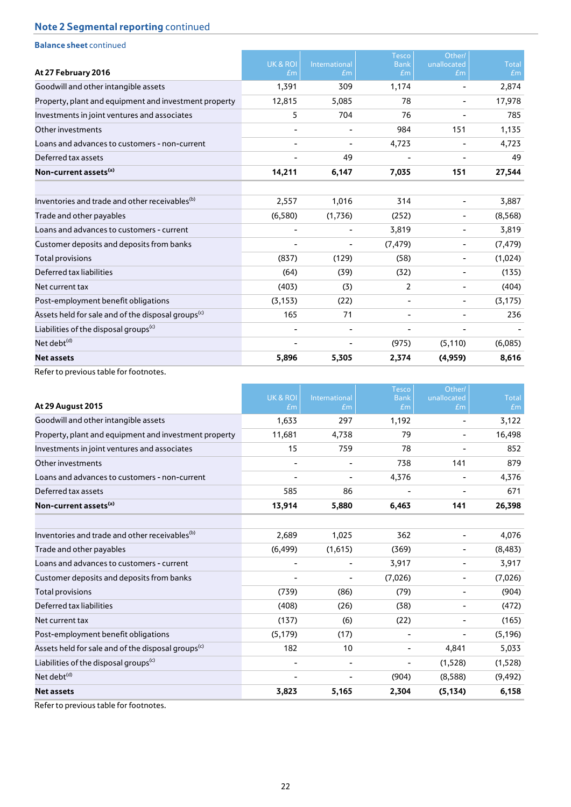| <b>Balance sheet continued</b>                                 |          |                |                             |                       |              |
|----------------------------------------------------------------|----------|----------------|-----------------------------|-----------------------|--------------|
|                                                                | UK & ROI | International  | <b>Tesco</b><br><b>Bank</b> | Other/<br>unallocated | <b>Total</b> |
| At 27 February 2016                                            | Em       | Em             | Em                          | Em                    | Em           |
| Goodwill and other intangible assets                           | 1,391    | 309            | 1,174                       |                       | 2,874        |
| Property, plant and equipment and investment property          | 12,815   | 5,085          | 78                          |                       | 17,978       |
| Investments in joint ventures and associates                   | 5        | 704            | 76                          |                       | 785          |
| Other investments                                              |          |                | 984                         | 151                   | 1,135        |
| Loans and advances to customers - non-current                  |          |                | 4,723                       |                       | 4,723        |
| Deferred tax assets                                            |          | 49             |                             |                       | 49           |
| Non-current assets <sup>(a)</sup>                              | 14,211   | 6,147          | 7,035                       | 151                   | 27,544       |
| Inventories and trade and other receivables <sup>(b)</sup>     | 2,557    | 1,016          | 314                         |                       | 3,887        |
| Trade and other payables                                       | (6,580)  | (1,736)        | (252)                       | $\blacksquare$        | (8,568)      |
| Loans and advances to customers - current                      |          | $\blacksquare$ | 3,819                       | -                     | 3,819        |
| Customer deposits and deposits from banks                      |          |                | (7, 479)                    | -                     | (7, 479)     |
| <b>Total provisions</b>                                        | (837)    | (129)          | (58)                        | $\blacksquare$        | (1,024)      |
| Deferred tax liabilities                                       | (64)     | (39)           | (32)                        | $\blacksquare$        | (135)        |
| Net current tax                                                | (403)    | (3)            | 2                           | -                     | (404)        |
| Post-employment benefit obligations                            | (3, 153) | (22)           |                             | -                     | (3, 175)     |
| Assets held for sale and of the disposal groups <sup>(c)</sup> | 165      | 71             | $\overline{\phantom{a}}$    | $\blacksquare$        | 236          |
| Liabilities of the disposal groups <sup>(c)</sup>              |          |                |                             | -                     |              |
| Net debt <sup>(d)</sup>                                        |          | $\blacksquare$ | (975)                       | (5, 110)              | (6,085)      |
| <b>Net assets</b>                                              | 5,896    | 5,305          | 2,374                       | (4,959)               | 8,616        |
|                                                                |          |                |                             |                       |              |

Refer to previous table for footnotes.

|                                                                |                          |                          | <b>Tesco</b>             | Other/            |                    |
|----------------------------------------------------------------|--------------------------|--------------------------|--------------------------|-------------------|--------------------|
| <b>At 29 August 2015</b>                                       | UK & ROI<br>Em           | International<br>Em      | <b>Bank</b><br>£m        | unallocated<br>Em | <b>Total</b><br>Em |
| Goodwill and other intangible assets                           | 1,633                    | 297                      | 1,192                    |                   | 3,122              |
| Property, plant and equipment and investment property          | 11,681                   | 4,738                    | 79                       | $\blacksquare$    | 16,498             |
| Investments in joint ventures and associates                   | 15                       | 759                      | 78                       |                   | 852                |
| Other investments                                              |                          | $\overline{\phantom{0}}$ | 738                      | 141               | 879                |
| Loans and advances to customers - non-current                  |                          | -                        | 4,376                    | $\blacksquare$    | 4,376              |
| Deferred tax assets                                            | 585                      | 86                       |                          |                   | 671                |
| Non-current assets <sup>(a)</sup>                              | 13,914                   | 5,880                    | 6,463                    | 141               | 26,398             |
| Inventories and trade and other receivables <sup>(b)</sup>     | 2,689                    | 1,025                    | 362                      |                   | 4,076              |
| Trade and other payables                                       | (6, 499)                 | (1,615)                  | (369)                    | $\blacksquare$    | (8, 483)           |
| Loans and advances to customers - current                      |                          | $\overline{\phantom{0}}$ | 3,917                    | $\blacksquare$    | 3,917              |
| Customer deposits and deposits from banks                      |                          | -                        | (7,026)                  | -                 | (7,026)            |
| <b>Total provisions</b>                                        | (739)                    | (86)                     | (79)                     | $\overline{a}$    | (904)              |
| Deferred tax liabilities                                       | (408)                    | (26)                     | (38)                     | $\blacksquare$    | (472)              |
| Net current tax                                                | (137)                    | (6)                      | (22)                     | $\blacksquare$    | (165)              |
| Post-employment benefit obligations                            | (5, 179)                 | (17)                     | $\overline{\phantom{a}}$ | -                 | (5, 196)           |
| Assets held for sale and of the disposal groups <sup>(c)</sup> | 182                      | 10                       | $\overline{\phantom{a}}$ | 4,841             | 5,033              |
| Liabilities of the disposal groups <sup>(c)</sup>              |                          | $\overline{\phantom{0}}$ | $\overline{\phantom{a}}$ | (1,528)           | (1,528)            |
| Net debt <sup>(d)</sup>                                        | $\overline{\phantom{a}}$ | -                        | (904)                    | (8,588)           | (9, 492)           |
| <b>Net assets</b>                                              | 3,823                    | 5,165                    | 2,304                    | (5, 134)          | 6,158              |

Refer to previous table for footnotes.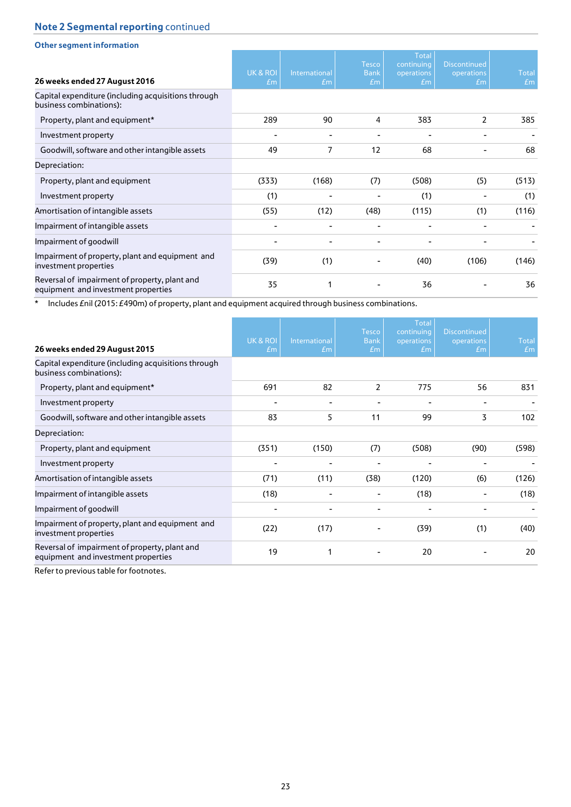| <b>Other segment information</b>                                                     |                |                     |                                   |                                                |                                         |                    |
|--------------------------------------------------------------------------------------|----------------|---------------------|-----------------------------------|------------------------------------------------|-----------------------------------------|--------------------|
| 26 weeks ended 27 August 2016                                                        | UK & ROI<br>Em | International<br>Em | <b>Tesco</b><br><b>Bank</b><br>Em | <b>Total</b><br>continuing<br>operations<br>Em | <b>Discontinued</b><br>operations<br>Em | <b>Total</b><br>Em |
| Capital expenditure (including acquisitions through<br>business combinations):       |                |                     |                                   |                                                |                                         |                    |
| Property, plant and equipment*                                                       | 289            | 90                  | 4                                 | 383                                            | 2                                       | 385                |
| Investment property                                                                  |                |                     |                                   |                                                |                                         |                    |
| Goodwill, software and other intangible assets                                       | 49             | $\overline{7}$      | 12                                | 68                                             |                                         | 68                 |
| Depreciation:                                                                        |                |                     |                                   |                                                |                                         |                    |
| Property, plant and equipment                                                        | (333)          | (168)               | (7)                               | (508)                                          | (5)                                     | (513)              |
| Investment property                                                                  | (1)            |                     |                                   | (1)                                            |                                         | (1)                |
| Amortisation of intangible assets                                                    | (55)           | (12)                | (48)                              | (115)                                          | (1)                                     | (116)              |
| Impairment of intangible assets                                                      |                |                     |                                   |                                                |                                         |                    |
| Impairment of goodwill                                                               |                |                     |                                   |                                                |                                         |                    |
| Impairment of property, plant and equipment and<br>investment properties             | (39)           | (1)                 |                                   | (40)                                           | (106)                                   | (146)              |
| Reversal of impairment of property, plant and<br>equipment and investment properties | 35             |                     |                                   | 36                                             |                                         | 36                 |

\* Includes £nil (2015: £490m) of property, plant and equipment acquired through business combinations.

| 26 weeks ended 29 August 2015                                                        | <b>UK &amp; ROI</b><br>Em | International<br>$\pounds$ m | <b>Tesco</b><br><b>Bank</b><br>Em | <b>Total</b><br>continuing<br>operations<br>Em | <b>Discontinued</b><br>operations<br>Em | <b>Total</b><br>Em |
|--------------------------------------------------------------------------------------|---------------------------|------------------------------|-----------------------------------|------------------------------------------------|-----------------------------------------|--------------------|
| Capital expenditure (including acquisitions through<br>business combinations):       |                           |                              |                                   |                                                |                                         |                    |
| Property, plant and equipment*                                                       | 691                       | 82                           | 2                                 | 775                                            | 56                                      | 831                |
| Investment property                                                                  |                           |                              |                                   |                                                |                                         |                    |
| Goodwill, software and other intangible assets                                       | 83                        | 5                            | 11                                | 99                                             | 3                                       | 102                |
| Depreciation:                                                                        |                           |                              |                                   |                                                |                                         |                    |
| Property, plant and equipment                                                        | (351)                     | (150)                        | (7)                               | (508)                                          | (90)                                    | (598)              |
| Investment property                                                                  |                           |                              |                                   |                                                |                                         |                    |
| Amortisation of intangible assets                                                    | (71)                      | (11)                         | (38)                              | (120)                                          | (6)                                     | (126)              |
| Impairment of intangible assets                                                      | (18)                      |                              |                                   | (18)                                           |                                         | (18)               |
| Impairment of goodwill                                                               |                           |                              |                                   |                                                |                                         |                    |
| Impairment of property, plant and equipment and<br>investment properties             | (22)                      | (17)                         |                                   | (39)                                           | (1)                                     | (40)               |
| Reversal of impairment of property, plant and<br>equipment and investment properties | 19                        | 1                            |                                   | 20                                             |                                         | 20                 |

Refer to previous table for footnotes.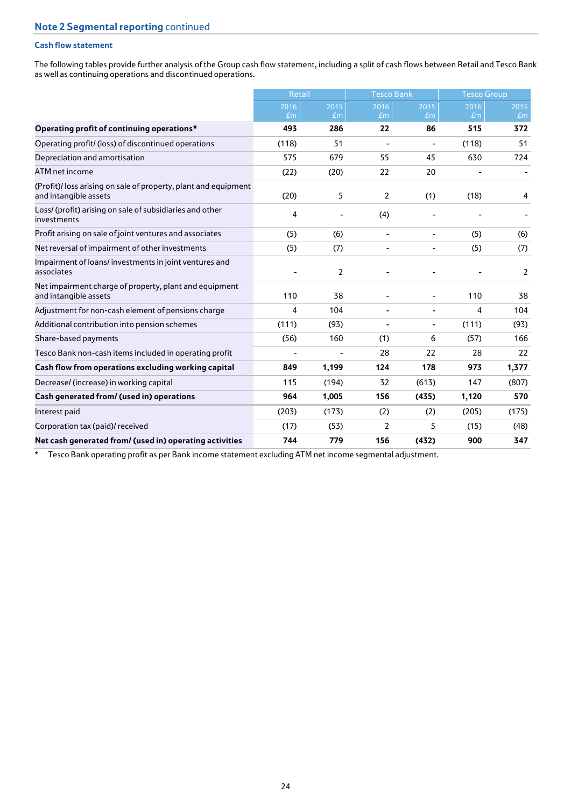## **Cash flow statement**

The following tables provide further analysis of the Group cash flow statement, including a split of cash flows between Retail and Tesco Bank as well as continuing operations and discontinued operations.

|                                                                                         | <b>Retail</b> |            | <b>Tesco Bank</b>        |                              | <b>Tesco Group</b> |            |
|-----------------------------------------------------------------------------------------|---------------|------------|--------------------------|------------------------------|--------------------|------------|
|                                                                                         | 2016<br>Em    | 2015<br>Em | 2016<br>Em               | 2015<br>Em                   | 2016<br>Em         | 2015<br>Em |
| Operating profit of continuing operations*                                              | 493           | 286        | 22                       | 86                           | 515                | 372        |
| Operating profit/ (loss) of discontinued operations                                     | (118)         | 51         | $\overline{\phantom{a}}$ | $\qquad \qquad \blacksquare$ | (118)              | 51         |
| Depreciation and amortisation                                                           | 575           | 679        | 55                       | 45                           | 630                | 724        |
| ATM net income                                                                          | (22)          | (20)       | 22                       | 20                           |                    |            |
| (Profit)/loss arising on sale of property, plant and equipment<br>and intangible assets | (20)          | 5          | $\overline{2}$           | (1)                          | (18)               | 4          |
| Loss/ (profit) arising on sale of subsidiaries and other<br>investments                 | 4             |            | (4)                      |                              |                    |            |
| Profit arising on sale of joint ventures and associates                                 | (5)           | (6)        | $\overline{\phantom{a}}$ | $\overline{\phantom{a}}$     | (5)                | (6)        |
| Net reversal of impairment of other investments                                         | (5)           | (7)        | ٠                        | -                            | (5)                | (7)        |
| Impairment of loans/investments in joint ventures and<br>associates                     |               | 2          |                          |                              |                    | 2          |
| Net impairment charge of property, plant and equipment<br>and intangible assets         | 110           | 38         |                          |                              | 110                | 38         |
| Adjustment for non-cash element of pensions charge                                      | 4             | 104        | $\blacksquare$           | $\overline{\phantom{a}}$     | $\overline{4}$     | 104        |
| Additional contribution into pension schemes                                            | (111)         | (93)       |                          | $\overline{\phantom{a}}$     | (111)              | (93)       |
| Share-based payments                                                                    | (56)          | 160        | (1)                      | 6                            | (57)               | 166        |
| Tesco Bank non-cash items included in operating profit                                  |               |            | 28                       | 22                           | 28                 | 22         |
| Cash flow from operations excluding working capital                                     | 849           | 1,199      | 124                      | 178                          | 973                | 1,377      |
| Decrease/ (increase) in working capital                                                 | 115           | (194)      | 32                       | (613)                        | 147                | (807)      |
| Cash generated from/ (used in) operations                                               | 964           | 1,005      | 156                      | (435)                        | 1,120              | 570        |
| Interest paid                                                                           | (203)         | (173)      | (2)                      | (2)                          | (205)              | (175)      |
| Corporation tax (paid)/ received                                                        | (17)          | (53)       | 2                        | 5                            | (15)               | (48)       |
| Net cash generated from/ (used in) operating activities                                 | 744           | 779        | 156                      | (432)                        | 900                | 347        |

\* Tesco Bank operating profit as per Bank income statement excluding ATM net income segmental adjustment.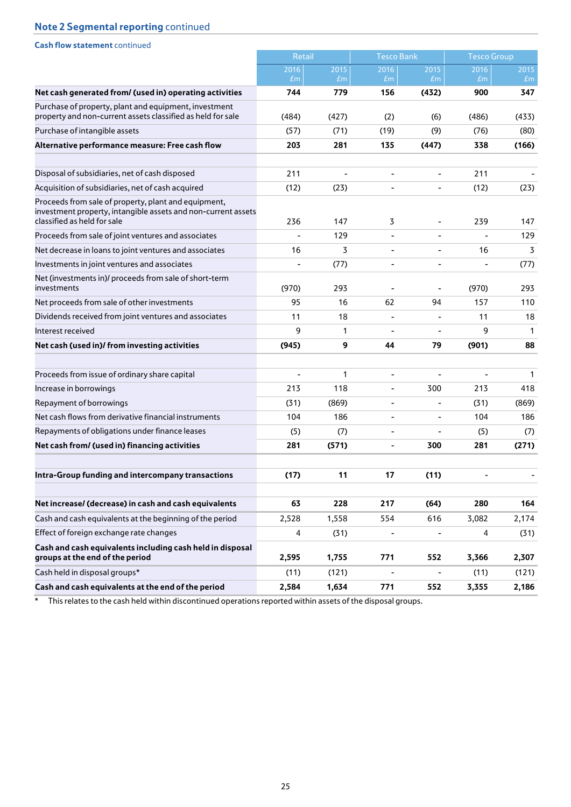| <b>Cash flow statement continued</b>                                                                                                                 |               |              |                              |                              |                              |              |
|------------------------------------------------------------------------------------------------------------------------------------------------------|---------------|--------------|------------------------------|------------------------------|------------------------------|--------------|
|                                                                                                                                                      | <b>Retail</b> |              | <b>Tesco Bank</b>            |                              | <b>Tesco Group</b>           |              |
|                                                                                                                                                      | 2016<br>Em    | 2015<br>Em   | 2016<br>Em                   | 2015<br>Em                   | 2016<br>Em                   | 2015<br>Em   |
| Net cash generated from/ (used in) operating activities                                                                                              | 744           | 779          | 156                          | (432)                        | 900                          | 347          |
| Purchase of property, plant and equipment, investment<br>property and non-current assets classified as held for sale                                 | (484)         | (427)        | (2)                          | (6)                          | (486)                        | (433)        |
| Purchase of intangible assets                                                                                                                        | (57)          | (71)         | (19)                         | (9)                          | (76)                         | (80)         |
| Alternative performance measure: Free cash flow                                                                                                      | 203           | 281          | 135                          | (447)                        | 338                          | (166)        |
| Disposal of subsidiaries, net of cash disposed                                                                                                       | 211           |              | ÷,                           | $\overline{\phantom{0}}$     | 211                          |              |
| Acquisition of subsidiaries, net of cash acquired                                                                                                    | (12)          | (23)         | $\frac{1}{2}$                | $\blacksquare$               | (12)                         | (23)         |
| Proceeds from sale of property, plant and equipment,<br>investment property, intangible assets and non-current assets<br>classified as held for sale | 236           | 147          | 3                            | $\overline{\phantom{a}}$     | 239                          | 147          |
| Proceeds from sale of joint ventures and associates                                                                                                  |               | 129          | $\overline{\phantom{a}}$     | $\blacksquare$               |                              | 129          |
| Net decrease in loans to joint ventures and associates                                                                                               | 16            | 3            | $\overline{\phantom{a}}$     | $\overline{\phantom{a}}$     | 16                           | 3            |
| Investments in joint ventures and associates                                                                                                         |               | (77)         |                              | L,                           |                              | (77)         |
| Net (investments in)/ proceeds from sale of short-term<br>investments                                                                                | (970)         | 293          |                              |                              | (970)                        | 293          |
| Net proceeds from sale of other investments                                                                                                          | 95            | 16           | 62                           | 94                           | 157                          | 110          |
| Dividends received from joint ventures and associates                                                                                                | 11            | 18           | $\overline{\phantom{a}}$     |                              | 11                           | 18           |
| Interest received                                                                                                                                    | 9             | $\mathbf{1}$ | $\qquad \qquad \blacksquare$ | $\overline{\phantom{a}}$     | 9                            | $\mathbf{1}$ |
| Net cash (used in)/ from investing activities                                                                                                        | (945)         | 9            | 44                           | 79                           | (901)                        | 88           |
| Proceeds from issue of ordinary share capital                                                                                                        |               | 1            | $\qquad \qquad \blacksquare$ |                              |                              | $\mathbf 1$  |
| Increase in borrowings                                                                                                                               | 213           | 118          | $\bar{\phantom{a}}$          | 300                          | 213                          | 418          |
| Repayment of borrowings                                                                                                                              | (31)          | (869)        | ۰                            |                              | (31)                         | (869)        |
| Net cash flows from derivative financial instruments                                                                                                 | 104           | 186          | $\overline{\phantom{a}}$     | $\overline{\phantom{a}}$     | 104                          | 186          |
| Repayments of obligations under finance leases                                                                                                       | (5)           | (7)          |                              |                              | (5)                          | (7)          |
| Net cash from/ (used in) financing activities                                                                                                        | 281           | (571)        | $\qquad \qquad \blacksquare$ | 300                          | 281                          | (271)        |
| Intra-Group funding and intercompany transactions                                                                                                    | (17)          | 11           | 17                           | (11)                         | $\qquad \qquad \blacksquare$ |              |
| Net increase/ (decrease) in cash and cash equivalents                                                                                                | 63            | 228          | 217                          | (64)                         | 280                          | 164          |
| Cash and cash equivalents at the beginning of the period                                                                                             | 2,528         | 1,558        | 554                          | 616                          | 3,082                        | 2,174        |
| Effect of foreign exchange rate changes                                                                                                              | 4             | (31)         | $\qquad \qquad \blacksquare$ | $\qquad \qquad \blacksquare$ | 4                            | (31)         |
| Cash and cash equivalents including cash held in disposal<br>groups at the end of the period                                                         | 2,595         | 1,755        | 771                          | 552                          | 3,366                        | 2,307        |
| Cash held in disposal groups*                                                                                                                        | (11)          | (121)        | $\overline{\phantom{a}}$     |                              | (11)                         | (121)        |
| Cash and cash equivalents at the end of the period                                                                                                   | 2,584         | 1,634        | 771                          | 552                          | 3,355                        | 2,186        |

\* This relates to the cash held within discontinued operations reported within assets of the disposal groups.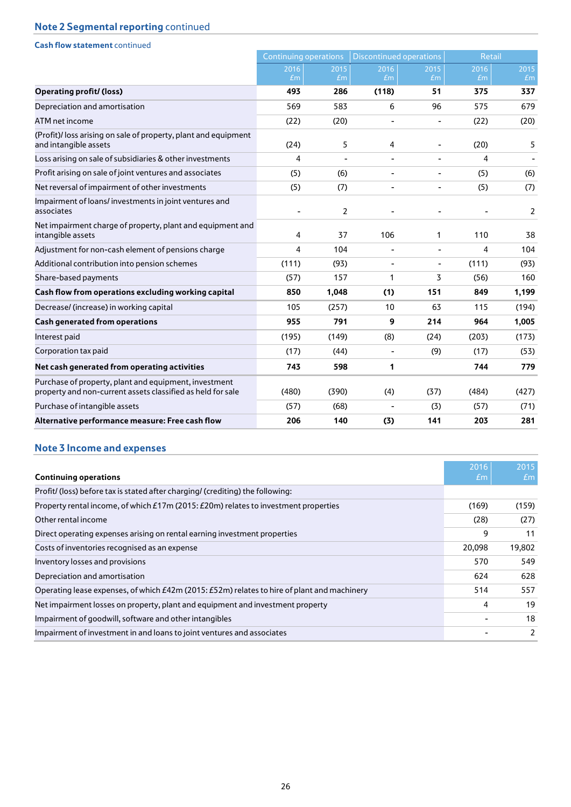| <b>Cash flow statement continued</b>                                                                                 |                              |       |                                |                          |               |       |
|----------------------------------------------------------------------------------------------------------------------|------------------------------|-------|--------------------------------|--------------------------|---------------|-------|
|                                                                                                                      | <b>Continuing operations</b> |       | <b>Discontinued operations</b> |                          | <b>Retail</b> |       |
|                                                                                                                      | 2016                         | 2015  | 2016                           | 2015                     | 2016          | 2015  |
|                                                                                                                      | Em                           | Em    | £m                             | Em                       | Em            | Em    |
| <b>Operating profit/ (loss)</b>                                                                                      | 493                          | 286   | (118)                          | 51                       | 375           | 337   |
| Depreciation and amortisation                                                                                        | 569                          | 583   | 6                              | 96                       | 575           | 679   |
| ATM net income                                                                                                       | (22)                         | (20)  | $\overline{\phantom{0}}$       | $\overline{\phantom{a}}$ | (22)          | (20)  |
| (Profit)/ loss arising on sale of property, plant and equipment<br>and intangible assets                             | (24)                         | 5     | 4                              |                          | (20)          | 5     |
| Loss arising on sale of subsidiaries & other investments                                                             | 4                            |       | $\overline{\phantom{0}}$       | $\blacksquare$           | 4             |       |
| Profit arising on sale of joint ventures and associates                                                              | (5)                          | (6)   | L,                             | $\blacksquare$           | (5)           | (6)   |
| Net reversal of impairment of other investments                                                                      | (5)                          | (7)   | $\overline{\phantom{0}}$       | $\overline{\phantom{a}}$ | (5)           | (7)   |
| Impairment of loans/investments in joint ventures and<br>associates                                                  |                              | 2     |                                |                          |               | 2     |
| Net impairment charge of property, plant and equipment and<br>intangible assets                                      | 4                            | 37    | 106                            | 1                        | 110           | 38    |
| Adjustment for non-cash element of pensions charge                                                                   | 4                            | 104   | $\overline{\phantom{a}}$       | $\overline{\phantom{a}}$ | 4             | 104   |
| Additional contribution into pension schemes                                                                         | (111)                        | (93)  | ۰                              | $\overline{\phantom{a}}$ | (111)         | (93)  |
| Share-based payments                                                                                                 | (57)                         | 157   | 1                              | 3                        | (56)          | 160   |
| Cash flow from operations excluding working capital                                                                  | 850                          | 1,048 | (1)                            | 151                      | 849           | 1,199 |
| Decrease/ (increase) in working capital                                                                              | 105                          | (257) | 10                             | 63                       | 115           | (194) |
| <b>Cash generated from operations</b>                                                                                | 955                          | 791   | 9                              | 214                      | 964           | 1,005 |
| Interest paid                                                                                                        | (195)                        | (149) | (8)                            | (24)                     | (203)         | (173) |
| Corporation tax paid                                                                                                 | (17)                         | (44)  | $\blacksquare$                 | (9)                      | (17)          | (53)  |
| Net cash generated from operating activities                                                                         | 743                          | 598   | 1                              |                          | 744           | 779   |
| Purchase of property, plant and equipment, investment<br>property and non-current assets classified as held for sale | (480)                        | (390) | (4)                            | (37)                     | (484)         | (427) |
| Purchase of intangible assets                                                                                        | (57)                         | (68)  |                                | (3)                      | (57)          | (71)  |
| Alternative performance measure: Free cash flow                                                                      | 206                          | 140   | (3)                            | 141                      | 203           | 281   |

# **Note 3 Income and expenses**

| <b>Continuing operations</b>                                                                | 2016<br><b><i><u>tm</u></i></b> | 2015<br>Em    |
|---------------------------------------------------------------------------------------------|---------------------------------|---------------|
| Profit/ (loss) before tax is stated after charging/ (crediting) the following:              |                                 |               |
| Property rental income, of which £17m (2015: £20m) relates to investment properties         | (169)                           | (159)         |
| Other rental income                                                                         | (28)                            | (27)          |
| Direct operating expenses arising on rental earning investment properties                   | 9                               | 11            |
| Costs of inventories recognised as an expense                                               | 20,098                          | 19,802        |
| Inventory losses and provisions                                                             | 570                             | 549           |
| Depreciation and amortisation                                                               | 624                             | 628           |
| Operating lease expenses, of which £42m (2015: £52m) relates to hire of plant and machinery | 514                             | 557           |
| Net impairment losses on property, plant and equipment and investment property              | 4                               | 19            |
| Impairment of goodwill, software and other intangibles                                      |                                 | 18            |
| Impairment of investment in and loans to joint ventures and associates                      |                                 | $\mathcal{P}$ |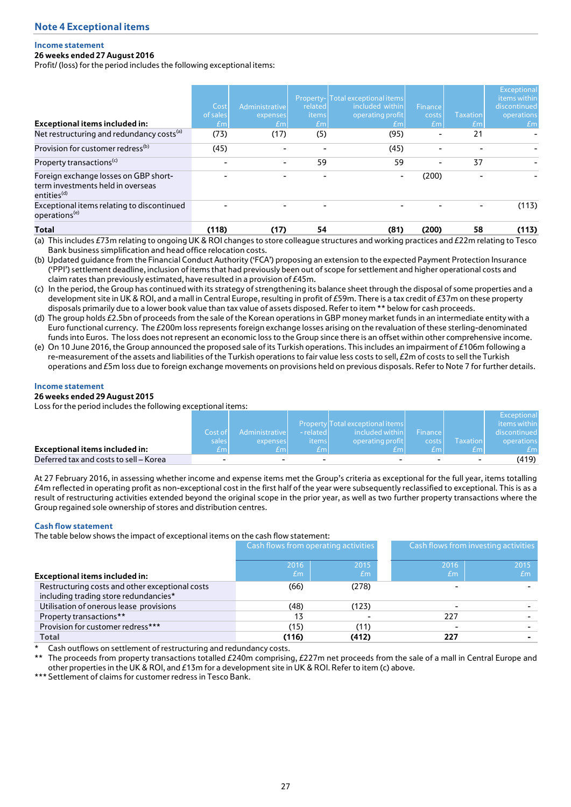## **Income statement**

## **26 weeks ended 27 August 2016**

Profit/ (loss) for the period includes the following exceptional items:

| <b>Exceptional items included in:</b>                                                                 | Cost<br>of sales<br>£m | Administrative<br>expenses<br>E <sub>m</sub> | related<br>items<br>E <sub>m</sub> | Property-Total exceptional items<br>included within<br>operating profit<br>£m | Finance<br>costs<br>E <sub>m</sub> | <b>Taxation</b><br>Em | Exceptional<br>items within<br>discontinued<br>operations<br>Em |
|-------------------------------------------------------------------------------------------------------|------------------------|----------------------------------------------|------------------------------------|-------------------------------------------------------------------------------|------------------------------------|-----------------------|-----------------------------------------------------------------|
| Net restructuring and redundancy costs <sup>(a)</sup>                                                 | (73)                   | (17)                                         | (5)                                | (95)                                                                          |                                    | 21                    |                                                                 |
| Provision for customer redress <sup>(b)</sup>                                                         | (45)                   |                                              |                                    | (45)                                                                          |                                    |                       |                                                                 |
| Property transactions <sup>(c)</sup>                                                                  | ٠                      |                                              | 59                                 | 59                                                                            |                                    | 37                    |                                                                 |
| Foreign exchange losses on GBP short-<br>term investments held in overseas<br>entities <sup>(d)</sup> |                        |                                              |                                    | ۰                                                                             | (200)                              |                       |                                                                 |
| Exceptional items relating to discontinued<br>operations <sup>(e)</sup>                               |                        |                                              |                                    |                                                                               |                                    |                       | (113)                                                           |
| Total                                                                                                 | (118)                  | (17)                                         | 54                                 | (81)                                                                          | (200)                              | 58                    | (113)                                                           |

(a) This includes £73m relating to ongoing UK & ROI changes to store colleague structures and working practices and £22m relating to Tesco Bank business simplification and head office relocation costs.

(b) Updated guidance from the Financial Conduct Authority ('FCA') proposing an extension to the expected Payment Protection Insurance ('PPI') settlement deadline, inclusion of items that had previously been out of scope for settlement and higher operational costs and claim rates than previously estimated, have resulted in a provision of £45m.

(c) In the period, the Group has continued with its strategy of strengthening its balance sheet through the disposal of some properties and a development site in UK & ROI, and a mall in Central Europe, resulting in profit of £59m. There is a tax credit of £37m on these property disposals primarily due to a lower book value than tax value of assets disposed. Refer to item \*\* below for cash proceeds.

(d) The group holds £2.5bn of proceeds from the sale of the Korean operations in GBP money market funds in an intermediate entity with a Euro functional currency. The £200m loss represents foreign exchange losses arising on the revaluation of these sterling-denominated funds into Euros. The loss does not represent an economic loss to the Group since there is an offset within other comprehensive income.

(e) On 10 June 2016, the Group announced the proposed sale of its Turkish operations. This includes an impairment of £106m following a re-measurement of the assets and liabilities of the Turkish operations to fair value less costs to sell, £2m of costs to sell the Turkish operations and £5m loss due to foreign exchange movements on provisions held on previous disposals. Refer to Note 7 for further details.

#### **Income statement**

## **26 weeks ended 29 August 2015**

Loss for the period includes the following exceptional items:

|                                        |         |                |                          |                                  |         |                 | <b>Exceptional</b> |
|----------------------------------------|---------|----------------|--------------------------|----------------------------------|---------|-----------------|--------------------|
|                                        |         |                |                          | Property Total exceptional items |         |                 | items within       |
|                                        | Cost of | Administrative | - related                | included within                  | Finance |                 | discontinued       |
|                                        | sales   | expenses       | <i>items</i>             | operating profit                 | costs   | <b>Taxation</b> | operations         |
| <b>Exceptional items included in:</b>  | £ml     | fm.            | fm                       | Em l                             | fm.     | fm.             | fm.                |
| Deferred tax and costs to sell – Korea |         |                | $\overline{\phantom{0}}$ | $\overline{\phantom{a}}$         | -       |                 | (419)              |

At 27 February 2016, in assessing whether income and expense items met the Group's criteria as exceptional for the full year, items totalling  $£4$ m reflected in operating profit as non-exceptional cost in the first half of the year were subsequently reclassified to exceptional. This is as a result of restructuring activities extended beyond the original scope in the prior year, as well as two further property transactions where the Group regained sole ownership of stores and distribution centres.

#### **Cash flow statement**

The table below shows the impact of exceptional items on the cash flow statement:

|                                                                                          |       | Cash flows from operating activities |      | Cash flows from investing activities |  |
|------------------------------------------------------------------------------------------|-------|--------------------------------------|------|--------------------------------------|--|
|                                                                                          | 2016  | 2015                                 | 2016 | 2015                                 |  |
| <b>Exceptional items included in:</b>                                                    | Em    | Em                                   | Em   | Em                                   |  |
| Restructuring costs and other exceptional costs<br>including trading store redundancies* | (66)  | (278)                                |      |                                      |  |
| Utilisation of onerous lease provisions                                                  | (48)  | (123)                                |      |                                      |  |
| Property transactions**                                                                  | 13    |                                      | 227  |                                      |  |
| Provision for customer redress***                                                        | (15)  | (11)                                 |      |                                      |  |
| <b>Total</b>                                                                             | (116) | (412)                                | 227  |                                      |  |

Cash outflows on settlement of restructuring and redundancy costs.

The proceeds from property transactions totalled  $£240m$  comprising,  $£227m$  net proceeds from the sale of a mall in Central Europe and other properties in the UK & ROI, and £13m for a development site in UK & ROI. Refer to item (c) above.

\*\*\* Settlement of claims for customer redress in Tesco Bank.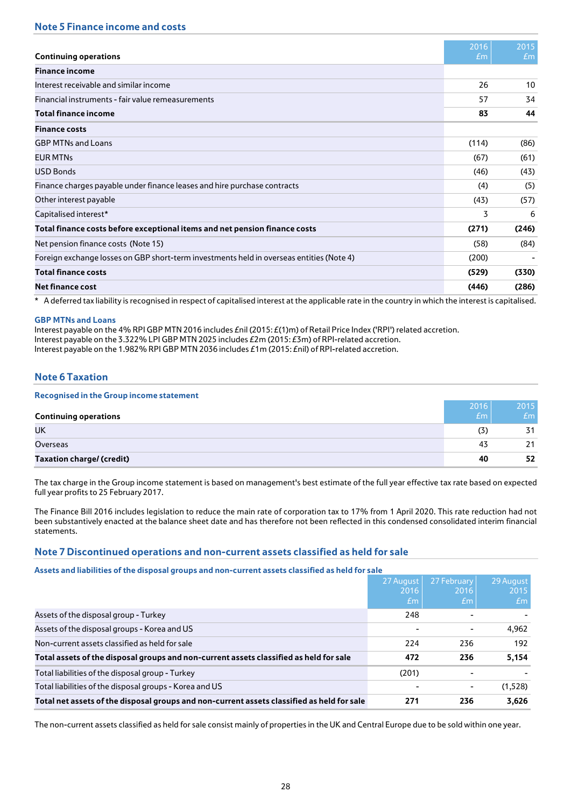|                                                                                          | 2016  | 2015  |
|------------------------------------------------------------------------------------------|-------|-------|
| <b>Continuing operations</b>                                                             | Em    | Em    |
| <b>Finance income</b>                                                                    |       |       |
| Interest receivable and similar income                                                   | 26    | 10    |
| Financial instruments - fair value remeasurements                                        | 57    | 34    |
| <b>Total finance income</b>                                                              | 83    | 44    |
| <b>Finance costs</b>                                                                     |       |       |
| <b>GBP MTNs and Loans</b>                                                                | (114) | (86)  |
| <b>EUR MTNs</b>                                                                          | (67)  | (61)  |
| <b>USD Bonds</b>                                                                         | (46)  | (43)  |
| Finance charges payable under finance leases and hire purchase contracts                 | (4)   | (5)   |
| Other interest payable                                                                   | (43)  | (57)  |
| Capitalised interest*                                                                    | 3     | 6     |
| Total finance costs before exceptional items and net pension finance costs               | (271) | (246) |
| Net pension finance costs (Note 15)                                                      | (58)  | (84)  |
| Foreign exchange losses on GBP short-term investments held in overseas entities (Note 4) | (200) |       |
| <b>Total finance costs</b>                                                               | (529) | (330) |
| <b>Net finance cost</b>                                                                  | (446) | (286) |

\* A deferred tax liability is recognised in respect of capitalised interest at the applicable rate in the country in which the interest is capitalised.

## **GBP MTNs and Loans**

Interest payable on the 4% RPI GBP MTN 2016 includes £nil (2015: £(1)m) of Retail Price Index ('RPI') related accretion. Interest payable on the 3.322% LPI GBP MTN 2025 includes £2m (2015: £3m) of RPI-related accretion. Interest payable on the 1.982% RPI GBP MTN 2036 includes £1m (2015: £nil) of RPI-related accretion.

# **Note 6 Taxation**

| <b>Recognised in the Group income statement</b> |      |      |
|-------------------------------------------------|------|------|
|                                                 | 2016 | 2015 |
| <b>Continuing operations</b>                    | Em   | Em   |
| UK                                              | (3)  | ス1   |
| Overseas                                        | 43   |      |
| <b>Taxation charge/ (credit)</b>                | 40   | 52   |

The tax charge in the Group income statement is based on management's best estimate of the full year effective tax rate based on expected full year profits to 25 February 2017.

The Finance Bill 2016 includes legislation to reduce the main rate of corporation tax to 17% from 1 April 2020. This rate reduction had not been substantively enacted at the balance sheet date and has therefore not been reflected in this condensed consolidated interim financial statements.

## **Note 7 Discontinued operations and non-current assets classified as held for sale**

**Assets and liabilities of the disposal groups and non-current assets classified as held for sale**

|                                                                                            | 27 August<br>2016<br>Em | 27 February<br>2016<br>Em | 29 August<br>2015<br>Em |
|--------------------------------------------------------------------------------------------|-------------------------|---------------------------|-------------------------|
| Assets of the disposal group - Turkey                                                      | 248                     |                           |                         |
| Assets of the disposal groups - Korea and US                                               |                         |                           | 4,962                   |
| Non-current assets classified as held for sale                                             | 224                     | 236                       | 192                     |
| Total assets of the disposal groups and non-current assets classified as held for sale     | 472                     | 236                       | 5,154                   |
| Total liabilities of the disposal group - Turkey                                           | (201)                   |                           |                         |
| Total liabilities of the disposal groups - Korea and US                                    |                         |                           | (1,528)                 |
| Total net assets of the disposal groups and non-current assets classified as held for sale | 271                     | 236                       | 3,626                   |

The non-current assets classified as held for sale consist mainly of properties in the UK and Central Europe due to be sold within one year.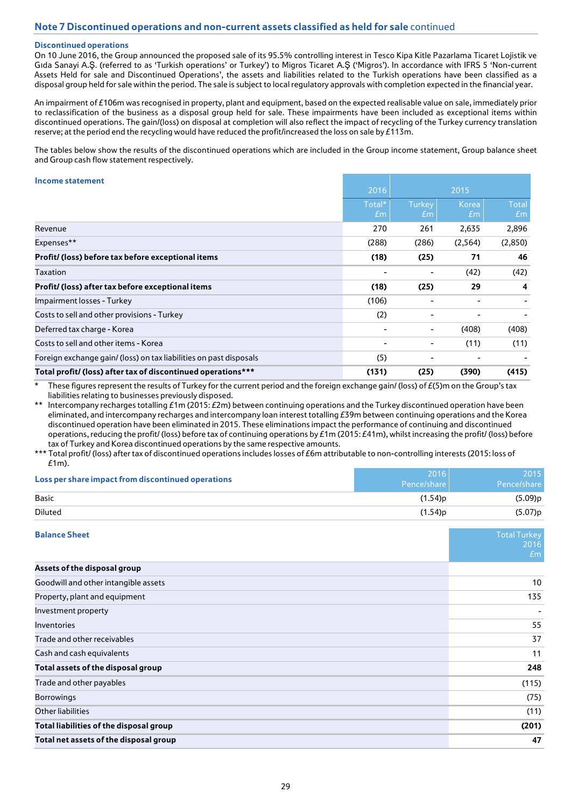## **Discontinued operations**

On 10 June 2016, the Group announced the proposed sale of its 95.5% controlling interest in Tesco Kipa Kitle Pazarlama Ticaret Lojistik ve Gıda Sanayi A.Ş. (referred to as 'Turkish operations' or Turkey') to Migros Ticaret A.Ş ('Migros'). In accordance with IFRS 5 'Non-current Assets Held for sale and Discontinued Operations', the assets and liabilities related to the Turkish operations have been classified as a disposal group held for sale within the period. The sale is subject to local regulatory approvals with completion expected in the financial year.

An impairment of £106m was recognised in property, plant and equipment, based on the expected realisable value on sale, immediately prior to reclassification of the business as a disposal group held for sale. These impairments have been included as exceptional items within discontinued operations. The gain/(loss) on disposal at completion will also reflect the impact of recycling of the Turkey currency translation reserve; at the period end the recycling would have reduced the profit/increased the loss on sale by £113m.

The tables below show the results of the discontinued operations which are included in the Group income statement, Group balance sheet and Group cash flow statement respectively.

#### **Income statement**

| <u>THEOTHE SURVEITIENT</u>                                         | 2016         |                                 | 2015        |                    |
|--------------------------------------------------------------------|--------------|---------------------------------|-------------|--------------------|
|                                                                    | Total*<br>Em | <b>Turkey</b><br>E <sub>m</sub> | Korea<br>Em | <b>Total</b><br>Em |
| Revenue                                                            | 270          | 261                             | 2,635       | 2,896              |
| Expenses**                                                         | (288)        | (286)                           | (2,564)     | (2,850)            |
| Profit/ (loss) before tax before exceptional items                 | (18)         | (25)                            | 71          | 46                 |
| Taxation                                                           |              |                                 | (42)        | (42)               |
| Profit/ (loss) after tax before exceptional items                  | (18)         | (25)                            | 29          | 4                  |
| Impairment losses - Turkey                                         | (106)        |                                 |             |                    |
| Costs to sell and other provisions - Turkey                        | (2)          |                                 |             |                    |
| Deferred tax charge - Korea                                        |              | ۰.                              | (408)       | (408)              |
| Costs to sell and other items - Korea                              |              | ۰                               | (11)        | (11)               |
| Foreign exchange gain/ (loss) on tax liabilities on past disposals | (5)          |                                 |             |                    |
| Total profit/ (loss) after tax of discontinued operations***       | (131)        | (25)                            | (390)       | (415)              |

These figures represent the results of Turkey for the current period and the foreign exchange gain/ (loss) of  $E(5)$ m on the Group's tax liabilities relating to businesses previously disposed.

\*\* Intercompany recharges totalling £1m (2015: £2m) between continuing operations and the Turkey discontinued operation have been eliminated, and intercompany recharges and intercompany loan interest totalling £39m between continuing operations and the Korea discontinued operation have been eliminated in 2015. These eliminations impact the performance of continuing and discontinued operations, reducing the profit/ (loss) before tax of continuing operations by £1m (2015: £41m), whilst increasing the profit/ (loss) before tax of Turkey and Korea discontinued operations by the same respective amounts.

<sup>\*\*\*</sup> Total profit/ (loss) after tax of discontinued operations includes losses of £6m attributable to non-controlling interests (2015: loss of  $f1m$ 

| Loss per share impact from discontinued operations | 2016<br>Pence/share | 2015<br>Pence/share               |
|----------------------------------------------------|---------------------|-----------------------------------|
| <b>Basic</b>                                       | (1.54)p             | (5.09)p                           |
| <b>Diluted</b>                                     | (1.54)p             | (5.07)p                           |
| <b>Balance Sheet</b>                               |                     | <b>Total Turkey</b><br>2016<br>Em |
| Assets of the disposal group                       |                     |                                   |
| Goodwill and other intangible assets               |                     | 10                                |
| Property, plant and equipment                      |                     | 135                               |
| Investment property                                |                     |                                   |
| Inventories                                        |                     | 55                                |
| Trade and other receivables                        |                     | 37                                |
| Cash and cash equivalents                          |                     | 11                                |
| Total assets of the disposal group                 |                     | 248                               |
| Trade and other payables                           |                     | (115)                             |
| Borrowings                                         |                     | (75)                              |
| Other liabilities                                  |                     | (11)                              |
| Total liabilities of the disposal group            |                     | (201)                             |
| Total net assets of the disposal group             |                     | 47                                |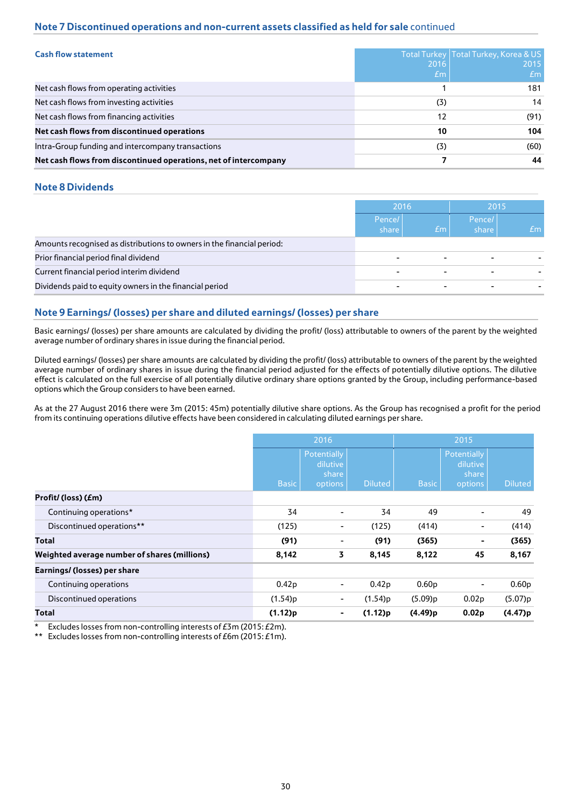# **Note 7 Discontinued operations and non-current assets classified as held for sale** continued

| <b>Cash flow statement</b>                                       | 2016<br>Em | Total Turkey   Total Turkey, Korea & US<br>2015<br><i><b>£m</b></i> |
|------------------------------------------------------------------|------------|---------------------------------------------------------------------|
| Net cash flows from operating activities                         |            | 181                                                                 |
| Net cash flows from investing activities                         | (3)        | 14                                                                  |
| Net cash flows from financing activities                         | 12         | (91)                                                                |
| Net cash flows from discontinued operations                      | 10         | 104                                                                 |
| Intra-Group funding and intercompany transactions                | (3)        | (60)                                                                |
| Net cash flows from discontinued operations, net of intercompany |            | 44                                                                  |

## **Note 8 Dividends**

|                                                                        | 2016                     |                          | 2015                     |    |
|------------------------------------------------------------------------|--------------------------|--------------------------|--------------------------|----|
|                                                                        | Pence/<br>share          | Em <sub>1</sub>          | Pence/<br>share          | Em |
| Amounts recognised as distributions to owners in the financial period: |                          |                          |                          |    |
| Prior financial period final dividend                                  | $\overline{\phantom{0}}$ | ٠                        |                          |    |
| Current financial period interim dividend                              | $\overline{\phantom{a}}$ | $\overline{\phantom{0}}$ | $\overline{\phantom{0}}$ |    |
| Dividends paid to equity owners in the financial period                |                          |                          |                          |    |

# **Note 9 Earnings/(losses) per share and diluted earnings/ (losses) per share**

Basic earnings/ (losses) per share amounts are calculated by dividing the profit/ (loss) attributable to owners of the parent by the weighted average number of ordinary shares in issue during the financial period.

Diluted earnings/ (losses) per share amounts are calculated by dividing the profit/ (loss) attributable to owners of the parent by the weighted average number of ordinary shares in issue during the financial period adjusted for the effects of potentially dilutive options. The dilutive effect is calculated on the full exercise of all potentially dilutive ordinary share options granted by the Group, including performance-based options which the Group considers to have been earned.

As at the 27 August 2016 there were 3m (2015: 45m) potentially dilutive share options. As the Group has recognised a profit for the period from its continuing operations dilutive effects have been considered in calculating diluted earnings per share.

|                                              | 2016              |                                             | 2015              |                   |                                             |                   |
|----------------------------------------------|-------------------|---------------------------------------------|-------------------|-------------------|---------------------------------------------|-------------------|
|                                              | <b>Basic</b>      | Potentially<br>dilutive<br>share<br>options | <b>Diluted</b>    | <b>Basic</b>      | Potentially<br>dilutive<br>share<br>options | <b>Diluted</b>    |
| Profit/(loss)(£m)                            |                   |                                             |                   |                   |                                             |                   |
| Continuing operations*                       | 34                | ۰                                           | 34                | 49                | -                                           | 49                |
| Discontinued operations**                    | (125)             | ۰                                           | (125)             | (414)             | ۰                                           | (414)             |
| Total                                        | (91)              | ۰                                           | (91)              | (365)             | ۰                                           | (365)             |
| Weighted average number of shares (millions) | 8,142             | 3                                           | 8,145             | 8,122             | 45                                          | 8,167             |
| Earnings/ (losses) per share                 |                   |                                             |                   |                   |                                             |                   |
| Continuing operations                        | 0.42 <sub>p</sub> | ۰                                           | 0.42 <sub>p</sub> | 0.60 <sub>p</sub> | ۰                                           | 0.60 <sub>p</sub> |
| Discontinued operations                      | (1.54)p           | ۰                                           | (1.54)p           | (5.09)p           | 0.02 <sub>p</sub>                           | (5.07)p           |
| Total                                        | (1.12)p           | ۰                                           | (1.12)p           | (4.49)p           | 0.02 <sub>p</sub>                           | (4.47)p           |

Excludes losses from non-controlling interests of  $E3m$  (2015:  $E2m$ ).

\*\* Excludes losses from non-controlling interests of £6m (2015: £1m).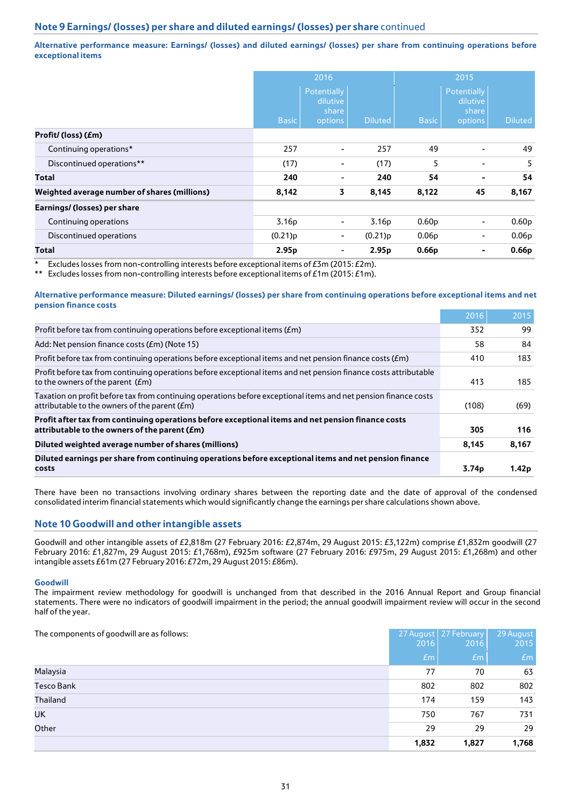# **Note 9 Earnings/ (losses) per share and diluted earnings/ (losses) per share** continued

**Alternative performance measure: Earnings/ (losses) and diluted earnings/ (losses) per share from continuing operations before exceptional items**

|                                              |                   | 2016                                        |                   | 2015              |                                                    |                   |  |
|----------------------------------------------|-------------------|---------------------------------------------|-------------------|-------------------|----------------------------------------------------|-------------------|--|
|                                              | <b>Basic</b>      | Potentially<br>dilutive<br>share<br>options | <b>Diluted</b>    | <b>Basic</b>      | <b>Potentially</b><br>dilutive<br>share<br>options | <b>Diluted</b>    |  |
| Profit/(loss)(£m)                            |                   |                                             |                   |                   |                                                    |                   |  |
| Continuing operations*                       | 257               | $\blacksquare$                              | 257               | 49                | $\blacksquare$                                     | 49                |  |
| Discontinued operations**                    | (17)              | ۰                                           | (17)              | 5                 | $\overline{\phantom{0}}$                           | 5                 |  |
| Total                                        | 240               | ٠                                           | 240               | 54                | ٠                                                  | 54                |  |
| Weighted average number of shares (millions) | 8,142             | 3                                           | 8,145             | 8,122             | 45                                                 | 8,167             |  |
| Earnings/ (losses) per share                 |                   |                                             |                   |                   |                                                    |                   |  |
| Continuing operations                        | 3.16 <sub>p</sub> | ۰                                           | 3.16 <sub>p</sub> | 0.60 <sub>p</sub> |                                                    | 0.60 <sub>p</sub> |  |
| Discontinued operations                      | (0.21)p           | ۰.                                          | (0.21)p           | 0.06 <sub>p</sub> | $\blacksquare$                                     | 0.06 <sub>p</sub> |  |
| Total                                        | 2.95 <sub>p</sub> | ۰                                           | 2.95 <sub>p</sub> | 0.66 <sub>p</sub> | $\blacksquare$                                     | 0.66 <sub>p</sub> |  |

\* Excludes losses from non-controlling interests before exceptional items of  $E3m$  (2015:  $E2m$ ).<br>\*\* Excludes losses from non-controlling interests before exceptional items of  $E1m$  (2015:  $E1m$ ).

Excludes losses from non-controlling interests before exceptional items of  $£1m (2015: £1m)$ .

#### **Alternative performance measure: Diluted earnings/ (losses) per share from continuing operations before exceptional items and net pension finance costs**

|                                                                                                                                                                           | 2016              | 2015  |
|---------------------------------------------------------------------------------------------------------------------------------------------------------------------------|-------------------|-------|
| Profit before tax from continuing operations before exceptional items (£m)                                                                                                | 352               | 99    |
| Add: Net pension finance costs ( <i>£m</i> ) (Note 15)                                                                                                                    | 58                | 84    |
| Profit before tax from continuing operations before exceptional items and net pension finance costs ( $Em$ )                                                              | 410               | 183   |
| Profit before tax from continuing operations before exceptional items and net pension finance costs attributable<br>to the owners of the parent ( <i>E</i> m)             | 413               | 185   |
| Taxation on profit before tax from continuing operations before exceptional items and net pension finance costs<br>attributable to the owners of the parent ( <i>E</i> m) | (108)             | (69)  |
| Profit after tax from continuing operations before exceptional items and net pension finance costs<br>attributable to the owners of the parent (£m)                       | 305               | 116   |
| Diluted weighted average number of shares (millions)                                                                                                                      | 8,145             | 8,167 |
| Diluted earnings per share from continuing operations before exceptional items and net pension finance<br>costs                                                           | 3.74 <sub>p</sub> | 1.42p |

There have been no transactions involving ordinary shares between the reporting date and the date of approval of the condensed consolidated interim financial statements which would significantly change the earnings per share calculations shown above.

## **Note 10 Goodwill and other intangible assets**

Goodwill and other intangible assets of £2,818m (27 February 2016: £2,874m, 29 August 2015: £3,122m) comprise £1,832m goodwill (27 February 2016: £1,827m, 29 August 2015: £1,768m), £925m software (27 February 2016: £975m, 29 August 2015: £1,268m) and other intangible assets £61m (27 February 2016: £72m, 29 August 2015: £86m).

#### **Goodwill**

The impairment review methodology for goodwill is unchanged from that described in the 2016 Annual Report and Group financial statements. There were no indicators of goodwill impairment in the period; the annual goodwill impairment review will occur in the second half of the year.

| The components of goodwill are as follows: | 2016  | 27 August 27 February<br>2016 | 29 August<br>2015 |
|--------------------------------------------|-------|-------------------------------|-------------------|
|                                            | Em    | Em                            | Em                |
| Malaysia                                   | 77    | 70                            | 63                |
| <b>Tesco Bank</b>                          | 802   | 802                           | 802               |
| Thailand                                   | 174   | 159                           | 143               |
| UK                                         | 750   | 767                           | 731               |
| Other                                      | 29    | 29                            | 29                |
|                                            | 1,832 | 1,827                         | 1,768             |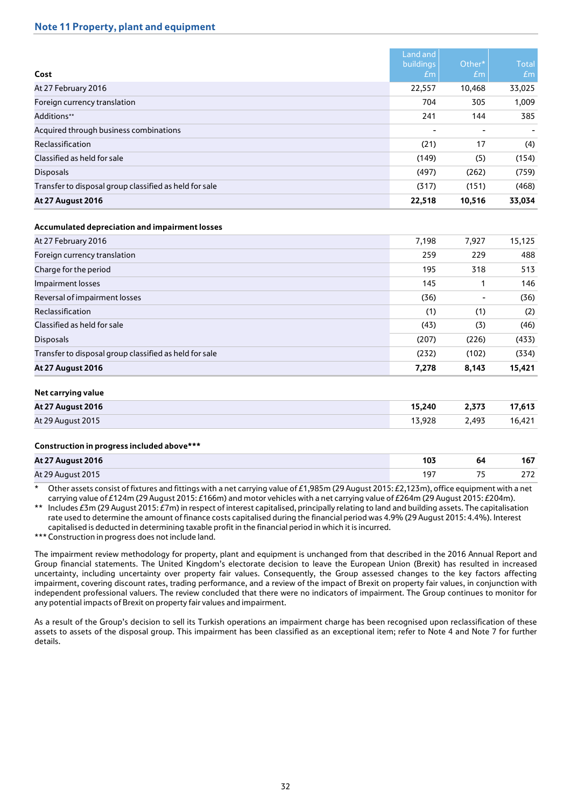## **Note 11 Property, plant and equipment**

| Cost                                                   | Land and<br><b>buildings</b><br>Em | Other*<br>E <sub>m</sub> | <b>Total</b><br>Em       |
|--------------------------------------------------------|------------------------------------|--------------------------|--------------------------|
| At 27 February 2016                                    | 22,557                             | 10,468                   | 33,025                   |
| Foreign currency translation                           | 704                                | 305                      | 1,009                    |
| Additions**                                            | 241                                | 144                      | 385                      |
| Acquired through business combinations                 | $\overline{\phantom{0}}$           |                          | $\overline{\phantom{a}}$ |
| Reclassification                                       | (21)                               | 17                       | (4)                      |
| Classified as held for sale                            | (149)                              | (5)                      | (154)                    |
| <b>Disposals</b>                                       | (497)                              | (262)                    | (759)                    |
| Transfer to disposal group classified as held for sale | (317)                              | (151)                    | (468)                    |
| <b>At 27 August 2016</b>                               | 22,518                             | 10,516                   | 33,034                   |

## **Accumulated depreciation and impairment losses**

| At 27 February 2016                                    | 7,198 | 7,927 | 15,125 |
|--------------------------------------------------------|-------|-------|--------|
| Foreign currency translation                           | 259   | 229   | 488    |
| Charge for the period                                  | 195   | 318   | 513    |
| Impairment losses                                      | 145   |       | 146    |
| Reversal of impairment losses                          | (36)  |       | (36)   |
| Reclassification                                       | (1)   | (1)   | (2)    |
| Classified as held for sale                            | (43)  | (3)   | (46)   |
| <b>Disposals</b>                                       | (207) | (226) | (433)  |
| Transfer to disposal group classified as held for sale | (232) | (102) | (334)  |
| <b>At 27 August 2016</b>                               | 7,278 | 8,143 | 15,421 |

## **Net carrying value**

| <b>At 27 August 2016</b> | 15.240 | 2.373 | 17,613 |
|--------------------------|--------|-------|--------|
| At 29 August 2015        | 13.928 | 2,493 | 16.421 |

#### **Construction in progress included above\*\*\***

| <b>At 27 August 2016</b> | 103 | 64                       | $\overline{1}$<br>10 |
|--------------------------|-----|--------------------------|----------------------|
| At 29 August 2015        |     | $\overline{\phantom{a}}$ | າ 72                 |

Other assets consist of fixtures and fittings with a net carrying value of £1,985m (29 August 2015: £2,123m), office equipment with a net carrying value of £124m (29 August 2015: £166m) and motor vehicles with a net carrying value of £264m (29 August 2015: £204m).

\*\* Includes £3m (29 August 2015: £7m) in respect of interest capitalised, principally relating to land and building assets. The capitalisation rate used to determine the amount of finance costs capitalised during the financial period was 4.9% (29 August 2015: 4.4%). Interest capitalised is deducted in determining taxable profit in the financial period in which it is incurred.

\*\*\* Construction in progress does not include land.

The impairment review methodology for property, plant and equipment is unchanged from that described in the 2016 Annual Report and Group financial statements. The United Kingdom's electorate decision to leave the European Union (Brexit) has resulted in increased uncertainty, including uncertainty over property fair values. Consequently, the Group assessed changes to the key factors affecting impairment, covering discount rates, trading performance, and a review of the impact of Brexit on property fair values, in conjunction with independent professional valuers. The review concluded that there were no indicators of impairment. The Group continues to monitor for any potential impacts of Brexit on property fair values and impairment.

As a result of the Group's decision to sell its Turkish operations an impairment charge has been recognised upon reclassification of these assets to assets of the disposal group. This impairment has been classified as an exceptional item; refer to Note 4 and Note 7 for further details.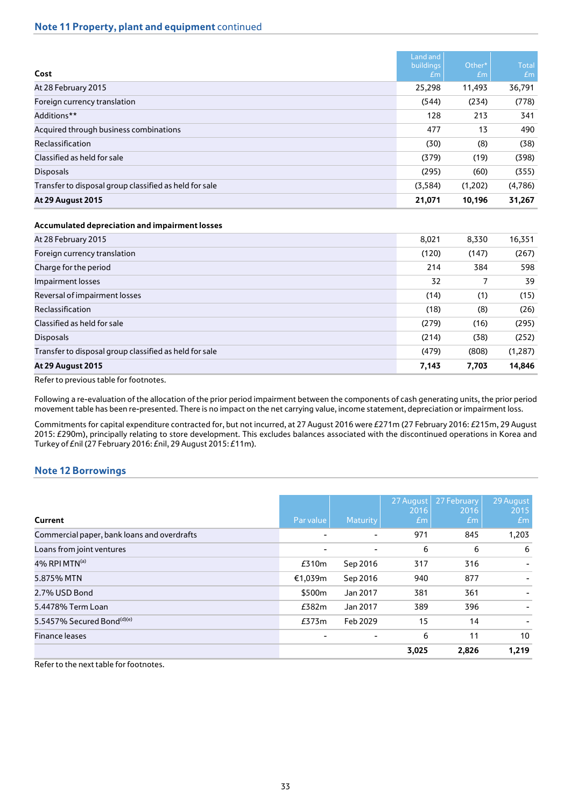# **Note 11 Property, plant and equipment** continued

| Cost                                                   | Land and<br><b>buildings</b><br>Em | Other*<br>Em | <b>Total</b><br>Em |
|--------------------------------------------------------|------------------------------------|--------------|--------------------|
| At 28 February 2015                                    | 25,298                             | 11,493       | 36,791             |
| Foreign currency translation                           | (544)                              | (234)        | (778)              |
| Additions**                                            | 128                                | 213          | 341                |
| Acquired through business combinations                 | 477                                | 13           | 490                |
| Reclassification                                       | (30)                               | (8)          | (38)               |
| Classified as held for sale                            | (379)                              | (19)         | (398)              |
| <b>Disposals</b>                                       | (295)                              | (60)         | (355)              |
| Transfer to disposal group classified as held for sale | (3,584)                            | (1,202)      | (4,786)            |
| <b>At 29 August 2015</b>                               | 21,071                             | 10,196       | 31,267             |

## **Accumulated depreciation and impairment losses**

| At 28 February 2015                                    | 8,021 | 8,330 | 16,351   |
|--------------------------------------------------------|-------|-------|----------|
| Foreign currency translation                           | (120) | (147) | (267)    |
| Charge for the period                                  | 214   | 384   | 598      |
| Impairment losses                                      | 32    |       | 39       |
| Reversal of impairment losses                          | (14)  | (1)   | (15)     |
| Reclassification                                       | (18)  | (8)   | (26)     |
| Classified as held for sale                            | (279) | (16)  | (295)    |
| <b>Disposals</b>                                       | (214) | (38)  | (252)    |
| Transfer to disposal group classified as held for sale | (479) | (808) | (1, 287) |
| <b>At 29 August 2015</b>                               | 7,143 | 7,703 | 14,846   |
| <b>PC.</b> P. L. L. L. C. C. L. L.                     |       |       |          |

Refer to previous table for footnotes.

Following a re-evaluation of the allocation of the prior period impairment between the components of cash generating units, the prior period movement table has been re-presented. There is no impact on the net carrying value, income statement, depreciation or impairment loss.

Commitments for capital expenditure contracted for, but not incurred, at 27 August 2016 were £271m (27 February 2016: £215m, 29 August 2015: £290m), principally relating to store development. This excludes balances associated with the discontinued operations in Korea and Turkey of £nil (27 February 2016: £nil, 29 August 2015: £11m).

## **Note 12 Borrowings**

| Current                                     | Par value | <b>Maturity</b>          | 27 August<br>2016<br>Em | 27 February<br>2016<br>Em | 29 August<br>2015<br>Em |
|---------------------------------------------|-----------|--------------------------|-------------------------|---------------------------|-------------------------|
| Commercial paper, bank loans and overdrafts | -         | ٠                        | 971                     | 845                       | 1,203                   |
| Loans from joint ventures                   | ٠         | ٠                        | 6                       | 6                         | 6                       |
| $4\%$ RPI MTN <sup>(a)</sup>                | £310m     | Sep 2016                 | 317                     | 316                       |                         |
| 5.875% MTN                                  | €1,039m   | Sep 2016                 | 940                     | 877                       |                         |
| 2.7% USD Bond                               | \$500m    | Jan 2017                 | 381                     | 361                       |                         |
| 5.4478% Term Loan                           | £382m     | Jan 2017                 | 389                     | 396                       |                         |
| 5.5457% Secured Bond <sup>(d)(e)</sup>      | £373m     | Feb 2029                 | 15                      | 14                        |                         |
| <b>Finance leases</b>                       | ۰         | $\overline{\phantom{0}}$ | 6                       | 11                        | 10                      |
|                                             |           |                          | 3,025                   | 2,826                     | 1,219                   |

Refer to the next table for footnotes.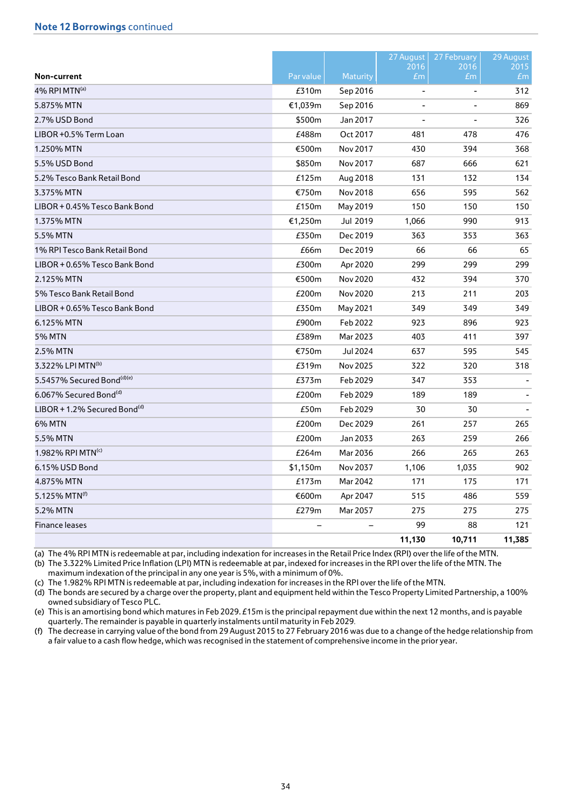|                                          |           |                 | 27 August              | 27 February    | 29 August               |
|------------------------------------------|-----------|-----------------|------------------------|----------------|-------------------------|
| Non-current                              | Par value | <b>Maturity</b> | 2016<br>E <sub>m</sub> | 2016<br>£m     | 2015<br>Em <sub>1</sub> |
| 4% RPI MTN(a)                            | £310m     | Sep 2016        | $\blacksquare$         | $\blacksquare$ | 312                     |
| 5.875% MTN                               | €1,039m   | Sep 2016        |                        |                | 869                     |
| 2.7% USD Bond                            | \$500m    | Jan 2017        |                        |                | 326                     |
| LIBOR +0.5% Term Loan                    | £488m     | Oct 2017        | 481                    | 478            | 476                     |
| 1.250% MTN                               | €500m     | Nov 2017        | 430                    | 394            | 368                     |
| 5.5% USD Bond                            | \$850m    | Nov 2017        | 687                    | 666            | 621                     |
| 5.2% Tesco Bank Retail Bond              | £125m     | Aug 2018        | 131                    | 132            | 134                     |
| 3.375% MTN                               | €750m     | Nov 2018        | 656                    | 595            | 562                     |
| LIBOR + 0.45% Tesco Bank Bond            | £150m     | May 2019        | 150                    | 150            | 150                     |
| 1.375% MTN                               | €1,250m   | Jul 2019        | 1,066                  | 990            | 913                     |
| 5.5% MTN                                 | £350m     | Dec 2019        | 363                    | 353            | 363                     |
| 1% RPI Tesco Bank Retail Bond            | £66m      | Dec 2019        | 66                     | 66             | 65                      |
| LIBOR + 0.65% Tesco Bank Bond            | £300m     | Apr 2020        | 299                    | 299            | 299                     |
| 2.125% MTN                               | €500m     | Nov 2020        | 432                    | 394            | 370                     |
| 5% Tesco Bank Retail Bond                | £200m     | Nov 2020        | 213                    | 211            | 203                     |
| LIBOR + 0.65% Tesco Bank Bond            | £350m     | May 2021        | 349                    | 349            | 349                     |
| 6.125% MTN                               | £900m     | Feb 2022        | 923                    | 896            | 923                     |
| <b>5% MTN</b>                            | £389m     | Mar 2023        | 403                    | 411            | 397                     |
| 2.5% MTN                                 | €750m     | Jul 2024        | 637                    | 595            | 545                     |
| 3.322% LPI MTN <sup>(b)</sup>            | £319m     | Nov 2025        | 322                    | 320            | 318                     |
| 5.5457% Secured Bond(d)(e)               | £373m     | Feb 2029        | 347                    | 353            |                         |
| 6.067% Secured Bond <sup>(d)</sup>       | £200m     | Feb 2029        | 189                    | 189            |                         |
| LIBOR + 1.2% Secured Bond <sup>(d)</sup> | £50m      | Feb 2029        | 30                     | 30             |                         |
| <b>6% MTN</b>                            | £200m     | Dec 2029        | 261                    | 257            | 265                     |
| 5.5% MTN                                 | £200m     | Jan 2033        | 263                    | 259            | 266                     |
| 1.982% RPI MTN <sup>(c)</sup>            | £264m     | Mar 2036        | 266                    | 265            | 263                     |
| 6.15% USD Bond                           | \$1,150m  | Nov 2037        | 1,106                  | 1,035          | 902                     |
| 4.875% MTN                               | £173m     | Mar 2042        | 171                    | 175            | 171                     |
| 5.125% MTN <sup>(f)</sup>                | €600m     | Apr 2047        | 515                    | 486            | 559                     |
| 5.2% MTN                                 | £279m     | Mar 2057        | 275                    | 275            | 275                     |
| <b>Finance leases</b>                    |           |                 | 99                     | 88             | 121                     |
|                                          |           |                 | 11,130                 | 10,711         | 11,385                  |

(a) The 4% RPI MTN is redeemable at par, including indexation for increases in the Retail Price Index (RPI) over the life of the MTN. (b) The 3.322% Limited Price Inflation (LPI) MTN is redeemable at par, indexed for increases in the RPI over the life ofthe MTN. The

maximum indexation of the principal in any one year is 5%, with a minimum of 0%.

(c) The 1.982% RPI MTN is redeemable at par, including indexation for increases in the RPI over the life of the MTN.

(d) The bonds are secured by a charge over the property, plant and equipment held within the Tesco Property Limited Partnership, a 100% owned subsidiary of Tesco PLC.

(e) This is an amortising bond which matures in Feb 2029. £15m is the principal repayment due within the next 12 months, and is payable quarterly. The remainder is payable in quarterly instalments until maturity in Feb 2029.

(f) The decrease in carrying value of the bond from 29 August 2015 to 27 February 2016 was due to a change of the hedge relationship from a fair value to a cash flow hedge, which was recognised in the statement of comprehensive income in the prior year.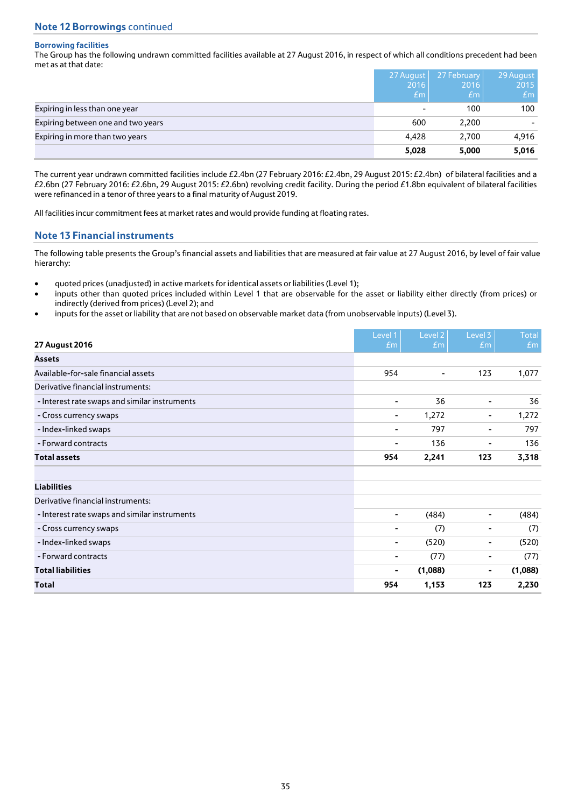## **Borrowing facilities**

The Group has the following undrawn committed facilities available at 27 August 2016, in respect of which all conditions precedent had been met as at that date:

|                                    | 27 August | 27 February | 29 August |
|------------------------------------|-----------|-------------|-----------|
|                                    | 2016      | 2016        | 2015      |
|                                    | Em        | Em/         | Em        |
| Expiring in less than one year     | ۰         | 100         | 100       |
| Expiring between one and two years | 600       | 2,200       |           |
| Expiring in more than two years    | 4,428     | 2,700       | 4,916     |
|                                    | 5,028     | 5,000       | 5,016     |

The current year undrawn committed facilities include £2.4bn (27 February 2016: £2.4bn, 29 August 2015: £2.4bn) of bilateral facilities and a £2.6bn (27 February 2016: £2.6bn, 29 August 2015: £2.6bn) revolving credit facility. During the period £1.8bn equivalent of bilateral facilities were refinanced in a tenor of three years to a final maturity of August 2019.

All facilities incur commitment fees at market rates and would provide funding at floating rates.

## **Note 13 Financial instruments**

The following table presents the Group's financial assets and liabilities that are measured at fair value at 27 August 2016, by level of fair value hierarchy:

- quoted prices (unadjusted) in active markets for identical assets or liabilities (Level 1);
- inputs other than quoted prices included within Level 1 that are observable for the asset or liability either directly (from prices) or indirectly (derived from prices) (Level 2); and
- inputs for the asset or liability that are not based on observable market data (from unobservable inputs) (Level 3).

| 27 August 2016                                | Level 1<br>$\pounds$ m   | Level 2<br>Em | Level 3<br>$\pounds$ m   | <b>Total</b><br>Em |
|-----------------------------------------------|--------------------------|---------------|--------------------------|--------------------|
| <b>Assets</b>                                 |                          |               |                          |                    |
| Available-for-sale financial assets           | 954                      | ٠             | 123                      | 1,077              |
| Derivative financial instruments:             |                          |               |                          |                    |
| - Interest rate swaps and similar instruments | $\overline{\phantom{a}}$ | 36            | $\overline{\phantom{a}}$ | 36                 |
| - Cross currency swaps                        | ۰                        | 1,272         | ۰                        | 1,272              |
| - Index-linked swaps                          | $\blacksquare$           | 797           | ۰                        | 797                |
| - Forward contracts                           | ٠                        | 136           | ۰                        | 136                |
| <b>Total assets</b>                           | 954                      | 2,241         | 123                      | 3,318              |
| <b>Liabilities</b>                            |                          |               |                          |                    |
| Derivative financial instruments:             |                          |               |                          |                    |
| - Interest rate swaps and similar instruments | $\overline{\phantom{a}}$ | (484)         | ۰                        | (484)              |
| - Cross currency swaps                        | $\blacksquare$           | (7)           | ۰                        | (7)                |
| - Index-linked swaps                          | $\overline{\phantom{a}}$ | (520)         | ۰                        | (520)              |
| - Forward contracts                           | $\overline{\phantom{a}}$ | (77)          | ۰                        | (77)               |
| <b>Total liabilities</b>                      | $\blacksquare$           | (1,088)       | ۰                        | (1,088)            |
| Total                                         | 954                      | 1,153         | 123                      | 2,230              |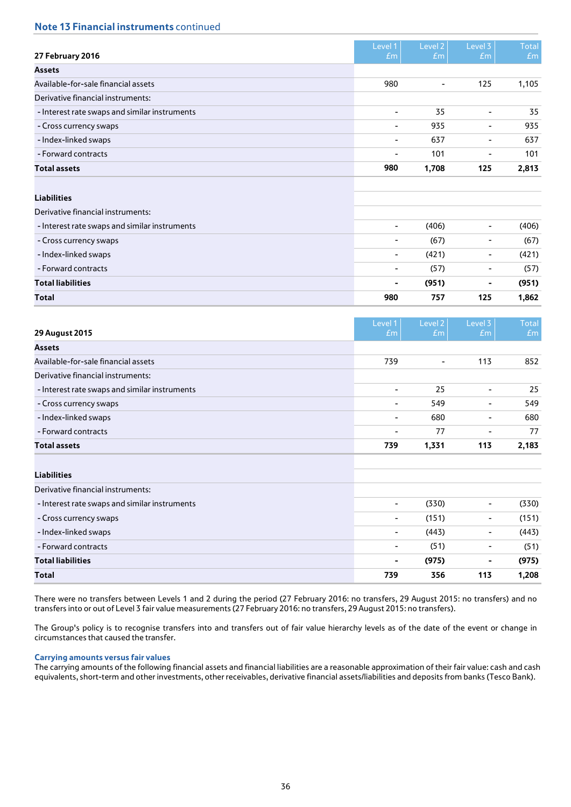# **Note 13 Financial instruments** continued

| Level 2<br>Level 1<br>Level 3<br><b>Total</b><br>27 February 2016<br>Em<br>Em<br>Em<br>Em<br><b>Assets</b><br>Available-for-sale financial assets<br>980<br>125<br>1,105<br>٠<br>Derivative financial instruments:<br>35<br>35<br>- Interest rate swaps and similar instruments<br>$\overline{\phantom{a}}$<br>$\overline{\phantom{a}}$<br>935<br>935<br>- Cross currency swaps<br>۰<br>۰<br>- Index-linked swaps<br>637<br>637<br>۰<br>٠<br>- Forward contracts<br>101<br>101<br>٠<br>۰<br>980<br>1,708<br>125<br><b>Total assets</b><br>2,813<br><b>Liabilities</b><br>Derivative financial instruments:<br>- Interest rate swaps and similar instruments<br>(406)<br>(406)<br>۰<br>۰<br>(67)<br>(67)<br>- Cross currency swaps<br>۰<br>۰<br>- Index-linked swaps<br>(421)<br>(421)<br>۰<br>۰<br>- Forward contracts<br>(57)<br>(57)<br>۰<br>۰<br><b>Total liabilities</b><br>(951)<br>(951)<br>۰<br>۰<br>757<br>125<br><b>Total</b><br>980<br>1,862 |  |  |  |
|--------------------------------------------------------------------------------------------------------------------------------------------------------------------------------------------------------------------------------------------------------------------------------------------------------------------------------------------------------------------------------------------------------------------------------------------------------------------------------------------------------------------------------------------------------------------------------------------------------------------------------------------------------------------------------------------------------------------------------------------------------------------------------------------------------------------------------------------------------------------------------------------------------------------------------------------------------|--|--|--|
|                                                                                                                                                                                                                                                                                                                                                                                                                                                                                                                                                                                                                                                                                                                                                                                                                                                                                                                                                        |  |  |  |
|                                                                                                                                                                                                                                                                                                                                                                                                                                                                                                                                                                                                                                                                                                                                                                                                                                                                                                                                                        |  |  |  |
|                                                                                                                                                                                                                                                                                                                                                                                                                                                                                                                                                                                                                                                                                                                                                                                                                                                                                                                                                        |  |  |  |
|                                                                                                                                                                                                                                                                                                                                                                                                                                                                                                                                                                                                                                                                                                                                                                                                                                                                                                                                                        |  |  |  |
|                                                                                                                                                                                                                                                                                                                                                                                                                                                                                                                                                                                                                                                                                                                                                                                                                                                                                                                                                        |  |  |  |
|                                                                                                                                                                                                                                                                                                                                                                                                                                                                                                                                                                                                                                                                                                                                                                                                                                                                                                                                                        |  |  |  |
|                                                                                                                                                                                                                                                                                                                                                                                                                                                                                                                                                                                                                                                                                                                                                                                                                                                                                                                                                        |  |  |  |
|                                                                                                                                                                                                                                                                                                                                                                                                                                                                                                                                                                                                                                                                                                                                                                                                                                                                                                                                                        |  |  |  |
|                                                                                                                                                                                                                                                                                                                                                                                                                                                                                                                                                                                                                                                                                                                                                                                                                                                                                                                                                        |  |  |  |
|                                                                                                                                                                                                                                                                                                                                                                                                                                                                                                                                                                                                                                                                                                                                                                                                                                                                                                                                                        |  |  |  |
|                                                                                                                                                                                                                                                                                                                                                                                                                                                                                                                                                                                                                                                                                                                                                                                                                                                                                                                                                        |  |  |  |
|                                                                                                                                                                                                                                                                                                                                                                                                                                                                                                                                                                                                                                                                                                                                                                                                                                                                                                                                                        |  |  |  |
|                                                                                                                                                                                                                                                                                                                                                                                                                                                                                                                                                                                                                                                                                                                                                                                                                                                                                                                                                        |  |  |  |
|                                                                                                                                                                                                                                                                                                                                                                                                                                                                                                                                                                                                                                                                                                                                                                                                                                                                                                                                                        |  |  |  |
|                                                                                                                                                                                                                                                                                                                                                                                                                                                                                                                                                                                                                                                                                                                                                                                                                                                                                                                                                        |  |  |  |
|                                                                                                                                                                                                                                                                                                                                                                                                                                                                                                                                                                                                                                                                                                                                                                                                                                                                                                                                                        |  |  |  |
|                                                                                                                                                                                                                                                                                                                                                                                                                                                                                                                                                                                                                                                                                                                                                                                                                                                                                                                                                        |  |  |  |
|                                                                                                                                                                                                                                                                                                                                                                                                                                                                                                                                                                                                                                                                                                                                                                                                                                                                                                                                                        |  |  |  |
|                                                                                                                                                                                                                                                                                                                                                                                                                                                                                                                                                                                                                                                                                                                                                                                                                                                                                                                                                        |  |  |  |

| 29 August 2015                                | Level 1<br>Em            | Level 2<br>E <sub>m</sub> | Level 3<br>E <sub>m</sub> | <b>Total</b><br>Em |
|-----------------------------------------------|--------------------------|---------------------------|---------------------------|--------------------|
| <b>Assets</b>                                 |                          |                           |                           |                    |
| Available-for-sale financial assets           | 739                      | ٠                         | 113                       | 852                |
| Derivative financial instruments:             |                          |                           |                           |                    |
| - Interest rate swaps and similar instruments | ۰                        | 25                        | ٠                         | 25                 |
| - Cross currency swaps                        | ۰                        | 549                       | ۰                         | 549                |
| - Index-linked swaps                          | ۰                        | 680                       |                           | 680                |
| - Forward contracts                           | ۰                        | 77                        | $\overline{\phantom{a}}$  | 77                 |
| <b>Total assets</b>                           | 739                      | 1,331                     | 113                       | 2,183              |
| <b>Liabilities</b>                            |                          |                           |                           |                    |
| Derivative financial instruments:             |                          |                           |                           |                    |
| - Interest rate swaps and similar instruments | $\overline{\phantom{a}}$ | (330)                     | ۰                         | (330)              |
| - Cross currency swaps                        | ۰                        | (151)                     | ۰.                        | (151)              |
| - Index-linked swaps                          | ۰.                       | (443)                     | ۰                         | (443)              |
| - Forward contracts                           |                          | (51)                      |                           | (51)               |
| <b>Total liabilities</b>                      | ۰                        | (975)                     | ۰                         | (975)              |
| <b>Total</b>                                  | 739                      | 356                       | 113                       | 1,208              |

There were no transfers between Levels 1 and 2 during the period (27 February 2016: no transfers, 29 August 2015: no transfers) and no transfers into or out of Level 3 fair value measurements (27 February 2016: no transfers, 29 August 2015: no transfers).

The Group's policy is to recognise transfers into and transfers out of fair value hierarchy levels as of the date of the event or change in circumstances that caused the transfer.

## **Carrying amounts versus fair values**

The carrying amounts of the following financial assets and financial liabilities are a reasonable approximation of their fair value: cash and cash equivalents, short-term and other investments, other receivables, derivative financial assets/liabilities and deposits from banks (Tesco Bank).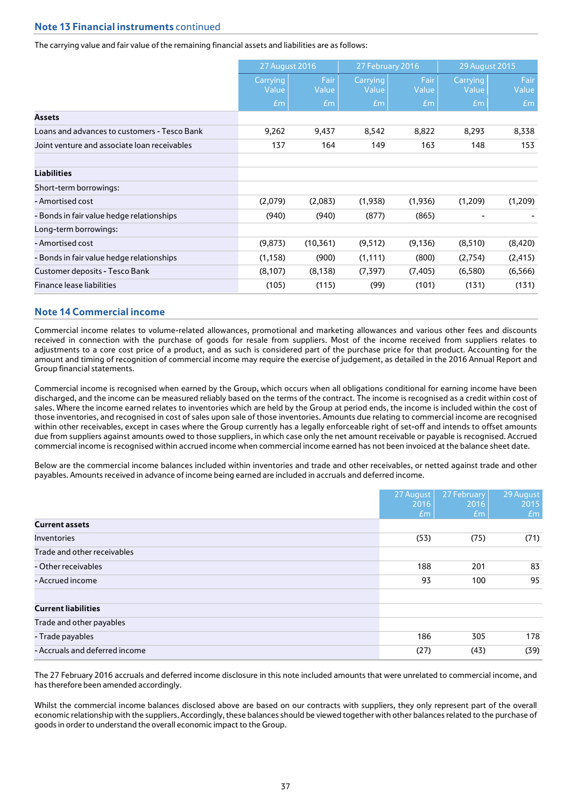# **Note 13 Financial instruments** continued

## The carrying value and fair value of the remaining financial assets and liabilities are as follows:

|                                              | 27 August 2016    |               | 27 February 2016  |               | 29 August 2015    |               |
|----------------------------------------------|-------------------|---------------|-------------------|---------------|-------------------|---------------|
|                                              | Carrying<br>Value | Fair<br>Value | Carrying<br>Value | Fair<br>Value | Carrying<br>Value | Fair<br>Value |
|                                              | Em                | Em            | Em                | Em            | Em                | Em            |
| <b>Assets</b>                                |                   |               |                   |               |                   |               |
| Loans and advances to customers - Tesco Bank | 9,262             | 9,437         | 8,542             | 8,822         | 8,293             | 8,338         |
| Joint venture and associate loan receivables | 137               | 164           | 149               | 163           | 148               | 153           |
| <b>Liabilities</b>                           |                   |               |                   |               |                   |               |
| Short-term borrowings:                       |                   |               |                   |               |                   |               |
| - Amortised cost                             | (2,079)           | (2,083)       | (1,938)           | (1,936)       | (1,209)           | (1,209)       |
| - Bonds in fair value hedge relationships    | (940)             | (940)         | (877)             | (865)         | -                 |               |
| Long-term borrowings:                        |                   |               |                   |               |                   |               |
| - Amortised cost                             | (9,873)           | (10,361)      | (9, 512)          | (9, 136)      | (8,510)           | (8, 420)      |
| - Bonds in fair value hedge relationships    | (1, 158)          | (900)         | (1, 111)          | (800)         | (2,754)           | (2, 415)      |
| Customer deposits - Tesco Bank               | (8, 107)          | (8, 138)      | (7, 397)          | (7, 405)      | (6,580)           | (6, 566)      |
| Finance lease liabilities                    | (105)             | (115)         | (99)              | (101)         | (131)             | (131)         |

## **Note 14 Commercial income**

Commercial income relates to volume-related allowances, promotional and marketing allowances and various other fees and discounts received in connection with the purchase of goods for resale from suppliers. Most of the income received from suppliers relates to adjustments to a core cost price of a product, and as such is considered part of the purchase price for that product. Accounting for the amount and timing of recognition of commercial income may require the exercise of judgement, as detailed in the 2016 Annual Report and Group financial statements.

Commercial income is recognised when earned by the Group, which occurs when all obligations conditional for earning income have been discharged, and the income can be measured reliably based on the terms of the contract. The income is recognised as a credit within cost of sales. Where the income earned relates to inventories which are held by the Group at period ends, the income is included within the cost of those inventories, and recognised in cost of sales upon sale of those inventories. Amounts due relating to commercial income are recognised within other receivables, except in cases where the Group currently has a legally enforceable right of set-off and intends to offset amounts due from suppliers against amounts owed to those suppliers, in which case only the net amount receivable or payable is recognised. Accrued commercial income is recognised within accrued income when commercial income earned has not been invoiced at the balance sheet date.

Below are the commercial income balances included within inventories and trade and other receivables, or netted against trade and other payables. Amounts received in advance of income being earned are included in accruals and deferred income.

|                                | 27 August<br>2016 | 27 February<br>2016 | 29 August<br>2015 |
|--------------------------------|-------------------|---------------------|-------------------|
|                                | Em                | Em                  | Em                |
| <b>Current assets</b>          |                   |                     |                   |
| <b>Inventories</b>             | (53)              | (75)                | (71)              |
| Trade and other receivables    |                   |                     |                   |
| - Other receivables            | 188               | 201                 | 83                |
| - Accrued income               | 93                | 100                 | 95                |
| <b>Current liabilities</b>     |                   |                     |                   |
| Trade and other payables       |                   |                     |                   |
| - Trade payables               | 186               | 305                 | 178               |
| - Accruals and deferred income | (27)              | (43)                | (39)              |

The 27 February 2016 accruals and deferred income disclosure in this note included amounts that were unrelated to commercial income, and has therefore been amended accordingly.

Whilst the commercial income balances disclosed above are based on our contracts with suppliers, they only represent part of the overall economic relationship with the suppliers. Accordingly, these balances should be viewed together with other balances related to the purchase of goods in order to understand the overall economic impact to the Group.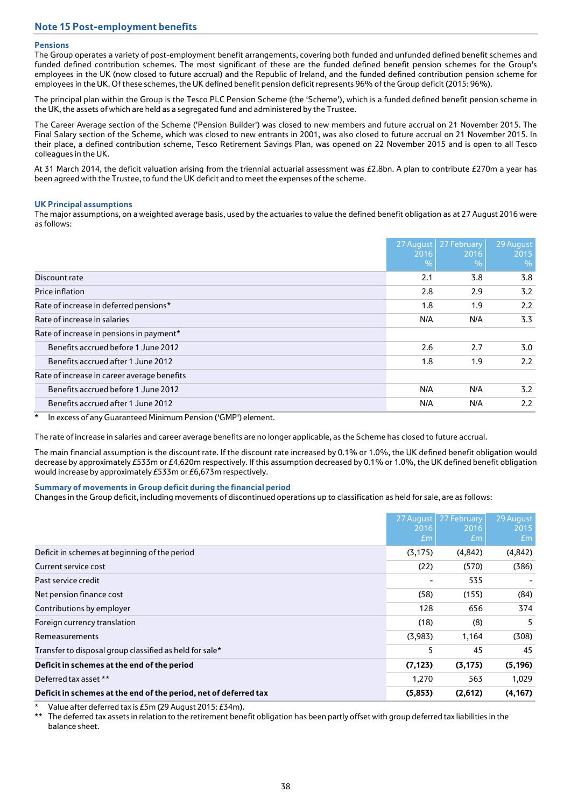# **Note 15 Post-employment benefits**

## **Pensions**

The Group operates a variety of post-employment benefit arrangements, covering both funded and unfunded defined benefit schemes and funded defined contribution schemes. The most significant of these are the funded defined benefit pension schemes for the Group's employees in the UK (now closed to future accrual) and the Republic of Ireland, and the funded defined contribution pension scheme for employees in the UK. Of these schemes, the UK defined benefit pension deficit represents 96% of the Group deficit (2015: 96%).

The principal plan within the Group is the Tesco PLC Pension Scheme (the 'Scheme'), which is a funded defined benefit pension scheme in the UK, the assets of which are held as a segregated fund and administered by the Trustee.

The Career Average section of the Scheme ('Pension Builder') was closed to new members and future accrual on 21 November 2015. The Final Salary section of the Scheme, which was closed to new entrants in 2001, was also closed to future accrual on 21 November 2015. In their place, a defined contribution scheme, Tesco Retirement Savings Plan, was opened on 22 November 2015 and is open to all Tesco colleagues in the UK.

At 31 March 2014, the deficit valuation arising from the triennial actuarial assessment was £2.8bn. A plan to contribute £270m a year has been agreed with the Trustee, to fund the UK deficit and to meet the expenses of the scheme.

## **UK Principal assumptions**

The major assumptions, on a weighted average basis, used by the actuaries to value the defined benefit obligation as at 27 August 2016 were as follows:

|                                             | 2016<br>$\overline{Q_0}$ | 27 August 27 February<br>2016<br>$\%$ | 29 August<br>2015<br>$\frac{0}{0}$ |
|---------------------------------------------|--------------------------|---------------------------------------|------------------------------------|
| Discount rate                               | 2.1                      | 3.8                                   | 3.8                                |
| Price inflation                             | 2.8                      | 2.9                                   | 3.2                                |
| Rate of increase in deferred pensions*      | 1.8                      | 1.9                                   | 2.2                                |
| Rate of increase in salaries                | N/A                      | N/A                                   | 3.3                                |
| Rate of increase in pensions in payment*    |                          |                                       |                                    |
| Benefits accrued before 1 June 2012         | 2.6                      | 2.7                                   | 3.0                                |
| Benefits accrued after 1 June 2012          | 1.8                      | 1.9                                   | 2.2                                |
| Rate of increase in career average benefits |                          |                                       |                                    |
| Benefits accrued before 1 June 2012         | N/A                      | N/A                                   | 3.2                                |
| Benefits accrued after 1 June 2012          | N/A                      | N/A                                   | 2.2                                |

In excess of any Guaranteed Minimum Pension ('GMP') element.

The rate of increase in salaries and career average benefits are no longer applicable, as the Scheme has closed to future accrual.

The main financial assumption is the discount rate. If the discount rate increased by 0.1% or 1.0%, the UK defined benefit obligation would decrease by approximately £533m or £4,620m respectively. If this assumption decreased by 0.1% or 1.0%, the UK defined benefit obligation would increase by approximately £533m or £6,673m respectively.

#### **Summary of movements in Group deficit during the financial period**

Changes in the Group deficit, including movements of discontinued operations up to classification as held for sale, are as follows:

|                                                                  | 2016<br>Em | 27 August 27 February<br>2016<br>Em | 29 August<br>2015<br>Em |
|------------------------------------------------------------------|------------|-------------------------------------|-------------------------|
| Deficit in schemes at beginning of the period                    | (3, 175)   | (4,842)                             | (4,842)                 |
| Current service cost                                             | (22)       | (570)                               | (386)                   |
| Past service credit                                              |            | 535                                 |                         |
| Net pension finance cost                                         | (58)       | (155)                               | (84)                    |
| Contributions by employer                                        | 128        | 656                                 | 374                     |
| Foreign currency translation                                     | (18)       | (8)                                 | 5                       |
| Remeasurements                                                   | (3,983)    | 1,164                               | (308)                   |
| Transfer to disposal group classified as held for sale*          | 5          | 45                                  | 45                      |
| Deficit in schemes at the end of the period                      | (7, 123)   | (3, 175)                            | (5, 196)                |
| Deferred tax asset **                                            | 1,270      | 563                                 | 1,029                   |
| Deficit in schemes at the end of the period, net of deferred tax | (5,853)    | (2,612)                             | (4, 167)                |

Value after deferred tax is £5m (29 August 2015: £34m).

The deferred tax assets in relation to the retirement benefit obligation has been partly offset with group deferred tax liabilities in the balance sheet.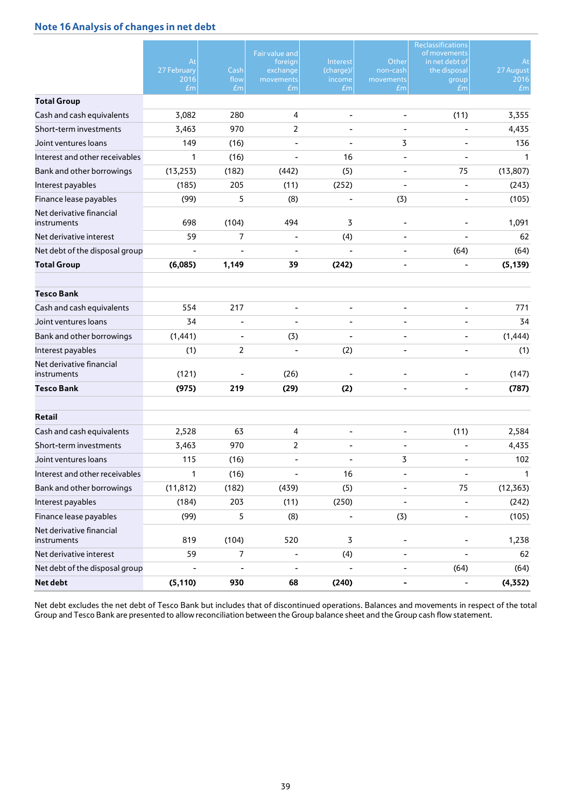# **Note 16 Analysis of changes in net debt**

|                                         | At<br>27 February<br>2016<br>$\pounds$ m | Cash<br>flow<br>Em       | Fair value and<br>foreign<br>exchange<br>movements<br>£m | Interest<br>(charge)/<br>income<br>$\pounds$ m | Other<br>non-cash<br>movements<br>£m | Reclassifications<br>of movements<br>in net debt of<br>the disposal<br>group<br>£m | At<br>27 August<br>2016<br>Em |
|-----------------------------------------|------------------------------------------|--------------------------|----------------------------------------------------------|------------------------------------------------|--------------------------------------|------------------------------------------------------------------------------------|-------------------------------|
| <b>Total Group</b>                      |                                          |                          |                                                          |                                                |                                      |                                                                                    |                               |
| Cash and cash equivalents               | 3,082                                    | 280                      | 4                                                        |                                                |                                      | (11)                                                                               | 3,355                         |
| Short-term investments                  | 3,463                                    | 970                      | $\overline{2}$                                           |                                                |                                      |                                                                                    | 4,435                         |
| Joint ventures loans                    | 149                                      | (16)                     |                                                          |                                                | 3                                    |                                                                                    | 136                           |
| Interest and other receivables          | 1                                        | (16)                     |                                                          | 16                                             |                                      |                                                                                    | 1                             |
| Bank and other borrowings               | (13, 253)                                | (182)                    | (442)                                                    | (5)                                            |                                      | 75                                                                                 | (13, 807)                     |
| Interest payables                       | (185)                                    | 205                      | (11)                                                     | (252)                                          |                                      | ÷                                                                                  | (243)                         |
| Finance lease payables                  | (99)                                     | 5                        | (8)                                                      | $\qquad \qquad \blacksquare$                   | (3)                                  | $\overline{\phantom{0}}$                                                           | (105)                         |
| Net derivative financial<br>instruments | 698                                      | (104)                    | 494                                                      | 3                                              |                                      |                                                                                    | 1,091                         |
| Net derivative interest                 | 59                                       | 7                        | $\overline{\phantom{0}}$                                 | (4)                                            |                                      |                                                                                    | 62                            |
| Net debt of the disposal group          |                                          |                          |                                                          |                                                |                                      | (64)                                                                               | (64)                          |
| <b>Total Group</b>                      | (6,085)                                  | 1,149                    | 39                                                       | (242)                                          |                                      |                                                                                    | (5, 139)                      |
|                                         |                                          |                          |                                                          |                                                |                                      |                                                                                    |                               |
| <b>Tesco Bank</b>                       |                                          |                          |                                                          |                                                |                                      |                                                                                    |                               |
| Cash and cash equivalents               | 554                                      | 217                      | ٠                                                        |                                                |                                      | ÷,                                                                                 | 771                           |
| Joint ventures loans                    | 34                                       | ۰                        |                                                          |                                                |                                      |                                                                                    | 34                            |
| Bank and other borrowings               | (1, 441)                                 | $\overline{\phantom{a}}$ | (3)                                                      |                                                |                                      |                                                                                    | (1, 444)                      |
| Interest payables                       | (1)                                      | $\overline{2}$           |                                                          | (2)                                            |                                      |                                                                                    | (1)                           |
| Net derivative financial<br>instruments | (121)                                    |                          | (26)                                                     |                                                |                                      |                                                                                    | (147)                         |
| Tesco Bank                              | (975)                                    | 219                      | (29)                                                     | (2)                                            | ۰                                    | $\overline{\phantom{0}}$                                                           | (787)                         |
|                                         |                                          |                          |                                                          |                                                |                                      |                                                                                    |                               |
| <b>Retail</b>                           |                                          |                          |                                                          |                                                |                                      |                                                                                    |                               |
| Cash and cash equivalents               | 2,528                                    | 63                       | 4                                                        |                                                |                                      | (11)                                                                               | 2,584                         |
| Short-term investments                  | 3,463                                    | 970                      | $\overline{2}$                                           |                                                |                                      |                                                                                    | 4,435                         |
| Joint ventures loans                    | 115                                      | (16)                     |                                                          |                                                | 3                                    |                                                                                    | 102                           |
| Interest and other receivables          | 1                                        | (16)                     | $\overline{\phantom{a}}$                                 | 16                                             | $\qquad \qquad \blacksquare$         | $\blacksquare$                                                                     | $\mathbf{1}$                  |
| Bank and other borrowings               | (11, 812)                                | (182)                    | (439)                                                    | (5)                                            |                                      | 75                                                                                 | (12, 363)                     |
| Interest payables                       | (184)                                    | 203                      | (11)                                                     | (250)                                          | $\qquad \qquad \blacksquare$         | $\overline{\phantom{a}}$                                                           | (242)                         |
| Finance lease payables                  | (99)                                     | 5                        | (8)                                                      | $\qquad \qquad \blacksquare$                   | (3)                                  | $\overline{\phantom{0}}$                                                           | (105)                         |
| Net derivative financial<br>instruments | 819                                      | (104)                    | 520                                                      | 3                                              |                                      |                                                                                    | 1,238                         |
| Net derivative interest                 | 59                                       | 7                        | $\overline{\phantom{a}}$                                 | (4)                                            | $\overline{\phantom{a}}$             |                                                                                    | 62                            |
| Net debt of the disposal group          |                                          | L,                       |                                                          |                                                |                                      | (64)                                                                               | (64)                          |
| <b>Net debt</b>                         | (5, 110)                                 | 930                      | 68                                                       | (240)                                          | ۰                                    | $\overline{\phantom{0}}$                                                           | (4, 352)                      |

Net debt excludes the net debt of Tesco Bank but includes that of discontinued operations. Balances and movements in respect of the total Group and Tesco Bank are presented to allow reconciliation between the Group balance sheet and the Group cash flow statement.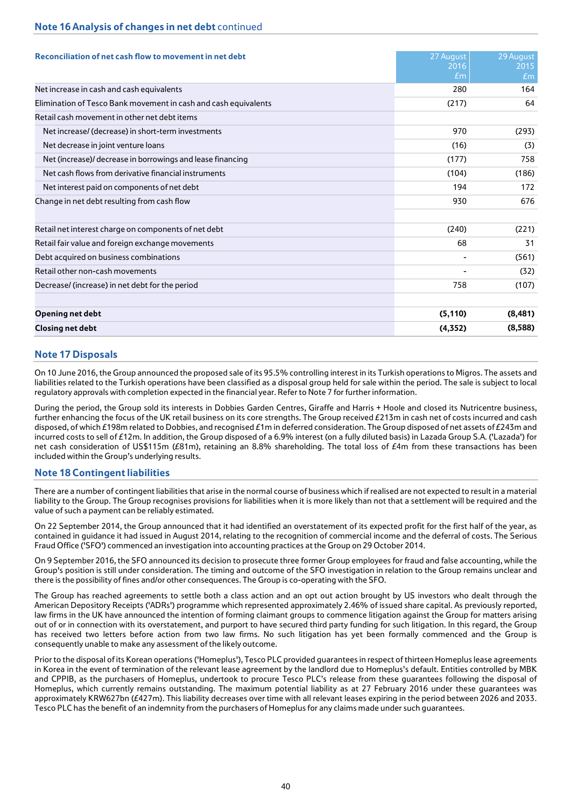# **Note 16 Analysis of changes in net debt** continued

| Reconciliation of net cash flow to movement in net debt         | 27 August<br>2016<br>$\pounds$ m | 29 August<br>2015<br>Em |
|-----------------------------------------------------------------|----------------------------------|-------------------------|
| Net increase in cash and cash equivalents                       | 280                              | 164                     |
| Elimination of Tesco Bank movement in cash and cash equivalents | (217)                            | 64                      |
| Retail cash movement in other net debt items                    |                                  |                         |
| Net increase/ (decrease) in short-term investments              | 970                              | (293)                   |
| Net decrease in joint venture loans                             | (16)                             | (3)                     |
| Net (increase)/ decrease in borrowings and lease financing      | (177)                            | 758                     |
| Net cash flows from derivative financial instruments            | (104)                            | (186)                   |
| Net interest paid on components of net debt                     | 194                              | 172                     |
| Change in net debt resulting from cash flow                     | 930                              | 676                     |
| Retail net interest charge on components of net debt            | (240)                            | (221)                   |
| Retail fair value and foreign exchange movements                | 68                               | 31                      |
| Debt acquired on business combinations                          |                                  | (561)                   |
| Retail other non-cash movements                                 |                                  | (32)                    |
| Decrease/ (increase) in net debt for the period                 | 758                              | (107)                   |
| Opening net debt                                                | (5, 110)                         | (8,481)                 |
| <b>Closing net debt</b>                                         | (4,352)                          | (8,588)                 |

## **Note 17 Disposals**

On 10 June 2016, the Group announced the proposed sale of its 95.5% controlling interest in its Turkish operations to Migros. The assets and liabilities related to the Turkish operations have been classified as a disposal group held for sale within the period. The sale is subject to local regulatory approvals with completion expected in the financial year. Refer to Note 7 for further information*.*

During the period, the Group sold its interests in Dobbies Garden Centres, Giraffe and Harris + Hoole and closed its Nutricentre business, further enhancing the focus of the UK retail business on its core strengths. The Group received £213m in cash net of costs incurred and cash disposed, of which £198m related to Dobbies, and recognised £1m in deferred consideration. The Group disposed of net assets of £243m and incurred costs to sell of £12m. In addition, the Group disposed of a 6.9% interest (on a fully diluted basis) in Lazada Group S.A. ('Lazada') for net cash consideration of US\$115m (£81m), retaining an 8.8% shareholding. The total loss of £4m from these transactions has been included within the Group's underlying results.

## **Note 18 Contingent liabilities**

There are a number of contingent liabilities that arise in the normal course of business which if realised are not expected to result in a material liability to the Group. The Group recognises provisions for liabilities when it is more likely than not that a settlement will be required and the value of such a payment can be reliably estimated.

On 22 September 2014, the Group announced that it had identified an overstatement of its expected profit for the first half of the year, as contained in guidance it had issued in August 2014, relating to the recognition of commercial income and the deferral of costs. The Serious Fraud Office ('SFO') commenced an investigation into accounting practices at the Group on 29 October 2014.

On 9 September 2016, the SFO announced its decision to prosecute three former Group employees for fraud and false accounting, while the Group's position is still under consideration. The timing and outcome of the SFO investigation in relation to the Group remains unclear and there is the possibility of fines and/or other consequences. The Group is co-operating with the SFO.

The Group has reached agreements to settle both a class action and an opt out action brought by US investors who dealt through the American Depository Receipts ('ADRs') programme which represented approximately 2.46% of issued share capital. As previously reported, law firms in the UK have announced the intention of forming claimant groups to commence litigation against the Group for matters arising out of or in connection with its overstatement, and purport to have secured third party funding for such litigation. In this regard, the Group has received two letters before action from two law firms. No such litigation has yet been formally commenced and the Group is consequently unable to make any assessment of the likely outcome.

Prior to the disposal of its Korean operations ('Homeplus'), Tesco PLC provided guarantees in respect of thirteen Homeplus lease agreements in Korea in the event of termination of the relevant lease agreement by the landlord due to Homeplus's default. Entities controlled by MBK and CPPIB, as the purchasers of Homeplus, undertook to procure Tesco PLC's release from these guarantees following the disposal of Homeplus, which currently remains outstanding. The maximum potential liability as at 27 February 2016 under these guarantees was approximately KRW627bn (£427m). This liability decreases over time with all relevant leases expiring in the period between 2026 and 2033. Tesco PLC has the benefit of an indemnity from the purchasers of Homeplus for any claims made under such guarantees.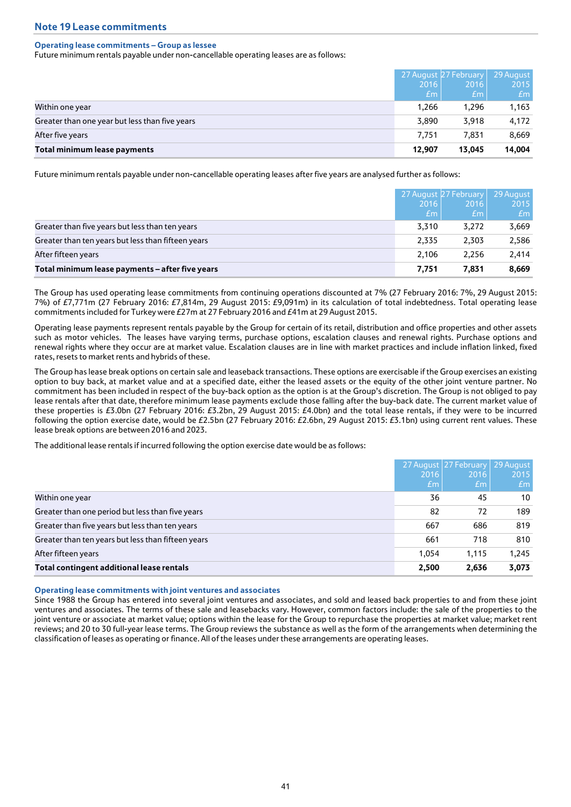## **Operating lease commitments – Group as lessee**

Future minimum rentals payable under non-cancellable operating leases are as follows:

|                                                |                 | 27 August 27 February | 29 August |
|------------------------------------------------|-----------------|-----------------------|-----------|
|                                                | 2016            | 2016                  | 2015      |
|                                                | Em <sub>1</sub> | Em <sub>1</sub>       | Em        |
| Within one year                                | 1.266           | 1.296                 | 1,163     |
| Greater than one year but less than five years | 3,890           | 3.918                 | 4,172     |
| After five years                               | 7.751           | 7.831                 | 8,669     |
| Total minimum lease payments                   | 12.907          | 13.045                | 14,004    |

Future minimum rentals payable under non-cancellable operating leases after five years are analysed further as follows:

|                                                    | 2016<br>$\pounds$ m | 27 August 27 February<br>2016<br>/ <i>Em</i> | 29 August<br>2015<br>Em |
|----------------------------------------------------|---------------------|----------------------------------------------|-------------------------|
| Greater than five years but less than ten years    | 3.310               | 3,272                                        | 3,669                   |
| Greater than ten years but less than fifteen years | 2.335               | 2.303                                        | 2,586                   |
| After fifteen years                                | 2.106               | 2.256                                        | 2,414                   |
| Total minimum lease payments - after five years    | 7.751               | 7.831                                        | 8,669                   |

The Group has used operating lease commitments from continuing operations discounted at 7% (27 February 2016: 7%, 29 August 2015: 7%) of £7,771m (27 February 2016: £7,814m, 29 August 2015: £9,091m) in its calculation of total indebtedness. Total operating lease commitments included for Turkey were £27m at 27 February 2016 and £41m at 29 August 2015.

Operating lease payments represent rentals payable by the Group for certain of its retail, distribution and office properties and other assets such as motor vehicles. The leases have varying terms, purchase options, escalation clauses and renewal rights. Purchase options and renewal rights where they occur are at market value. Escalation clauses are in line with market practices and include inflation linked, fixed rates, resets to market rents and hybrids of these.

The Group has lease break options on certain sale and leaseback transactions. These options are exercisable if the Group exercises an existing option to buy back, at market value and at a specified date, either the leased assets or the equity of the other joint venture partner. No commitment has been included in respect of the buy-back option as the option is at the Group's discretion. The Group is not obliged to pay lease rentals after that date, therefore minimum lease payments exclude those falling after the buy-back date. The current market value of these properties is £3.0bn (27 February 2016: £3.2bn, 29 August 2015: £4.0bn) and the total lease rentals, if they were to be incurred following the option exercise date, would be £2.5bn (27 February 2016: £2.6bn, 29 August 2015: £3.1bn) using current rent values. These lease break options are between 2016 and 2023.

The additional lease rentals if incurred following the option exercise date would be as follows:

|                                                    |       | 27 August 27 February | 29 August |
|----------------------------------------------------|-------|-----------------------|-----------|
|                                                    | 2016  | 2016                  | 2015      |
|                                                    | $E$ m | Em <sub>1</sub>       | Em        |
| Within one year                                    | 36    | 45                    | 10        |
| Greater than one period but less than five years   | 82    | 72                    | 189       |
| Greater than five years but less than ten years    | 667   | 686                   | 819       |
| Greater than ten years but less than fifteen years | 661   | 718                   | 810       |
| After fifteen years                                | 1.054 | 1,115                 | 1,245     |
| Total contingent additional lease rentals          | 2,500 | 2,636                 | 3,073     |

#### **Operating lease commitments with joint ventures and associates**

Since 1988 the Group has entered into several joint ventures and associates, and sold and leased back properties to and from these joint ventures and associates. The terms of these sale and leasebacks vary. However, common factors include: the sale of the properties to the joint venture or associate at market value; options within the lease for the Group to repurchase the properties at market value; market rent reviews; and 20 to 30 full-year lease terms. The Group reviews the substance as well as the form of the arrangements when determining the classification of leases as operating or finance. All of the leases under these arrangements are operating leases.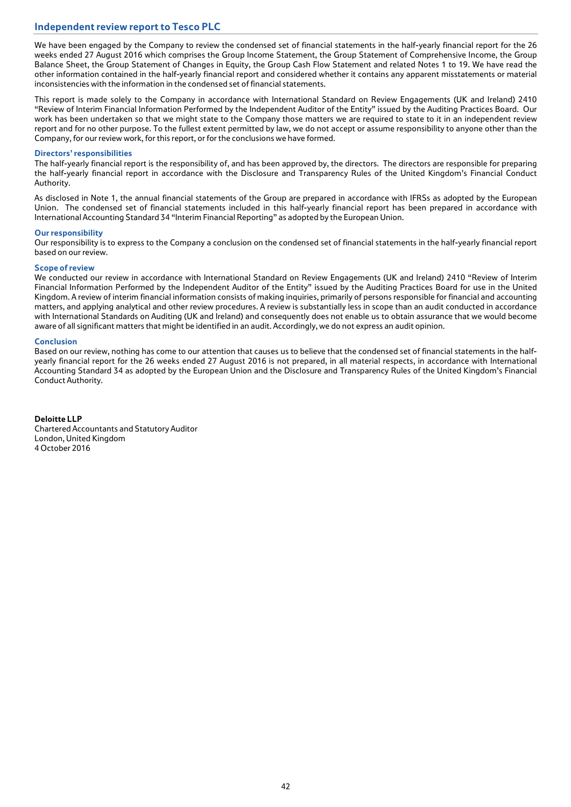# **Independent review report to Tesco PLC**

We have been engaged by the Company to review the condensed set of financial statements in the half-yearly financial report for the 26 weeks ended 27 August 2016 which comprises the Group Income Statement, the Group Statement of Comprehensive Income, the Group Balance Sheet, the Group Statement of Changes in Equity, the Group Cash Flow Statement and related Notes 1 to 19. We have read the other information contained in the half-yearly financial report and considered whether it contains any apparent misstatements or material inconsistencies with the information in the condensed set of financial statements.

This report is made solely to the Company in accordance with International Standard on Review Engagements (UK and Ireland) 2410 "Review of Interim Financial Information Performed by the Independent Auditor of the Entity" issued by the Auditing Practices Board. Our work has been undertaken so that we might state to the Company those matters we are required to state to it in an independent review report and for no other purpose. To the fullest extent permitted by law, we do not accept or assume responsibility to anyone other than the Company, for our review work, for this report, or for the conclusions we have formed.

## **Directors' responsibilities**

The half-yearly financial report is the responsibility of, and has been approved by, the directors. The directors are responsible for preparing the half-yearly financial report in accordance with the Disclosure and Transparency Rules of the United Kingdom's Financial Conduct Authority.

As disclosed in Note 1, the annual financial statements of the Group are prepared in accordance with IFRSs as adopted by the European Union. The condensed set of financial statements included in this half-yearly financial report has been prepared in accordance with International Accounting Standard 34 "Interim Financial Reporting" as adopted by the European Union.

#### **Our responsibility**

Our responsibility is to express to the Company a conclusion on the condensed set of financial statements in the half-yearly financial report based on our review.

## **Scope of review**

We conducted our review in accordance with International Standard on Review Engagements (UK and Ireland) 2410 "Review of Interim Financial Information Performed by the Independent Auditor of the Entity" issued by the Auditing Practices Board for use in the United Kingdom. A review of interim financial information consists of making inquiries, primarily of persons responsible for financial and accounting matters, and applying analytical and other review procedures. A review is substantially less in scope than an audit conducted in accordance with International Standards on Auditing (UK and Ireland) and consequently does not enable us to obtain assurance that we would become aware of all significant matters that might be identified in an audit. Accordingly, we do not express an audit opinion.

## **Conclusion**

Based on our review, nothing has come to our attention that causes us to believe that the condensed set of financial statements in the halfyearly financial report for the 26 weeks ended 27 August 2016 is not prepared, in all material respects, in accordance with International Accounting Standard 34 as adopted by the European Union and the Disclosure and Transparency Rules of the United Kingdom's Financial Conduct Authority.

**Deloitte LLP** Chartered Accountants and Statutory Auditor London, United Kingdom 4 October 2016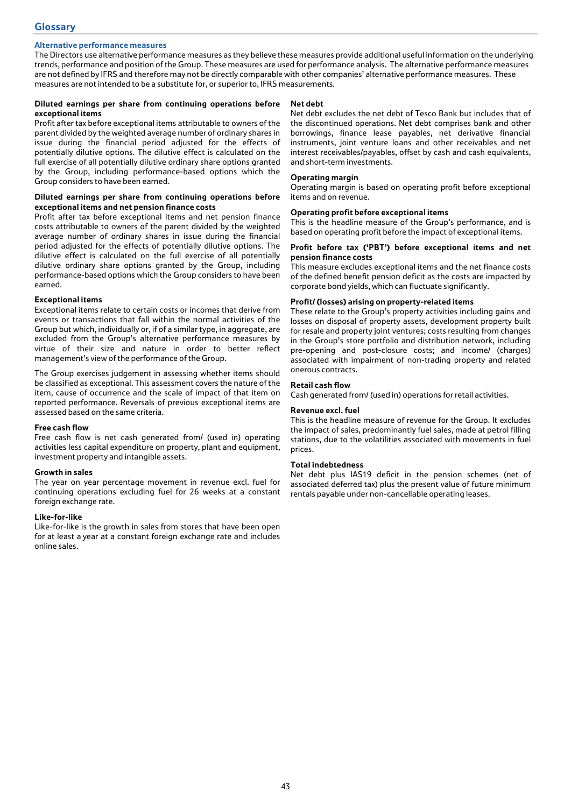## **Alternative performance measures**

The Directors use alternative performance measures as they believe these measures provide additional useful information on the underlying trends, performance and position of the Group. These measures are used for performance analysis. The alternative performance measures are not defined by IFRS and therefore may not be directly comparable with other companies' alternative performance measures. These measures are not intended to be a substitute for, or superior to, IFRS measurements.

### **Diluted earnings per share from continuing operations before exceptional items**

Profit after tax before exceptional items attributable to owners of the parent divided by the weighted average number of ordinary shares in issue during the financial period adjusted for the effects of potentially dilutive options. The dilutive effect is calculated on the full exercise of all potentially dilutive ordinary share options granted by the Group, including performance-based options which the Group considers to have been earned.

### **Diluted earnings per share from continuing operations before exceptional items and net pension finance costs**

Profit after tax before exceptional items and net pension finance costs attributable to owners of the parent divided by the weighted average number of ordinary shares in issue during the financial period adjusted for the effects of potentially dilutive options. The dilutive effect is calculated on the full exercise of all potentially dilutive ordinary share options granted by the Group, including performance-based options which the Group considers to have been earned.

## **Exceptional items**

Exceptional items relate to certain costs or incomes that derive from events or transactions that fall within the normal activities of the Group but which, individually or, if of a similar type, in aggregate, are excluded from the Group's alternative performance measures by virtue of their size and nature in order to better reflect management's view of the performance of the Group.

The Group exercises judgement in assessing whether items should be classified as exceptional. This assessment covers the nature of the item, cause of occurrence and the scale of impact of that item on reported performance. Reversals of previous exceptional items are assessed based on the same criteria.

#### **Free cash flow**

Free cash flow is net cash generated from/ (used in) operating activities less capital expenditure on property, plant and equipment, investment property and intangible assets.

#### **Growth in sales**

The year on year percentage movement in revenue excl. fuel for continuing operations excluding fuel for 26 weeks at a constant foreign exchange rate.

#### **Like-for-like**

Like-for-like is the growth in sales from stores that have been open for at least a year at a constant foreign exchange rate and includes online sales.

#### **Net debt**

Net debt excludes the net debt of Tesco Bank but includes that of the discontinued operations. Net debt comprises bank and other borrowings, finance lease payables, net derivative financial instruments, joint venture loans and other receivables and net interest receivables/payables, offset by cash and cash equivalents, and short-term investments.

## **Operating margin**

Operating margin is based on operating profit before exceptional items and on revenue.

## **Operating profit before exceptional items**

This is the headline measure of the Group's performance, and is based on operating profit before the impact of exceptional items.

### **Profit before tax ('PBT') before exceptional items and net pension finance costs**

This measure excludes exceptional items and the net finance costs of the defined benefit pension deficit as the costs are impacted by corporate bond yields, which can fluctuate significantly.

## **Profit/ (losses) arising on property-related items**

These relate to the Group's property activities including gains and losses on disposal of property assets, development property built for resale and property joint ventures; costs resulting from changes in the Group's store portfolio and distribution network, including pre-opening and post-closure costs; and income/ (charges) associated with impairment of non-trading property and related onerous contracts.

## **Retail cash flow**

Cash generated from/ (used in) operations for retail activities.

#### **Revenue excl. fuel**

This is the headline measure of revenue for the Group. It excludes the impact of sales, predominantly fuel sales, made at petrol filling stations, due to the volatilities associated with movements in fuel prices.

### **Total indebtedness**

Net debt plus IAS19 deficit in the pension schemes (net of associated deferred tax) plus the present value of future minimum rentals payable under non-cancellable operating leases.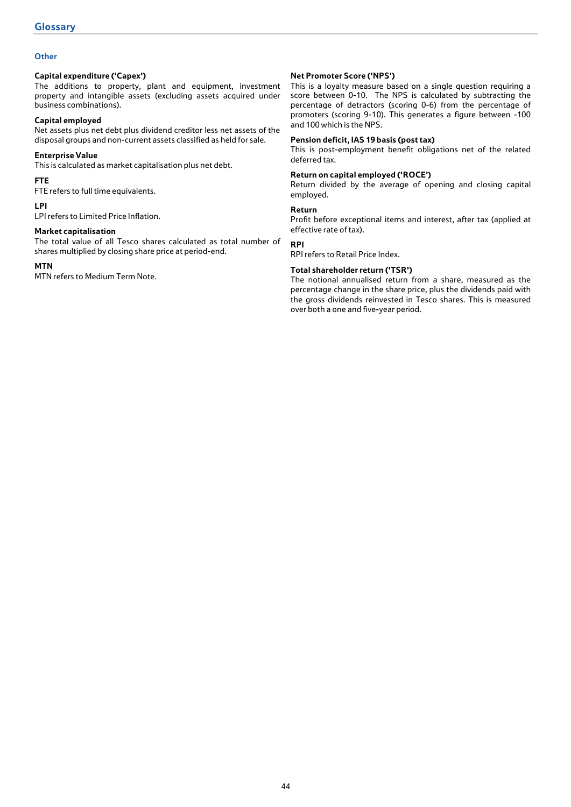## **Other**

## **Capital expenditure ('Capex')**

The additions to property, plant and equipment, investment property and intangible assets (excluding assets acquired under business combinations).

## **Capital employed**

Net assets plus net debt plus dividend creditor less net assets of the disposal groups and non-current assets classified as held for sale.

## **Enterprise Value**

This is calculated as market capitalisation plus net debt.

## **FTE**

FTE refers to full time equivalents.

## **LPI**

LPI refers to Limited Price Inflation.

## **Market capitalisation**

The total value of all Tesco shares calculated as total number of shares multiplied by closing share price at period-end.

## **MTN**

MTN refers to Medium Term Note.

## **Net Promoter Score ('NPS')**

This is a loyalty measure based on a single question requiring a score between 0-10. The NPS is calculated by subtracting the percentage of detractors (scoring 0-6) from the percentage of promoters (scoring 9-10). This generates a figure between -100 and 100 which is the NPS.

## **Pension deficit, IAS 19 basis (post tax)**

This is post-employment benefit obligations net of the related deferred tax.

## **Return on capital employed ('ROCE')**

Return divided by the average of opening and closing capital employed.

## **Return**

Profit before exceptional items and interest, after tax (applied at effective rate of tax).

## **RPI**

RPI refers to Retail Price Index.

## **Total shareholder return ('TSR')**

The notional annualised return from a share, measured as the percentage change in the share price, plus the dividends paid with the gross dividends reinvested in Tesco shares. This is measured over both a one and five-year period.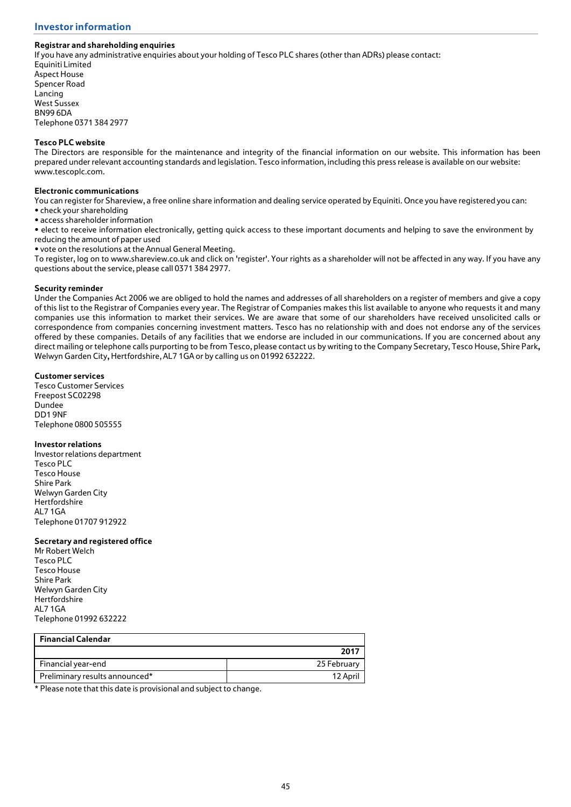## **Registrar and shareholding enquiries**

If you have any administrative enquiries about your holding of Tesco PLC shares (other than ADRs) please contact: Equiniti Limited Aspect House

Spencer Road Lancing West Sussex BN99 6DA Telephone 0371 384 2977

## **Tesco PLC website**

The Directors are responsible for the maintenance and integrity of the financial information on our website. This information has been prepared under relevant accounting standards and legislation. Tesco information, including this press release is available on our website: www.tescoplc.com.

## **Electronic communications**

You can register for Shareview, a free online share information and dealing service operated by Equiniti. Once you have registered you can: • check your shareholding

• access shareholder information

• elect to receive information electronically, getting quick access to these important documents and helping to save the environment by reducing the amount of paper used

• vote on the resolutions at the Annual General Meeting.

To register, log on to www.shareview.co.uk and click on 'register'. Your rights as a shareholder will not be affected in any way. If you have any questions about the service, please call 0371 384 2977.

## **Security reminder**

Under the Companies Act 2006 we are obliged to hold the names and addresses of all shareholders on a register of members and give a copy of this list to the Registrar of Companies every year. The Registrar of Companies makes this list available to anyone who requests it and many companies use this information to market their services. We are aware that some of our shareholders have received unsolicited calls or correspondence from companies concerning investment matters. Tesco has no relationship with and does not endorse any of the services offered by these companies. Details of any facilities that we endorse are included in our communications. If you are concerned about any direct mailing or telephone calls purporting to be from Tesco, please contact us by writing to the Company Secretary, Tesco House, Shire Park**,**  Welwyn Garden City**,** Hertfordshire, AL7 1GA or by calling us on 01992 632222.

## **Customer services**

Tesco Customer Services Freepost SC02298 Dundee DD1 9NF Telephone 0800 505555

## **Investor relations**

Investor relations department Tesco PLC Tesco House Shire Park Welwyn Garden City Hertfordshire AL7 1GA Telephone 01707 912922

#### **Secretary and registered office**

Mr Robert Welch Tesco PLC Tesco House Shire Park Welwyn Garden City Hertfordshire AL7 1GA Telephone 01992 632222

| <b>Financial Calendar</b>      |             |
|--------------------------------|-------------|
|                                | 2017        |
| Financial year-end             | 25 February |
| Preliminary results announced* | 12 April    |

\* Please note that this date is provisional and subject to change.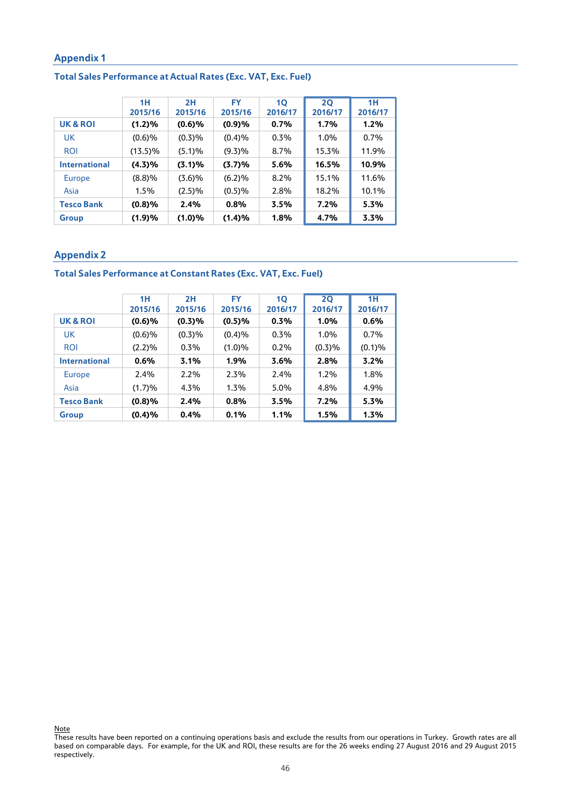# **Total Sales Performance at Actual Rates (Exc. VAT, Exc. Fuel)**

|                      | 1H         | 2H        | FY      | <b>1Q</b> | <b>2Q</b> | 1H      |
|----------------------|------------|-----------|---------|-----------|-----------|---------|
|                      | 2015/16    | 2015/16   | 2015/16 | 2016/17   | 2016/17   | 2016/17 |
| UK & ROI             | (1.2)%     | $(0.6)$ % | (0.9)%  | 0.7%      | 1.7%      | 1.2%    |
| UK                   | (0.6)%     | (0.3)%    | (0.4)%  | 0.3%      | 1.0%      | $0.7\%$ |
| <b>ROI</b>           | $(13.5)\%$ | (5.1)%    | (9.3)%  | 8.7%      | 15.3%     | 11.9%   |
| <b>International</b> | (4.3)%     | (3.1)%    | (3.7)%  | 5.6%      | 16.5%     | 10.9%   |
| <b>Europe</b>        | (8.8)%     | (3.6)%    | (6.2)%  | $8.2\%$   | 15.1%     | 11.6%   |
| Asia                 | 1.5%       | (2.5)%    | (0.5)%  | 2.8%      | 18.2%     | 10.1%   |
| <b>Tesco Bank</b>    | (0.8)%     | 2.4%      | 0.8%    | 3.5%      | 7.2%      | 5.3%    |
| <b>Group</b>         | (1.9)%     | (1.0)%    | (1.4)%  | 1.8%      | 4.7%      | 3.3%    |

# **Appendix 2**

## **Total Sales Performance at Constant Rates (Exc. VAT, Exc. Fuel)**

|                      | 1H        | 2H      | FY      | 10      | 20      | 1H      |
|----------------------|-----------|---------|---------|---------|---------|---------|
|                      | 2015/16   | 2015/16 | 2015/16 | 2016/17 | 2016/17 | 2016/17 |
| <b>UK &amp; ROI</b>  | $(0.6)$ % | (0.3)%  | (0.5)%  | 0.3%    | 1.0%    | 0.6%    |
| UK                   | (0.6)%    | (0.3)%  | (0.4)%  | 0.3%    | 1.0%    | 0.7%    |
| <b>ROI</b>           | (2.2)%    | 0.3%    | (1.0)%  | $0.2\%$ | (0.3)%  | (0.1)%  |
| <b>International</b> | 0.6%      | 3.1%    | 1.9%    | 3.6%    | 2.8%    | 3.2%    |
| <b>Europe</b>        | 2.4%      | 2.2%    | 2.3%    | 2.4%    | $1.2\%$ | 1.8%    |
| Asia                 | (1.7)%    | 4.3%    | 1.3%    | 5.0%    | 4.8%    | 4.9%    |
| <b>Tesco Bank</b>    | (0.8)%    | 2.4%    | 0.8%    | 3.5%    | 7.2%    | 5.3%    |
| Group                | (0.4)%    | 0.4%    | 0.1%    | 1.1%    | 1.5%    | 1.3%    |

**Note** These results have been reported on a continuing operations basis and exclude the results from our operations in Turkey. Growth rates are all based on comparable days. For example, for the UK and ROI, these results are for the 26 weeks ending 27 August 2016 and 29 August 2015 respectively.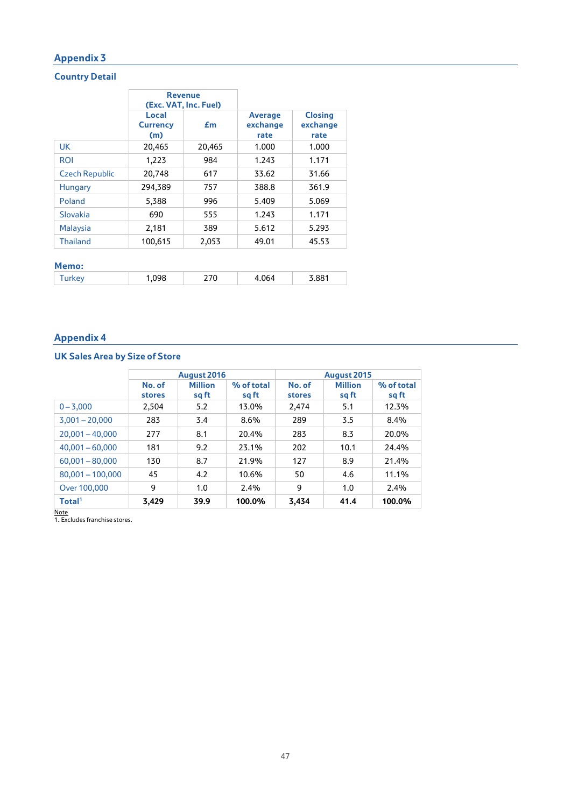# **Country Detail**

|                       | <b>Revenue</b><br>(Exc. VAT, Inc. Fuel) |        |                                    |                                    |
|-----------------------|-----------------------------------------|--------|------------------------------------|------------------------------------|
|                       | Local<br><b>Currency</b><br>(m)         | £m     | <b>Average</b><br>exchange<br>rate | <b>Closing</b><br>exchange<br>rate |
| <b>UK</b>             | 20,465                                  | 20,465 | 1.000                              | 1.000                              |
| <b>ROI</b>            | 1,223                                   | 984    | 1.243                              | 1.171                              |
| <b>Czech Republic</b> | 20,748                                  | 617    | 33.62                              | 31.66                              |
| <b>Hungary</b>        | 294,389                                 | 757    | 388.8                              | 361.9                              |
| Poland                | 5,388                                   | 996    | 5.409                              | 5.069                              |
| Slovakia              | 690                                     | 555    | 1.243                              | 1.171                              |
| <b>Malaysia</b>       | 2,181                                   | 389    | 5.612                              | 5.293                              |
| <b>Thailand</b>       | 100,615                                 | 2,053  | 49.01                              | 45.53                              |
|                       |                                         |        |                                    |                                    |

# **Memo:** Turkey 1,098 270 4.064 3.881

# **Appendix 4**

# **UK Sales Area by Size of Store**

|                    | August 2016      |                         |                     | August 2015      |                         |                     |
|--------------------|------------------|-------------------------|---------------------|------------------|-------------------------|---------------------|
|                    | No. of<br>stores | <b>Million</b><br>sq ft | % of total<br>sg ft | No. of<br>stores | <b>Million</b><br>sq ft | % of total<br>sq ft |
| $0 - 3,000$        | 2,504            | 5.2                     | 13.0%               | 2,474            | 5.1                     | 12.3%               |
| $3,001 - 20,000$   | 283              | 3.4                     | 8.6%                | 289              | 3.5                     | 8.4%                |
| $20,001 - 40,000$  | 277              | 8.1                     | 20.4%               | 283              | 8.3                     | 20.0%               |
| $40,001 - 60,000$  | 181              | 9.2                     | 23.1%               | 202              | 10.1                    | 24.4%               |
| $60,001 - 80,000$  | 130              | 8.7                     | 21.9%               | 127              | 8.9                     | 21.4%               |
| $80,001 - 100,000$ | 45               | 4.2                     | 10.6%               | 50               | 4.6                     | 11.1%               |
| Over 100,000       | 9                | 1.0                     | 2.4%                | 9                | 1.0                     | 2.4%                |
| Total <sup>1</sup> | 3,429            | 39.9                    | 100.0%              | 3.434            | 41.4                    | 100.0%              |

Note 1**.** Excludes franchise stores.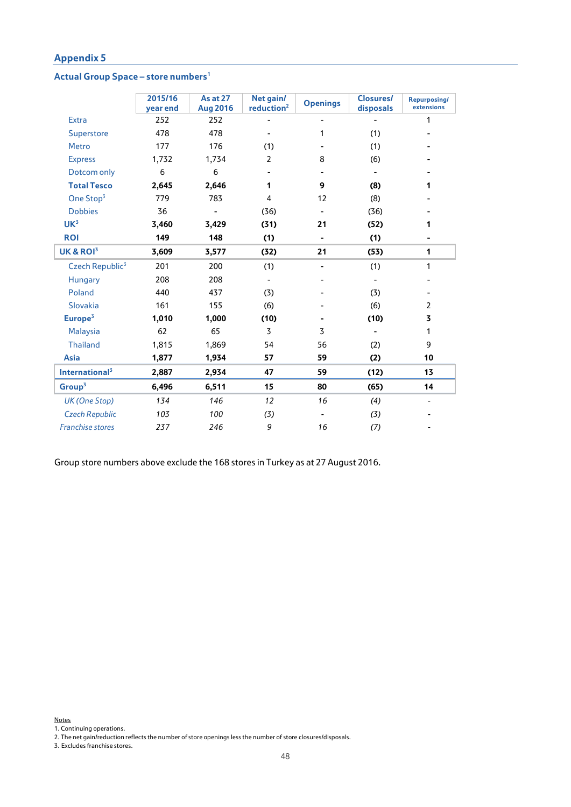## **Actual Group Space – store numbers1**

|                             | 2015/16<br>year end | <b>As at 27</b><br><b>Aug 2016</b> | Net gain/<br>reduction <sup>2</sup> | <b>Openings</b>          | <b>Closures/</b><br>disposals | Repurposing/<br>extensions |
|-----------------------------|---------------------|------------------------------------|-------------------------------------|--------------------------|-------------------------------|----------------------------|
| <b>Extra</b>                | 252                 | 252                                |                                     |                          |                               | 1                          |
| Superstore                  | 478                 | 478                                |                                     | 1                        | (1)                           |                            |
| <b>Metro</b>                | 177                 | 176                                | (1)                                 |                          | (1)                           |                            |
| <b>Express</b>              | 1,732               | 1,734                              | $\overline{2}$                      | 8                        | (6)                           |                            |
| Dotcom only                 | 6                   | 6                                  |                                     |                          |                               |                            |
| <b>Total Tesco</b>          | 2,645               | 2,646                              | 1                                   | 9                        | (8)                           | 1                          |
| One Stop <sup>3</sup>       | 779                 | 783                                | 4                                   | 12                       | (8)                           |                            |
| <b>Dobbies</b>              | 36                  | $\overline{\phantom{a}}$           | (36)                                | $\overline{\phantom{a}}$ | (36)                          |                            |
| UK <sup>3</sup>             | 3,460               | 3,429                              | (31)                                | 21                       | (52)                          | 1                          |
| <b>ROI</b>                  | 149                 | 148                                | (1)                                 | ۰                        | (1)                           |                            |
| UK & ROI <sup>3</sup>       | 3,609               | 3,577                              | (32)                                | 21                       | (53)                          | 1                          |
| Czech Republic <sup>3</sup> | 201                 | 200                                | (1)                                 | $\overline{\phantom{0}}$ | (1)                           | 1                          |
| Hungary                     | 208                 | 208                                |                                     |                          |                               |                            |
| Poland                      | 440                 | 437                                | (3)                                 |                          | (3)                           |                            |
| Slovakia                    | 161                 | 155                                | (6)                                 |                          | (6)                           | $\overline{2}$             |
| Europe <sup>3</sup>         | 1,010               | 1,000                              | (10)                                |                          | (10)                          | 3                          |
| Malaysia                    | 62                  | 65                                 | 3                                   | 3                        |                               | $\mathbf{1}$               |
| <b>Thailand</b>             | 1,815               | 1,869                              | 54                                  | 56                       | (2)                           | 9                          |
| <b>Asia</b>                 | 1,877               | 1,934                              | 57                                  | 59                       | (2)                           | 10                         |
| International <sup>3</sup>  | 2,887               | 2,934                              | 47                                  | 59                       | (12)                          | 13                         |
| Group <sup>3</sup>          | 6,496               | 6,511                              | 15                                  | 80                       | (65)                          | 14                         |
| UK (One Stop)               | 134                 | 146                                | 12                                  | 16                       | (4)                           | $\overline{\phantom{0}}$   |
| <b>Czech Republic</b>       | 103                 | 100                                | (3)                                 |                          | (3)                           |                            |
| <b>Franchise stores</b>     | 237                 | 246                                | 9                                   | 16                       | (7)                           |                            |

Group store numbers above exclude the 168 stores in Turkey as at 27 August 2016.

Notes

1. Continuing operations.

3. Excludes franchise stores.

<sup>2.</sup> The net gain/reduction reflects the number of store openings less the number of store closures/disposals.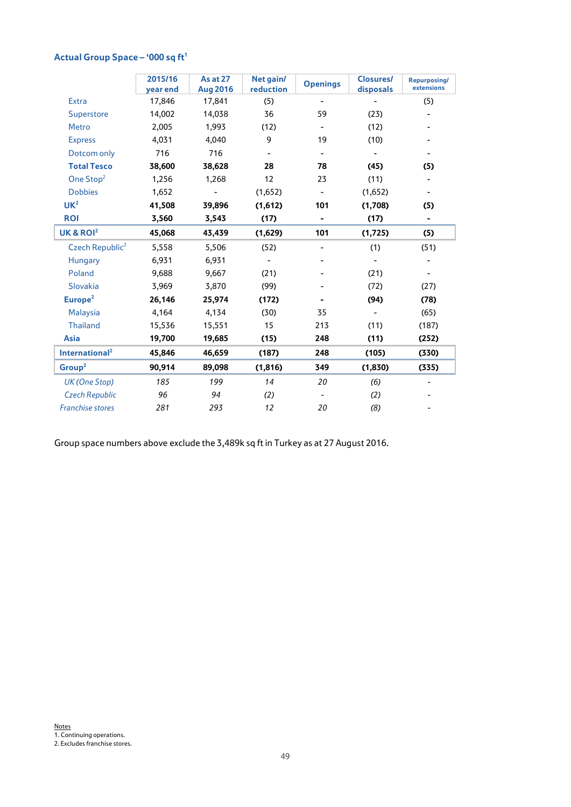|                             | 2015/16<br>year end | <b>As at 27</b><br><b>Aug 2016</b> | Net gain/<br>reduction   | <b>Openings</b>          | <b>Closures/</b><br>disposals | Repurposing/<br>extensions |
|-----------------------------|---------------------|------------------------------------|--------------------------|--------------------------|-------------------------------|----------------------------|
| <b>Extra</b>                | 17,846              | 17,841                             | (5)                      | ٠                        |                               | (5)                        |
| Superstore                  | 14,002              | 14,038                             | 36                       | 59                       | (23)                          | ٠                          |
| <b>Metro</b>                | 2,005               | 1,993                              | (12)                     | $\overline{\phantom{a}}$ | (12)                          |                            |
| <b>Express</b>              | 4,031               | 4,040                              | 9                        | 19                       | (10)                          |                            |
| Dotcom only                 | 716                 | 716                                |                          |                          |                               |                            |
| <b>Total Tesco</b>          | 38,600              | 38,628                             | 28                       | 78                       | (45)                          | (5)                        |
| One Stop <sup>2</sup>       | 1,256               | 1,268                              | 12                       | 23                       | (11)                          |                            |
| <b>Dobbies</b>              | 1,652               |                                    | (1,652)                  | -                        | (1,652)                       | $\overline{\phantom{a}}$   |
| UK <sup>2</sup>             | 41,508              | 39,896                             | (1,612)                  | 101                      | (1,708)                       | (5)                        |
| <b>ROI</b>                  | 3,560               | 3,543                              | (17)                     | ۰                        | (17)                          | $\blacksquare$             |
| UK & ROI <sup>2</sup>       | 45,068              | 43,439                             | (1,629)                  | 101                      | (1,725)                       | (5)                        |
| Czech Republic <sup>2</sup> | 5,558               | 5,506                              | (52)                     | $\overline{\phantom{a}}$ | (1)                           | (51)                       |
| Hungary                     | 6,931               | 6,931                              | $\overline{\phantom{a}}$ |                          |                               |                            |
| Poland                      | 9,688               | 9,667                              | (21)                     |                          | (21)                          |                            |
| <b>Slovakia</b>             | 3,969               | 3,870                              | (99)                     |                          | (72)                          | (27)                       |
| Europe <sup>2</sup>         | 26,146              | 25,974                             | (172)                    |                          | (94)                          | (78)                       |
| <b>Malaysia</b>             | 4,164               | 4,134                              | (30)                     | 35                       |                               | (65)                       |
| <b>Thailand</b>             | 15,536              | 15,551                             | 15                       | 213                      | (11)                          | (187)                      |
| <b>Asia</b>                 | 19,700              | 19,685                             | (15)                     | 248                      | (11)                          | (252)                      |
| International <sup>2</sup>  | 45,846              | 46,659                             | (187)                    | 248                      | (105)                         | (330)                      |
| Group <sup>2</sup>          | 90,914              | 89,098                             | (1,816)                  | 349                      | (1, 830)                      | (335)                      |
| UK (One Stop)               | 185                 | 199                                | 14                       | 20                       | (6)                           |                            |
| <b>Czech Republic</b>       | 96                  | 94                                 | (2)                      |                          | (2)                           |                            |
| <b>Franchise stores</b>     | 281                 | 293                                | 12                       | 20                       | (8)                           |                            |
|                             |                     |                                    |                          |                          |                               |                            |

# **Actual Group Space – '000 sq ft1**

Group space numbers above exclude the 3,489k sq ft in Turkey as at 27 August 2016.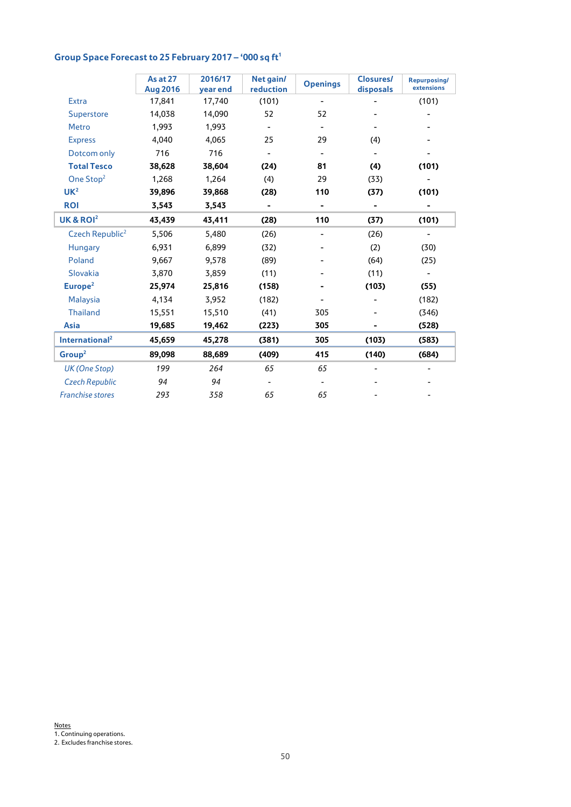# Group Space Forecast to 25 February 2017 – '000 sq ft<sup>1</sup>

|                             | <b>As at 27</b><br><b>Aug 2016</b> | 2016/17<br>year end | Net gain/<br><b>reduction</b> | <b>Openings</b>          | <b>Closures/</b><br>disposals | Repurposing/<br>extensions |
|-----------------------------|------------------------------------|---------------------|-------------------------------|--------------------------|-------------------------------|----------------------------|
| <b>Extra</b>                | 17,841                             | 17,740              | (101)                         |                          |                               | (101)                      |
| Superstore                  | 14,038                             | 14,090              | 52                            | 52                       |                               |                            |
| <b>Metro</b>                | 1,993                              | 1,993               |                               |                          |                               |                            |
| <b>Express</b>              | 4,040                              | 4,065               | 25                            | 29                       | (4)                           |                            |
| Dotcom only                 | 716                                | 716                 |                               | $\overline{\phantom{a}}$ |                               |                            |
| <b>Total Tesco</b>          | 38,628                             | 38,604              | (24)                          | 81                       | (4)                           | (101)                      |
| One Stop <sup>2</sup>       | 1,268                              | 1,264               | (4)                           | 29                       | (33)                          |                            |
| UK <sup>2</sup>             | 39,896                             | 39,868              | (28)                          | 110                      | (37)                          | (101)                      |
| <b>ROI</b>                  | 3,543                              | 3,543               |                               | ۰                        | $\blacksquare$                |                            |
| UK & ROI <sup>2</sup>       | 43,439                             | 43,411              | (28)                          | 110                      | (37)                          | (101)                      |
| Czech Republic <sup>2</sup> | 5,506                              | 5,480               | (26)                          | ٠                        | (26)                          | ٠                          |
| Hungary                     | 6,931                              | 6,899               | (32)                          |                          | (2)                           | (30)                       |
| Poland                      | 9,667                              | 9,578               | (89)                          |                          | (64)                          | (25)                       |
| Slovakia                    | 3,870                              | 3,859               | (11)                          |                          | (11)                          | $\overline{\phantom{0}}$   |
| Europe <sup>2</sup>         | 25,974                             | 25,816              | (158)                         |                          | (103)                         | (55)                       |
| <b>Malaysia</b>             | 4,134                              | 3,952               | (182)                         |                          |                               | (182)                      |
| <b>Thailand</b>             | 15,551                             | 15,510              | (41)                          | 305                      |                               | (346)                      |
| <b>Asia</b>                 | 19,685                             | 19,462              | (223)                         | 305                      |                               | (528)                      |
| International <sup>2</sup>  | 45,659                             | 45,278              | (381)                         | 305                      | (103)                         | (583)                      |
| Group <sup>2</sup>          | 89,098                             | 88,689              | (409)                         | 415                      | (140)                         | (684)                      |
| UK (One Stop)               | 199                                | 264                 | 65                            | 65                       |                               |                            |
| <b>Czech Republic</b>       | 94                                 | 94                  |                               | $\overline{\phantom{a}}$ |                               |                            |
| <b>Franchise stores</b>     | 293                                | 358                 | 65                            | 65                       |                               |                            |